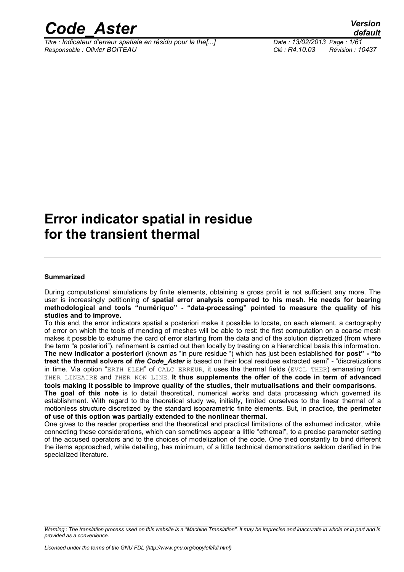*Titre : Indicateur d'erreur spatiale en résidu pour la the[...] Date : 13/02/2013 Page : 1/61 Responsable : Olivier BOITEAU Clé : R4.10.03 Révision : 10437*

### **Error indicator spatial in residue for the transient thermal**

#### **Summarized**

During computational simulations by finite elements, obtaining a gross profit is not sufficient any more. The user is increasingly petitioning of **spatial error analysis compared to his mesh**. **He needs for bearing methodological and tools "numériquo" - "data-processing" pointed to measure the quality of his studies and to improve.**

To this end, the error indicators spatial a posteriori make it possible to locate, on each element, a cartography of error on which the tools of mending of meshes will be able to rest: the first computation on a coarse mesh makes it possible to exhume the card of error starting from the data and of the solution discretized (from where the term "a posteriori"), refinement is carried out then locally by treating on a hierarchical basis this information. **The new indicator a posteriori** (known as "in pure residue ") which has just been established **for post" - "to treat the thermal solvers of** *the Code\_Aster* is based on their local residues extracted semi" - "discretizations in time. Via option "ERTH\_ELEM" of CALC\_ERREUR, it uses the thermal fields (EVOL\_THER) emanating from THER\_LINEAIRE and THER\_NON\_LINE. **It thus supplements the offer of the code in term of advanced tools making it possible to improve quality of the studies, their mutualisations and their comparisons**. **The goal of this note** is to detail theoretical, numerical works and data processing which governed its establishment. With regard to the theoretical study we, initially, limited ourselves to the linear thermal of a motionless structure discretized by the standard isoparametric finite elements. But, in practice**, the perimeter of use of this option was partially extended to the nonlinear thermal**.

One gives to the reader properties and the theoretical and practical limitations of the exhumed indicator, while connecting these considerations, which can sometimes appear a little "ethereal", to a precise parameter setting of the accused operators and to the choices of modelization of the code. One tried constantly to bind different the items approached, while detailing, has minimum, of a little technical demonstrations seldom clarified in the specialized literature.

*Warning : The translation process used on this website is a "Machine Translation". It may be imprecise and inaccurate in whole or in part and is provided as a convenience.*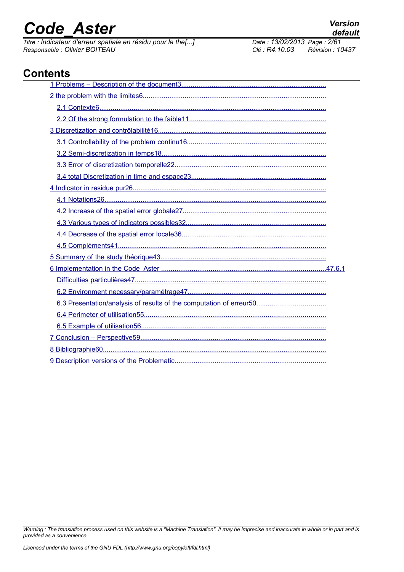*Titre : Indicateur d'erreur spatiale en résidu pour la the[...] Date : 13/02/2014 Date : 13/02/2013 Page : Olivier BOITEAU Responsable : Olivier BOITEAU Clé : R4.10.03 Révision : 10437*

### **Contents**

*Warning : The translation process used on this website is a "Machine Translation". It may be imprecise and inaccurate in whole or in part and is provided as a convenience.*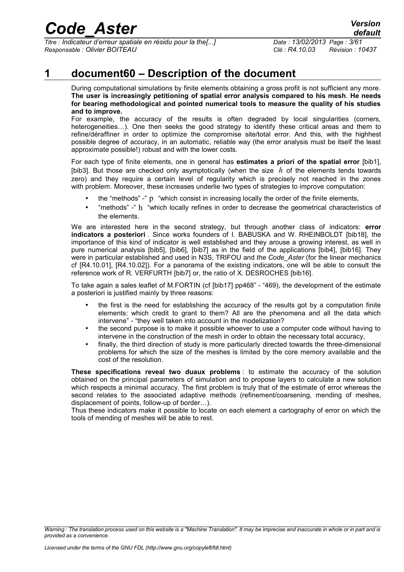*Titre : Indicateur d'erreur spatiale en résidu pour la the[...] Date : 13/02/2013 Page : 3/61 Responsable : Olivier BOITEAU Clé : R4.10.03 Révision : 10437*

### **1 document60 – Description of the document**

<span id="page-2-0"></span>During computational simulations by finite elements obtaining a gross profit is not sufficient any more. **The user is increasingly petitioning of spatial error analysis compared to his mesh**. **He needs for bearing methodological and pointed numerical tools to measure the quality of his studies and to improve.**

For example, the accuracy of the results is often degraded by local singularities (corners, heterogeneities…). One then seeks the good strategy to identify these critical areas and them to refine/déraffiner in order to optimize the compromise site/total error. And this, with the highhest possible degree of accuracy, in an automatic, reliable way (the error analysis must be itself the least approximate possible!) robust and with the lower costs.

For each type of finite elements, one in general has **estimates a priori of the spatial error** [bib1], [bib3]. But those are checked only asymptotically (when the size *h* of the elements tends towards zero) and they require a certain level of regularity which is precisely not reached in the zones with problem. Moreover, these increases underlie two types of strategies to improve computation:

- the "methods" -" p "which consist in increasing locally the order of the finite elements,
- "methods" -" h "which locally refines in order to decrease the geometrical characteristics of the elements.

We are interested here in the second strategy, but through another class of indicators: **error indicators a posteriori** . Since works founders of I. BABUSKA and W. RHEINBOLDT [bib18], the importance of this kind of indicator is well established and they arouse a growing interest, as well in pure numerical analysis [bib5], [bib6], [bib7] as in the field of the applications [bib4], [bib16]. They were in particular established and used in N3S, TRIFOU and *the Code* Aster (for the linear mechanics cf [R4.10.01], [R4.10.02]). For a panorama of the existing indicators, one will be able to consult the reference work of R. VERFURTH [bib7] or, the ratio of X. DESROCHES [bib16].

To take again a sales leaflet of M.FORTIN (cf [bib17] pp468" - "469), the development of the estimate a posteriori is justified mainly by three reasons:

- the first is the need for establishing the accuracy of the results got by a computation finite elements: which credit to grant to them? All are the phenomena and all the data which intervene" - "they well taken into account in the modelization?
- the second purpose is to make it possible whoever to use a computer code without having to intervene in the construction of the mesh in order to obtain the necessary total accuracy,
- finally, the third direction of study is more particularly directed towards the three-dimensional problems for which the size of the meshes is limited by the core memory available and the cost of the resolution.

**These specifications reveal two duaux problems** : to estimate the accuracy of the solution obtained on the principal parameters of simulation and to propose layers to calculate a new solution which respects a minimal accuracy. The first problem is truly that of the estimate of error whereas the second relates to the associated adaptive methods (refinement/coarsening, mending of meshes, displacement of points, follow-up of border…).

Thus these indicators make it possible to locate on each element a cartography of error on which the tools of mending of meshes will be able to rest.

*Warning : The translation process used on this website is a "Machine Translation". It may be imprecise and inaccurate in whole or in part and is provided as a convenience.*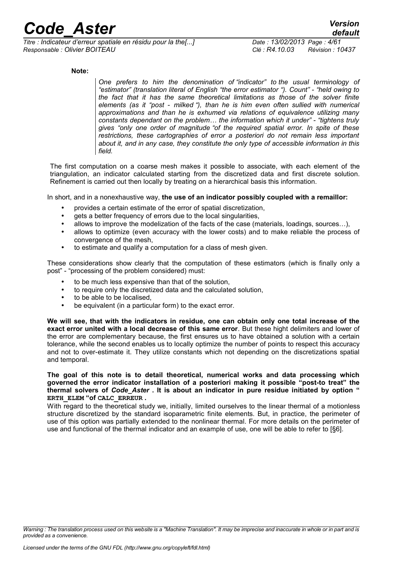*Titre : Indicateur d'erreur spatiale en résidu pour la the[...] Date : 13/02/2013 Page : 4/61 Responsable : Olivier BOITEAU Clé : R4.10.03 Révision : 10437*

**Note:**

*One prefers to him the denomination of "indicator" to the usual terminology of "estimator" (translation literal of English "the error estimator "). Count" - "held owing to the fact that it has the same theoretical limitations as those of the solver finite elements (as it "post - milked "), than he is him even often sullied with numerical approximations and than he is exhumed via relations of equivalence utilizing many constants dependant on the problem… the information which it under" - "tightens truly gives "only one order of magnitude "of the required spatial error. In spite of these restrictions, these cartographies of error a posteriori do not remain less important about it, and in any case, they constitute the only type of accessible information in this field.*

The first computation on a coarse mesh makes it possible to associate, with each element of the triangulation, an indicator calculated starting from the discretized data and first discrete solution. Refinement is carried out then locally by treating on a hierarchical basis this information.

In short, and in a nonexhaustive way, **the use of an indicator possibly coupled with a remaillor:**

- provides a certain estimate of the error of spatial discretization,
- gets a better frequency of errors due to the local singularities,
- allows to improve the modelization of the facts of the case (materials, loadings, sources…),
- allows to optimize (even accuracy with the lower costs) and to make reliable the process of convergence of the mesh,
- to estimate and qualify a computation for a class of mesh given.

These considerations show clearly that the computation of these estimators (which is finally only a post" - "processing of the problem considered) must:

- to be much less expensive than that of the solution,
- to require only the discretized data and the calculated solution,
- to be able to be localised,
- be equivalent (in a particular form) to the exact error.

**We will see, that with the indicators in residue, one can obtain only one total increase of the exact error united with a local decrease of this same error**. But these hight delimiters and lower of the error are complementary because, the first ensures us to have obtained a solution with a certain tolerance, while the second enables us to locally optimize the number of points to respect this accuracy and not to over-estimate it. They utilize constants which not depending on the discretizations spatial and temporal.

#### **The goal of this note is to detail theoretical, numerical works and data processing which governed the error indicator installation of a posteriori making it possible "post-to treat" the thermal solvers of** *Code\_Aster* **. It is about an indicator in pure residue initiated by option " ERTH\_ELEM "of CALC\_ERREUR .**

With regard to the theoretical study we, initially, limited ourselves to the linear thermal of a motionless structure discretized by the standard isoparametric finite elements. But, in practice, the perimeter of use of this option was partially extended to the nonlinear thermal. For more details on the perimeter of use and functional of the thermal indicator and an example of use, one will be able to refer to [§6].

*Warning : The translation process used on this website is a "Machine Translation". It may be imprecise and inaccurate in whole or in part and is provided as a convenience.*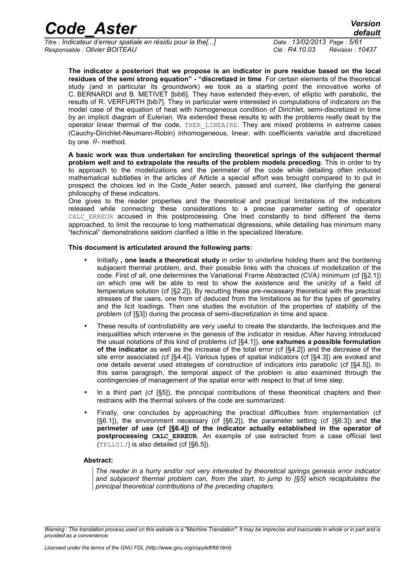*Titre : Indicateur d'erreur spatiale en résidu pour la the[...] Date : 13/02/2013 Page : 5/61 Responsable : Olivier BOITEAU Clé : R4.10.03 Révision : 10437*

**The indicator a posteriori that we propose is an indicator in pure residue based on the local residues of the semi strong equation" - "discretized in time**. For certain elements of the theoretical study (and in particular its groundwork) we took as a starting point the innovative works of C. BERNARDI and B. METIVET [bib6]. They have extended they-even, of elliptic with parabolic, the results of R. VERFURTH [bib7]. They in particular were interested in computations of indicators on the model case of the equation of heat with homogeneous condition of Dirichlet, semi-discretized in time by an implicit diagram of Eulerian. We extended these results to with the problems really dealt by the operator linear thermal of the code, THER\_LINEAIRE. They are mixed problems in extreme cases (Cauchy-Dirichlet-Neumann-Robin) inhomogeneous, linear, with coefficients variable and discretized by one *θ*- method.

**A basic work was thus undertaken for encircling theoretical springs of the subjacent thermal problem well and to extrapolate the results of the problem models preceding**. This in order to try to approach to the modelizations and the perimeter of the code while detailing often induced mathematical subtleties in the articles of Article a special effort was brought compared to to put in prospect the choices led in the Code\_Aster search, passed and current, like clarifying the general philosophy of these indicators.

One gives to the reader properties and the theoretical and practical limitations of the indicators released while connecting these considerations to a precise parameter setting of operator CALC ERREUR accused in this postprocessing. One tried constantly to bind different the items approached, to limit the recourse to long mathematical digressions, while detailing has minimum many "technical" demonstrations seldom clarified a little in the specialized literature.

**This document is articulated around the following parts:**

- Initially **, one leads a theoretical study** in order to underline holding them and the bordering subjacent thermal problem, and, their possible links with the choices of modelization of the code. First of all, one determines the Variational Frame Abstracted (CVA) minimum (cf [§2.1]) on which one will be able to rest to show the existence and the unicity of a field of temperature solution (cf [§2.2]). By recutting these pre-necessary theoretical with the practical stresses of the users, one from of deduced from the limitations as for the types of geometry and the licit loadings. Then one studies the evolution of the properties of stability of the problem (cf [§3]) during the process of semi-discretization in time and space.
- These results of controllability are very useful to create the standards, the techniques and the inequalities which intervene in the genesis of the indicator in residue. After having introduced the usual notations of this kind of problems (cf [§4.1]), **one exhumes a possible formulation of the indicator** as well as the increase of the total error (cf [§4.2]) and the decrease of the site error associated (cf [§4.4]). Various types of spatial indicators (cf [§4.3]) are evoked and one details several used strategies of construction of indicators into parabolic (cf [§4.5]). In this same paragraph, the temporal aspect of the problem is also examined through the contingencies of management of the spatial error with respect to that of time step.
- In a third part (cf [§5]), the principal contributions of these theoretical chapters and their restrains with the thermal solvers of the code are summarized.
- Finally, one concludes by approaching the practical difficulties from implementation (cf [§6.1]), the environment necessary (cf [§6.2]), the parameter setting (cf [§6.3]) and **the perimeter of use (cf [§6.4]) of the indicator actually established in the operator of postprocessing CALC\_ERREUR**. An example of use extracted from a case official test (TPLL01J) is also detailed (cf [§6.5]).

#### **Abstract:**

*The reader in a hurry and/or not very interested by theoretical springs genesis error indicator and subjacent thermal problem can, from the start, to jump to [§5] which recapitulates the principal theoretical contributions of the preceding chapters.*

*Warning : The translation process used on this website is a "Machine Translation". It may be imprecise and inaccurate in whole or in part and is provided as a convenience.*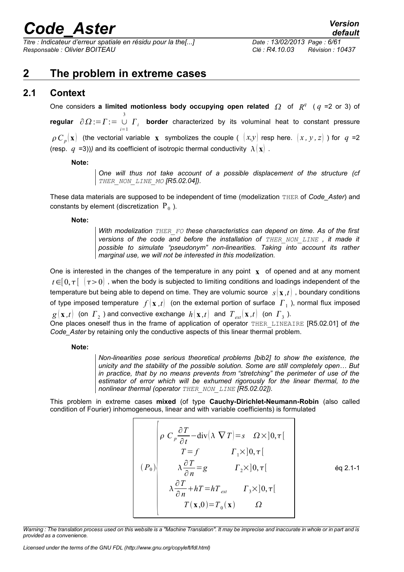*Titre : Indicateur d'erreur spatiale en résidu pour la the[...] Date : 13/02/2013 Page : 6/61 Responsable : Olivier BOITEAU Clé : R4.10.03 Révision : 10437*

### <span id="page-5-1"></span>**2 The problem in extreme cases**

### **2.1 Context**

<span id="page-5-0"></span>One considers a limited motionless body occupying open related  $\Omega$  of  $R^q$  ( $q = 2$  or 3) of **regular**  $\partial\Omega:=\Gamma:=\cup\Gamma_i$  border characterized by its voluminal heat to constant pressure *i*=1 3  $\rho$   $C_p(\mathbf{x})$  (the vectorial variable  $\mathbf{x}$  symbolizes the couple (  $(x,y)$  resp here.  $(x$  ,  $y$  ,  $z$ ) ) for  $q$  =2 (resp.  $q = 3$ ))) and its coefficient of isotropic thermal conductivity  $\lambda | \mathbf{x} |$ .

#### **Note:**

*One will thus not take account of a possible displacement of the structure (cf THER\_NON\_LINE\_MO [R5.02.04]).*

These data materials are supposed to be independent of time (modelization THER of *Code\_Aster*) and constants by element (discretization  $|{\rm P}_{0}|$ ).

#### **Note:**

*With modelization THER\_FO these characteristics can depend on time. As of the first versions of the code and before the installation of THER\_NON\_LINE , it made it possible to simulate "pseudonym" non-linearities. Taking into account its rather marginal use, we will not be interested in this modelization.*

One is interested in the changes of the temperature in any point **x** of opened and at any moment  $t \in [0, \tau]$   $(\tau > 0)$ , when the body is subjected to limiting conditions and loadings independent of the temperature but being able to depend on time. They are volumic source  $s(\mathbf{x},t)$ , boundary conditions of type imposed temperature  $\ f({\bf x}$  *,t* $)$  (on the external portion of surface  $\ \varGamma_{\ 1}$  ), normal flux imposed  $g(\mathbf{x},t)$  (on  $\overline{\varGamma}_{2}$  ) and convective exchange  $\,h(\mathbf{x},t)$  and  $\overline{\varGamma}_{ext}(\mathbf{x},t)$  (on  $\overline{\varGamma}_{3}$  ).

One places oneself thus in the frame of application of operator THER\_LINEAIRE [R5.02.01] of *the Code\_Aster* by retaining only the conductive aspects of this linear thermal problem.

#### **Note:**

*Non-linearities pose serious theoretical problems [bib2] to show the existence, the unicity and the stability of the possible solution. Some are still completely open… But in practice, that by no means prevents from "stretching" the perimeter of use of the estimator of error which will be exhumed rigorously for the linear thermal, to the nonlinear thermal (operator THER\_NON\_LINE [R5.02.02]).*

This problem in extreme cases **mixed** (of type **Cauchy-Dirichlet-Neumann-Robin** (also called condition of Fourier) inhomogeneous, linear and with variable coefficients) is formulated

$$
(P_0)
$$
\n
$$
\rho C_p \frac{\partial T}{\partial t} - \text{div}(\lambda \nabla T) = s \quad \Omega \times ]0, \tau[
$$
\n
$$
T = f \qquad \qquad \Gamma_1 \times ]0, \tau[
$$
\n
$$
\lambda \frac{\partial T}{\partial n} = g \qquad \qquad \Gamma_2 \times ]0, \tau[
$$
\n
$$
\lambda \frac{\partial T}{\partial n} + hT = hT_{ext} \qquad \qquad \Gamma_3 \times ]0, \tau[
$$
\n
$$
T(\mathbf{x}, 0) = T_0(\mathbf{x}) \qquad \qquad \Omega
$$

*Warning : The translation process used on this website is a "Machine Translation". It may be imprecise and inaccurate in whole or in part and is provided as a convenience.*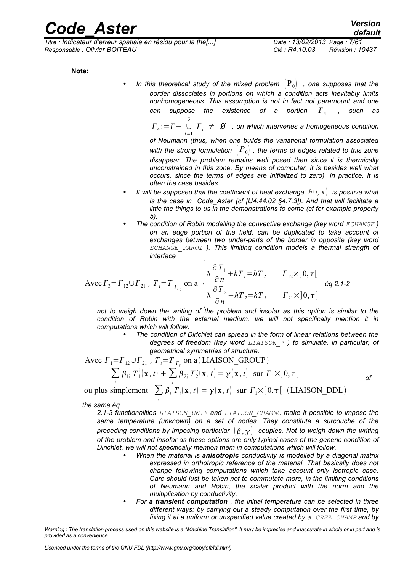*Titre : Indicateur d'erreur spatiale en résidu pour la the[...] Date : 13/02/2013 Page : 7/61 Responsable : Olivier BOITEAU Clé : R4.10.03 Révision : 10437*

**Note:**

In this theoretical study of the mixed problem  $(P_0)$ , one supposes that the *border dissociates in portions on which a condition acts inevitably limits nonhomogeneous. This assumption is not in fact not paramount and one can suppose the existence of a portion*  $\Gamma_A$ *, such as*

 $\Gamma_4$ := $\Gamma$ - ∪ *i*=1 3 *<sup>i</sup>* ≠ ∅ *, on which intervenes a homogeneous condition*

*of Neumann (thus, when one builds the variational formulation associated with the strong formulation*  $|P_0|$ , the terms of edges related to this zone *disappear. The problem remains well posed then since it is thermically unconstrained in this zone. By means of computer, it is besides well what occurs, since the terms of edges are initialized to zero). In practice, it is often the case besides.*

- It will be supposed that the coefficient of heat exchange  $h(t, x)$  is positive what *is the case in Code\_Aster (cf [U4.44.02 §4.7.3]). And that will facilitate a little the things to us in the demonstrations to come (cf for example property 5).*
- *The condition of Robin modelling the convective exchange (key word ECHANGE ) on an edge portion of the field, can be duplicated to take account of exchanges between two under-parts of the border in opposite (key word ECHANGE\_PAROI ). This limiting condition models a thermal strength of interface*

$$
\text{Avec}\,\Gamma_{3} = \Gamma_{12} \cup \Gamma_{21} \,,\,\, T_{i} = T_{|\Gamma_{i}|} \text{ on a } \begin{cases} \lambda \frac{\partial T_{1}}{\partial n} + hT_{i} = hT_{2} & I_{12} \times ]0,\tau[ \\ \lambda \frac{\partial T_{2}}{\partial n} + hT_{2} = hT_{1} & I_{21} \times ]0,\tau[ \end{cases} \text{ for all } i = 0, 1, 2, \ldots
$$

*not to weigh down the writing of the problem and insofar as this option is similar to the condition of Robin with the external medium, we will not specifically mention it in computations which will follow.*

• *The condition of Dirichlet can spread in the form of linear relations between the degrees of freedom (key word LIAISON\_\* ) to simulate, in particular, of geometrical symmetries of structure.* 

Avec  $\Gamma_1 = \Gamma_{12} \cup \Gamma_{21}$ ,  $\Gamma_i = T_{|\Gamma_i|}$  on a (LIAISON\_GROUP)

$$
\sum_{i} \beta_{1i} T_1^i(\mathbf{x}, t) + \sum_{j} \beta_{2j} T_2^j(\mathbf{x}, t) = \gamma(\mathbf{x}, t) \quad \text{sur } \Gamma_1 \times ]0, \tau[
$$

ou plus simplement  $\sum_{i}$  $\beta_i$ ,  $T_i$ (**x**, *t*) =  $\gamma$ (**x**, *t*) sur  $\Gamma_1$ × ]0, $\tau$ [ (LIAISON\_DDL)

*the same éq*

*2.1-3 functionalities LIAISON\_UNIF and LIAISON\_CHAMNO make it possible to impose the same temperature (unknown) on a set of nodes. They constitute a surcouche of the preceding conditions by imposing particular*  $(\beta, \gamma)$  couples. Not to weigh down the writing *of the problem and insofar as these options are only typical cases of the generic condition of Dirichlet, we will not specifically mention them in computations which will follow.* 

- *When the material is anisotropic conductivity is modelled by a diagonal matrix expressed in orthotropic reference of the material. That basically does not change following computations which take account only isotropic case. Care should just be taken not to commutate more, in the limiting conditions of Neumann and Robin, the scalar product with the norm and the multiplication by conductivity.*
- *For a transient computation , the initial temperature can be selected in three different ways: by carrying out a steady computation over the first time, by fixing it at a uniform or unspecified value created by a CREA\_CHAMP and by*

*Warning : The translation process used on this website is a "Machine Translation". It may be imprecise and inaccurate in whole or in part and is provided as a convenience.*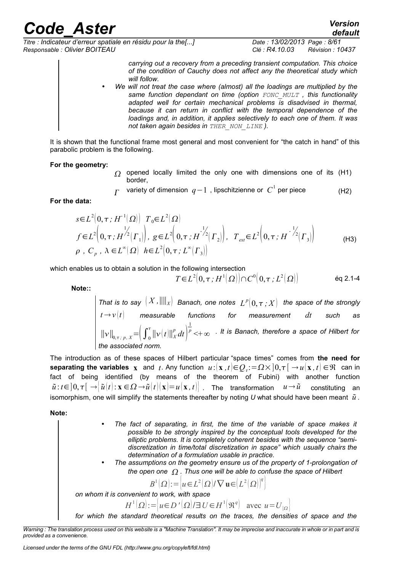*Titre : Indicateur d'erreur spatiale en résidu pour la the[...] Date : 13/02/2013 Page : 8/61 Responsable : Olivier BOITEAU Clé : R4.10.03 Révision : 10437*

*default*

*carrying out a recovery from a preceding transient computation. This choice of the condition of Cauchy does not affect any the theoretical study which will follow.* 

• *We will not treat the case where (almost) all the loadings are multiplied by the same function dependant on time (option FONC\_MULT , this functionality adapted well for certain mechanical problems is disadvised in thermal, because it can return in conflict with the temporal dependence of the loadings and, in addition, it applies selectively to each one of them. It was not taken again besides in THER\_NON\_LINE ).* 

It is shown that the functional frame most general and most convenient for "the catch in hand" of this parabolic problem is the following.

#### **For the geometry:**

- $\Omega$  opened locally limited the only one with dimensions one of its (H1) border,
- $\overline{I}$  variety of dimension  $q-1$  , lipschitzienne or  $\overline{C}^1$  per piece (H2)

**For the data:**

$$
s \in L^{2}\left(0, \tau; H^{-1}(\Omega)\right) T_{0} \in L^{2}(\Omega)
$$
  
\n
$$
f \in L^{2}\left(0, \tau; H^{\frac{1}{2}}(r_{1})\right), g \in L^{2}\left(0, \tau; H^{\frac{1}{2}}(r_{2})\right), T_{ext} \in L^{2}\left(0, \tau; H^{-\frac{1}{2}}(r_{3})\right)
$$
  
\n
$$
\rho, C_{\rho}, \lambda \in L^{\infty}(\Omega) \quad h \in L^{2}\left(0, \tau; L^{\infty}(r_{3})\right)
$$
\n(H3)

which enables us to obtain a solution in the following intersection

$$
T \in L^{2}\big(0, \tau; H^{1}\big(\Omega\big)\big) \cap C^{0}\big(0, \tau; L^{2}\big(\Omega\big)\big) \qquad \qquad \text{Eq 2.1-4}
$$

**Note::**

 $\mathcal{T}$ hat is to say  $\bigl(X$  ,  $\bigl\|\bigl\|_X\bigr)$  Banach, one notes  $\bigl\lfloor L^p\bigl(0, \tau\,; X\bigr)\bigr\rfloor$  the space of the strongly  $t\!\rightarrow\! v(t)$  measurable functions for measurement  $dt$  such as  $||v||_{0,\tau}$ ;  $|p, x| \in (\int_0^{\tau} ||v(t)||_X^p dt)$ 1 *p* <+∞ *. It is Banach, therefore a space of Hilbert for the associated norm.*

The introduction as of these spaces of Hilbert particular "space times" comes from **the need for**  ${\bf s}$  eparating the variables  $\bf x$  and  $t$ . Any function  $u$  : $(\bf x$  *,t*  $)\!\in\!\mathcal{Q}_t\!:=\! \Omega\!\times\! \,]0,\tau\,[\to\! u(\bf x,t)\!\in\!\mathfrak{R}$  can in fact of being identified (by means of the theorem of Fubini) with another function  $\tilde{u}: t \in [0,\tau] \rightarrow |\tilde{u}(t): \mathbf{x} \in \Omega \rightarrow \tilde{u}(t) | \mathbf{x} = u(\mathbf{x},t) |$  The transformation  $u \rightarrow \tilde{u}$  constituting an isomorphism, one will simplify the statements thereafter by noting  $U$  what should have been meant  $\tilde{u}$ .

#### **Note:**

- *The fact of separating, in first, the time of the variable of space makes it possible to be strongly inspired by the conceptual tools developed for the elliptic problems. It is completely coherent besides with the sequence "semidiscretization in time/total discretization in space" which usually chairs the determination of a formulation usable in practice.* 
	- *The assumptions on the geometry ensure us of the property of 1-prolongation of the open one*  $\Omega$ . Thus one will be able to confuse the space of Hilbert

$$
B^{1}(\Omega):=\left|u\in L^{2}(\Omega)/\nabla u\in (L^{2}(\Omega))^{q}\right|
$$

*on whom it is convenient to work, with space*

 $H^1(\Omega) := |u \in D'(\Omega)/\exists U \in H^1(\mathfrak{R}^q)$  avec  $u = U_{|\Omega}|$ 

*for which the standard theoretical results on the traces, the densities of space and the*

*Warning : The translation process used on this website is a "Machine Translation". It may be imprecise and inaccurate in whole or in part and is provided as a convenience.*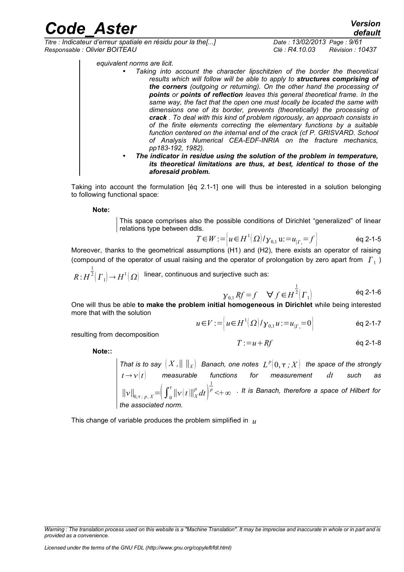*Titre : Indicateur d'erreur spatiale en résidu pour la the[...] Date : 13/02/2013 Page : 9/61 Responsable : Olivier BOITEAU Clé : R4.10.03 Révision : 10437*

*default*

*equivalent norms are licit.*

- *Taking into account the character lipschitzien of the border the theoretical results which will follow will be able to apply to structures comprising of the corners (outgoing or returning). On the other hand the processing of points or points of reflection leaves this general theoretical frame. In the same way, the fact that the open one must locally be located the same with dimensions one of its border, prevents (theoretically) the processing of crack . To deal with this kind of problem rigorously, an approach consists in of the finite elements correcting the elementary functions by a suitable function centered on the internal end of the crack (cf P. GRISVARD. School of Analysis Numerical CEA-EDF-INRIA on the fracture mechanics, pp183-192, 1982).* 
	- *The indicator in residue using the solution of the problem in temperature, its theoretical limitations are thus, at best, identical to those of the aforesaid problem.*

Taking into account the formulation [éq 2.1-1] one will thus be interested in a solution belonging to following functional space:

**Note:**

This space comprises also the possible conditions of Dirichlet "generalized" of linear relations type between ddls.

$$
T \in W := \left| u \in H^{1}(\Omega) / \gamma_{0,1} u = u_{|_{\Gamma_{1}}} = f \right| \qquad \text{eq 2-1-5}
$$

Moreover, thanks to the geometrical assumptions (H1) and (H2), there exists an operator of raising (compound of the operator of usual raising and the operator of prolongation by zero apart from  $|I_{\perp}|$ )

$$
R: \overline{H}^{\frac{1}{2}}(\Gamma_1) \to H^1(\Omega)
$$
 linear, continuous and surjective such as:

$$
\gamma_{0,1} Rf = f \quad \forall f \in H^{\frac{1}{2}}(\Gamma_1)
$$
 \n $\qquad \text{Eq 2-1-6}$ 

One will thus be able **to make the problem initial homogeneous in Dirichlet** while being interested more that with the solution

$$
u \in V := \left\{ u \in H^{1}(\Omega) / \gamma_{0,1} u := u_{|_{\Gamma_{1}}} = 0 \right\}
$$
 eq 2-1-7

resulting from decomposition

**Note::**

 $T := u + Rf$  ég 2-1-8

 $\mathcal{F}$ hat is to say  $\big\|X$  , $\big\|\big\|_X\big\|$  Banach, one notes  $\big\|L^p\big(0,\tau\,;X\big)\big\|$  the space of the strongly  $t\!\rightarrow\!\nu\!\left(t\right)$  measurable functions for measurement  $dt$  such as  $||v||_{0,\tau; p, X} = \left(\int_0^{\tau} ||v(t)||_X^p dt\right)^p$ 1 *p* <+∞ *. It is Banach, therefore a space of Hilbert for the associated norm.*

This change of variable produces the problem simplified in *u*

*Warning : The translation process used on this website is a "Machine Translation". It may be imprecise and inaccurate in whole or in part and is provided as a convenience.*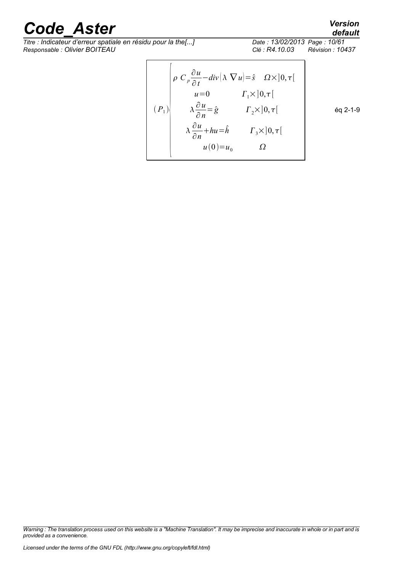*Titre : Indicateur d'erreur spatiale en résidu pour la the[...] Date : 13/02/2013 Page : 10/61 Responsable : Olivier BOITEAU Clé : R4.10.03 Révision : 10437*

$$
(P_1)
$$
\n
$$
\rho C_p \frac{\partial u}{\partial t} - div(\lambda \nabla u) = \hat{s} \quad \Omega \times ]0, \tau[
$$
\n
$$
u = 0 \qquad \qquad \Gamma_1 \times ]0, \tau[
$$
\n
$$
(\lambda \frac{\partial u}{\partial n} = \hat{g} \qquad \qquad \Gamma_2 \times ]0, \tau[
$$
\n
$$
\lambda \frac{\partial u}{\partial n} + hu = \hat{h} \qquad \qquad \Gamma_3 \times ]0, \tau[
$$
\n
$$
u(0) = u_0 \qquad \qquad \Omega
$$

éq 2-1-9

*Warning : The translation process used on this website is a "Machine Translation". It may be imprecise and inaccurate in whole or in part and is provided as a convenience.*

## *default*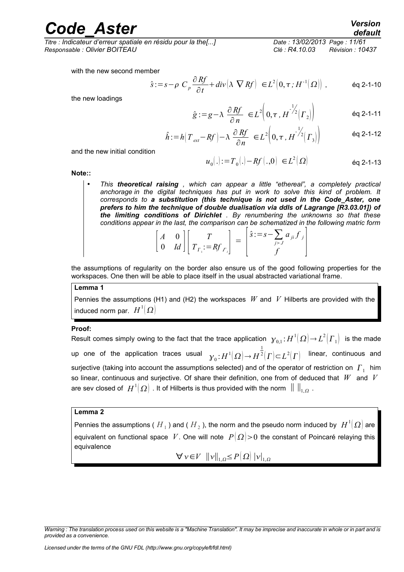the new loadings

*Titre : Indicateur d'erreur spatiale en résidu pour la the[...] Date : 13/02/2013 Page : 11/61 Responsable : Olivier BOITEAU Clé : R4.10.03 Révision : 10437*

 $\hat{s}$ : = *s* −  $\rho$   $C_p \frac{\partial Rf}{\partial t}$ 

with the new second member

$$
\frac{\partial Rf}{\partial t} + \frac{1}{2} \left( \frac{1}{2} \left( \frac{1}{2} \right) \right)
$$

 $+ div \left[ \lambda \nabla R f \right] \in L^2 \left[ 0, \tau ; H^{-1} \right]$ 

$$
\hat{g} := g - \lambda \; \frac{\partial \, Rf}{\partial \, n} \; \in L^2 \Big( 0, \tau \, , \, H^{-1/2} \Big( \Gamma_2 \Big) \Big) \qquad \qquad \text{Eq 2-1-11}
$$

$$
\hat{h} := h\big(T_{ext} - Rf\big) - \lambda \frac{\partial Rf}{\partial n} \in L^2\big(0, \tau, H^{-\frac{1}{2}}\big(T_3\big)\big) \tag{6q 2-1-12}
$$

and the new initial condition

$$
u_0(.) := T_0(.) - Rf(.0) \in L^2(\Omega)
$$
éq 2-1-13

**Note::**

• *This theoretical raising , which can appear a little "ethereal", a completely practical anchorage in the digital techniques has put in work to solve this kind of problem. It corresponds to a substitution (this technique is not used in the Code\_Aster, one prefers to him the technique of double dualisation via ddls of Lagrange [R3.03.01]) of the limiting conditions of Dirichlet . By renumbering the unknowns so that these conditions appear in the last, the comparison can be schematized in the following matric form*

$$
\begin{bmatrix} A & 0 \\ 0 & Id \end{bmatrix} \begin{bmatrix} T \\ T_{r_1} := Rf_{r_1} \end{bmatrix} = \begin{bmatrix} \hat{s} := s - \sum_{j>J} a_{ji} f_j \\ f \end{bmatrix}
$$

the assumptions of regularity on the border also ensure us of the good following properties for the workspaces. One then will be able to place itself in the usual abstracted variational frame.

#### **Lemma 1**

Pennies the assumptions (H1) and (H2) the workspaces *W* and *V* Hilberts are provided with the induced norm par.  $H^1(\varOmega)$ 

#### **Proof:**

Result comes simply owing to the fact that the trace application  $\,\,\gamma_{0,1}\!:\!H^1(\varOmega)\!\!\rightarrow\! L^2\big(\varGamma_1\big)\,$  is the made up one of the application traces usual :  $H^1(\Omega) \to H$ 1  $\overline{P^2}(\varGamma)$   $\subset$   $L^2(\varGamma)$  linear, continuous and surjective (taking into account the assumptions selected) and of the operator of restriction on  $\,\Gamma_{\,1}\,$  him so linear, continuous and surjective. Of share their definition, one from of deduced that *W* and *V* are sev closed of  $\ H^1(\varOmega)$  . It of Hilberts is thus provided with the norm  $\ \|\ \|_{_{1,\varOmega}}$  .

#### **Lemma 2**

Pennies the assumptions (  ${H}_1$  ) and (  ${H}_2$  ), the norm and the pseudo norm induced by  $\,\,H^1\hskip-.3pt\big(\Omega\big)$  are equivalent on functional space V. One will note  $P(\Omega) > 0$  the constant of Poincaré relaying this equivalence

 $\forall v \in V$   $||v||_{1,\Omega} \leq P(\Omega)$   $|v|_{1,\Omega}$ 

, éq 2-1-10

*Warning : The translation process used on this website is a "Machine Translation". It may be imprecise and inaccurate in whole or in part and is provided as a convenience.*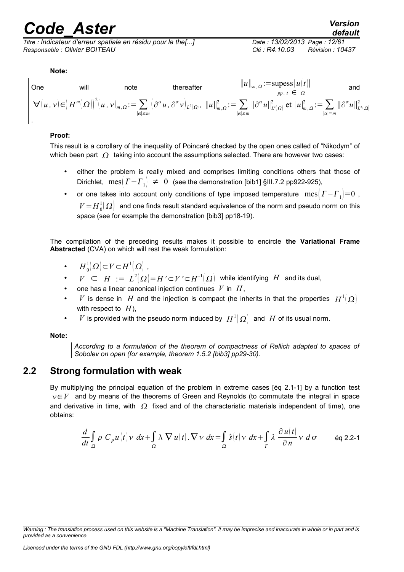## real **Aster** *Version Version*

*Titre : Indicateur d'erreur spatiale en résidu pour la the[...] Date : 13/02/2013 Page : 12/61 Responsable : Olivier BOITEAU Clé : R4.10.03 Révision : 10437*

# *default*

#### **Note:**

One will note the  
\n
$$
\mathcal{H}(u, v) \in (H^m(\Omega))^2(u, v)_{m,\Omega} := \sum_{|\alpha| \le m} \left( \partial^{\alpha} u, \partial^{\alpha} v \right)_{L^2(\Omega)}, ||u||_{m,\Omega}^2 := \sum_{|\alpha| \le m} ||\partial^{\alpha} u||_{L^2(\Omega)}^2 \text{ et } |u|_{m,\Omega}^2 := \sum_{|\alpha| \le m} ||\partial^{\alpha} u||_{L^2(\Omega)}^2
$$

#### **Proof:**

This result is a corollary of the inequality of Poincaré checked by the open ones called of "Nikodym" of which been part  $\Omega$  taking into account the assumptions selected. There are however two cases:

- either the problem is really mixed and comprises limiting conditions others that those of Dirichlet, mes  $|\Gamma - \Gamma_1| \neq 0$  (see the demonstration [bib1] §III.7.2 pp922-925),
- or one takes into account only conditions of type imposed temperature mes  $\left[\Gamma -\Gamma_1\right]=0$ ,  $V$   $=$   $H_0^1(\varOmega)$  and one finds result standard equivalence of the norm and pseudo norm on this space (see for example the demonstration [bib3] pp18-19).

The compilation of the preceding results makes it possible to encircle **the Variational Frame Abstracted** (CVA) on which will rest the weak formulation:

- $H_0^1(\Omega) \subset V \subset H^1(\Omega)$ ,
- $V \subset H := L^2(\Omega) = H' \subset V' \subset H^{-1}(\Omega)$  while identifying H and its dual,
- one has a linear canonical injection continues  $V$  in  $H$ ,
- *V* is dense in H and the injection is compact (he inherits in that the properties  $H^1(\Omega)$ with respect to  $H$ ),
- $V$  is provided with the pseudo norm induced by  $H^1(\Omega)$  and  $H$  of its usual norm.

#### **Note:**

*According to a formulation of the theorem of compactness of Rellich adapted to spaces of Sobolev on open (for example, theorem 1.5.2 [bib3] pp29-30).*

### **2.2 Strong formulation with weak**

<span id="page-11-0"></span>By multiplying the principal equation of the problem in extreme cases [éq 2.1-1] by a function test  $v \in V$  and by means of the theorems of Green and Reynolds (to commutate the integral in space and derivative in time, with  $\Omega$  fixed and of the characteristic materials independent of time), one obtains:

$$
\frac{d}{dt} \int_{\Omega} \rho \ C_{p} u(t) \nu \ dx + \int_{\Omega} \lambda \ \nabla u(t) \cdot \nabla \nu \ dx = \int_{\Omega} \hat{s}(t) \nu \ dx + \int_{\Gamma} \lambda \ \frac{\partial u(t)}{\partial n} \nu \ d\sigma \qquad \text{Eq 2.2-1}
$$

*Warning : The translation process used on this website is a "Machine Translation". It may be imprecise and inaccurate in whole or in part and is provided as a convenience.*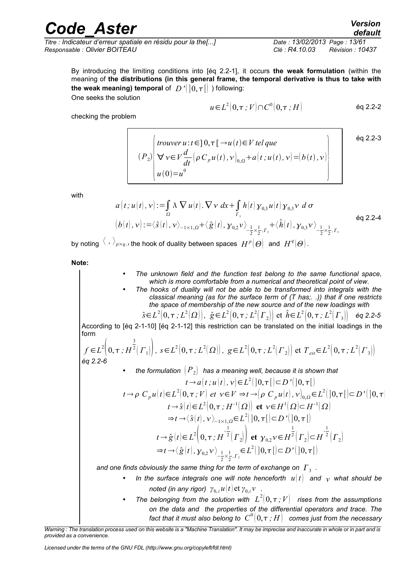*Titre : Indicateur d'erreur spatiale en résidu pour la the[...] Date : 13/02/2013 Page : 13/61 Responsable : Olivier BOITEAU Clé : R4.10.03 Révision : 10437*

By introducing the limiting conditions into [éq 2.2-1], it occurs **the weak formulation** (within the meaning of **the distributions (in this general frame, the temporal derivative is thus to take with the weak meaning) temporal** of  $D'$   $[$   $]0, \tau$  $[$   $]$   $)$  following: One seeks the solution

$$
u \in L^2[0, \tau; V] \cap C^0[0, \tau; H]
$$
 \t\t\t $\text{eq } 2.2-2$ 

checking the problem

$$
(P_2)\begin{cases}\n\text{trouver } u:t \in ]0,\tau[\rightarrow u(t) \in V \text{ tel que} \\
\forall v \in V \frac{d}{dt} \big(\rho C_p u(t), v\big)_{0,\Omega} + a(t; u(t), v) = (b(t), v)\big) \\
u(0) = u^0\n\end{cases} \quad \text{eq 2.2-3}
$$

with

$$
a(t; u(t), v) := \int_{\Omega} \lambda \nabla u(t). \nabla v dx + \int_{\Gamma_3} h(t) \gamma_{0,3} u(t) \gamma_{0,3} v d\sigma
$$
  
\n
$$
(b(t), v) := \langle \hat{s}(t), v \rangle_{-1 \times 1, \Omega} + \langle \hat{g}(t), \gamma_{0,2} v \rangle_{-\frac{1}{2} \times \frac{1}{2}, \Gamma_2} + \langle \hat{h}(t), \gamma_{0,3} v \rangle_{-\frac{1}{2} \times \frac{1}{2}, \Gamma_3}
$$

by noting  $\langle$  ,  $\rangle_{p\times q, \ell}$  the hook of duality between spaces  $\ H^p[\bm{\varTheta}]$  and  $\ H^q[\bm{\varTheta}]$  .

**Note:**

- *The unknown field and the function test belong to the same functional space, which is more comfortable from a numerical and theoretical point of view.*
- *The hooks of duality will not be able to be transformed into integrals with the classical meaning (as for the surface term of (T has;. .)) that if one restricts the space of membership of the new source and of the new loadings with*

 $\hat{s} \!\in\! L^2\!\big(0,\tau\,;L^2(\varOmega)\big),\,\,\hat{g} \!\in\! L^2\big(0,\tau\,;L^2\big(\varGamma_2\big)\!\big)\,$  et  $\hat{h} \!\in\! L^2\big(0,\tau\,;L^2\big(\varGamma_3\big)\!\big)\quad$ éq 2.2-5 According to [éq 2-1-10] [éq 2-1-12] this restriction can be translated on the initial loadings in the form

$$
f \in L^{2}\left(0, \tau; H^{\frac{3}{2}}(r_{1})\right), \, s \in L^{2}\left(0, \tau; L^{2}(\Omega)\right), \, g \in L^{2}\left(0, \tau; L^{2}(r_{2})\right) \text{ et } T_{ext} \in L^{2}\left(0, \tau; L^{2}(r_{3})\right)
$$
  
éq 2.2-6

the formulation  $\langle P_2 \rangle$  has a meaning well, because it is shown that

$$
t \to a(t; u(t), v) \in L^{2}([0, \tau[) \subset D'[0, \tau[)
$$
  
\n
$$
t \to \rho C_{p} u(t) \in L^{2}(0, \tau; V) \text{ et } v \in V \to t \to (\rho C_{p} u(t), v)_{0,\Omega} \in L^{2}([0, \tau[) \subset D'[0, \tau[
$$
  
\n
$$
t \to \hat{s}(t) \in L^{2}(0, \tau; H^{-1}(\Omega)) \text{ et } v \in H^{1}(\Omega) \subset H^{-1}(\Omega)
$$
  
\n
$$
\to t \to \hat{s}(t), v \rangle_{-1 \times 1, \Omega} \in L^{2}([0, \tau[) \subset D'[0, \tau[
$$
  
\n
$$
t \to \hat{g}(t) \in L^{2}(0, \tau; H^{-2}(T_{2})) \text{ et } \gamma_{0,2} v \in H^{\frac{1}{2}}(T_{2}) \subset H^{\frac{1}{2}}(T_{2})
$$
  
\n
$$
\to t \to \langle \hat{g}(t), \gamma_{0,2} v \rangle_{-\frac{1}{2} \times \frac{1}{2}, T_{2}} \in L^{2}([0, \tau[) \subset D'[0, \tau[]
$$

and one finds obviously the same thing for the term of exchange on  $\left| {\Gamma_3} \right|$  .

- In the surface integrals one will note henceforth  $u(t)$  and  $v$  what should be  $r$  *noted (in any rigor)*  $\gamma_{0,\,i} u(t)$ et  $\gamma_{0,\,i} v$  .
- The belonging from the solution with  $L^2(0,\tau\,;V)$  rises from the assumptions *on the data and the properties of the differential operators and trace. The* fact that it must also belong to  $\,C^0[0,\tau\,;H]\,$  comes just from the necessary

*Warning : The translation process used on this website is a "Machine Translation". It may be imprecise and inaccurate in whole or in part and is provided as a convenience.*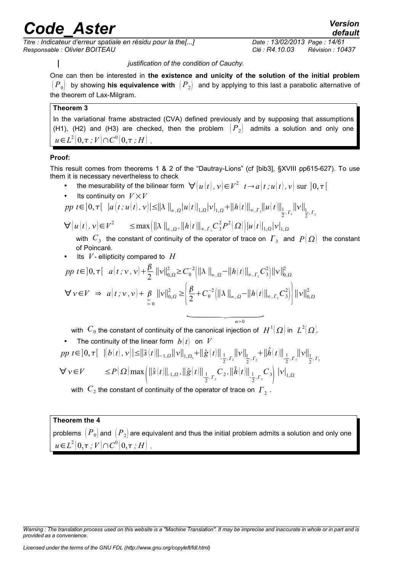$\overline{\phantom{a}}$ 

*Titre : Indicateur d'erreur spatiale en résidu pour la the[...] Date : 13/02/2013 Page : 14/61 Responsable : Olivier BOITEAU Clé : R4.10.03 Révision : 10437*

*justification of the condition of Cauchy.* 

One can then be interested in **the existence and unicity of the solution of the initial problem**  $|P_{0}|$  by showing his equivalence with  $|P_{2}|$  and by applying to this last a parabolic alternative of the theorem of Lax-Milgram.

#### **Theorem 3**

In the variational frame abstracted (CVA) defined previously and by supposing that assumptions (H1), (H2) and (H3) are checked, then the problem  $\langle P_2 \rangle$  admits a solution and only one  $u\!\in\! L^2\!\left(0,\!\tau\,;V\right)\!\cap\!C^0\!\left(0,\!\tau\,;H\right)$  .

#### **Proof:**

This result comes from theorems 1 & 2 of the "Dautray-Lions" (cf [bib3], §XVIII pp615-627). To use them it is necessary nevertheless to check

- the mesurability of the bilinear form  $\forall (u(t), v) \in V^2$   $t \rightarrow a(t; u(t), v)$  sur  $]0, \tau[$
- Its continuity on  $V \times V$
- $pp$   $t \in ]0,\tau[$   $|a(t;u(t),v)| \leq ||\lambda||_{\infty,\Omega} |u(t)|_{1,\Omega}|v|_{1,\Omega} + ||h(t)||_{\infty,\Gamma_s} ||u(t)||_{1}$  $\frac{1}{2}$ ,  $\Gamma_3$   $\left\| \mathcal{V} \right\|_1$  $\frac{1}{2}$ ,  $\Gamma$ <sub>3</sub>

$$
\forall [u(t), v] \in V^2 \qquad \leq \max\left(\|\lambda\|_{\infty,\Omega}, \|h(t)\|_{\infty,\Gamma_3} C_3^2 P^2(\Omega)\right) |u(t)|_{1,\Omega}|v|_{1,\Omega}
$$

with  $\,C_3\,$  the constant of continuity of the operator of trace on  $\, \overline{I}_{\,3}\,$  and  $\, P(\,\Omega)\,$  the constant of Poincaré.

 $\alpha > 0$ 

Its  $V$ - ellipticity compared to  $H$ 

• Its *V*-ellipticity compared to *H*  
\n
$$
pp \ t \in ]0, \tau[ a(t; v, v) + \frac{\beta}{2} ||v||_{0,\Omega}^2 \ge C_0^{-2} (||\lambda||_{\infty,\Omega} - ||h(t)||_{\infty,\Gamma_s} C_3^2) ||v||_{0,\Omega}^2
$$
\n
$$
\forall v \in V \Rightarrow a(t; v, v) + \frac{\beta}{2} ||v||_{0,\Omega}^2 \ge \left(\frac{\beta}{2} + C_0^{-2} (||\lambda||_{\infty,\Omega} - ||h(t)||_{\infty,\Gamma_s} C_3^2) \right) ||v||_{0,\Omega}^2
$$
\nwith *C*, the constant of continuity of the canonical injection of  $H^1(\Omega)$  in  $L^2(\Omega)$ 

with  $\; C_0$  the constant of continuity of the canonical injection of  $\; H^1(\varOmega)$  in  $\; L^2(\varOmega) .$ 

• The continuity of the linear form 
$$
b(t)
$$
 on  $V$   
\n $pp \ t \in ]0, \tau[ |b(t), v|| \le ||\hat{s}(t)||_{-1,\Omega}||v||_{1,\Omega_3} + ||\hat{g}(t)||_{\frac{1}{2},\Gamma_2}||v||_{\frac{1}{2},\Gamma_2} + ||\hat{h}(t)||_{\frac{1}{2},\Gamma_3}||v||_{\frac{1}{2},\Gamma_3}$   
\n $\forall v \in V$   $\leq P(\Omega) \max\left(||\hat{s}(t)||_{-1,\Omega}, ||\hat{g}(t)||_{\frac{1}{2},\Gamma_2} C_2, ||\hat{h}(t)||_{\frac{1}{2},\Gamma_3} C_3\right) |v|_{1,\Omega}$ 

with  $\left. C_{2} \right.$  the constant of continuity of the operator of trace on  $\left. \right. \right. \left. \right. \left. \right. \left. \right. \left. \right. \left. \right. \left. \right. \left. \right. \left. \right. \left. \left. \right. \left. \right. \left. \right. \left. \right. \left. \left. \right. \right. \left. \left. \right. \right. \left. \left. \right. \right. \left. \left. \right. \left. \right. \left. \right. \left. \left.$ 

#### **Theorem the 4**

problems  $\langle P_0 \rangle$  and  $\langle P_2 \rangle$  are equivalent and thus the initial problem admits a solution and only one  $u\!\in\! L^2\!\left(0,\!\tau\,;V\right)\!\cap\!C^0\!\left(0,\!\tau\,;H\right)$  .

*Warning : The translation process used on this website is a "Machine Translation". It may be imprecise and inaccurate in whole or in part and is provided as a convenience.*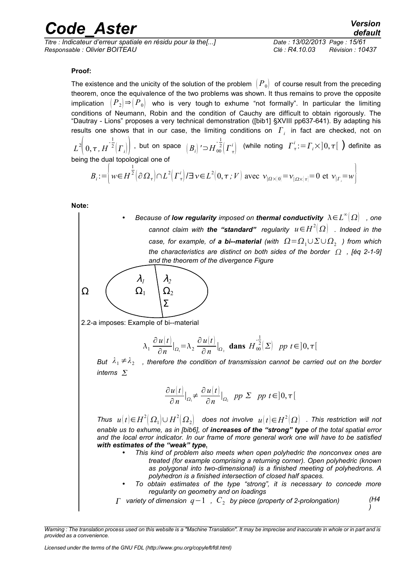*Titre : Indicateur d'erreur spatiale en résidu pour la the[...] Date : 13/02/2013 Page : 15/61 Responsable : Olivier BOITEAU Clé : R4.10.03 Révision : 10437*

*default*

#### **Proof:**

The existence and the unicity of the solution of the problem  $|P_0|$  of course result from the preceding theorem, once the equivalence of the two problems was shown. It thus remains to prove the opposite implication  $(P_2) \Rightarrow (P_0)$  who is very tough to exhume "not formally". In particular the limiting conditions of Neumann, Robin and the condition of Cauchy are difficult to obtain rigorously. The "Dautray - Lions" proposes a very technical demonstration ([bib1] §XVIII pp637-641). By adapting his results one shows that in our case, the limiting conditions on  $\vert \varGamma_i \vert$  in fact are checked, not on

 $L^2\left(0,\tau,H\right)^{-\frac{1}{2}}$  $\left\{ \frac{1}{2} \left( \boldsymbol{\varGamma}_{i} \right) \right\}$  , but on space  $\left( \boldsymbol{B}_{i} \right)$  '⊃ $H_{00}^{-\tfrac{1}{2}}$  $\frac{1}{2}\left(\varGamma_{\tau}^{i}\right)$  (while noting  $\varGamma_{\tau}^{i}$  :=  $\varGamma_{i}\times ]0,\tau[$  ) definite as being the dual topological one of

$$
B_i := \left\{ w \in H^{\frac{1}{2}}(\partial \Omega_\tau) \cap L^2(\Gamma_\tau^i) / \exists v \in L^2(0, \tau; V) \text{ avec } v_{|\Omega \times 0|} = v_{|\Omega \times |\tau|} = 0 \text{ et } v_{|\Gamma_i} = w \right\}
$$

**Note:**

• Because of **low regularity** imposed on thermal conductivity  $\lambda \! \in \! L^{\infty}(\Omega)$  , one  $\bm{c}$ annot claim with  $\bm{t}$ he "standard"  $\bm{r}$ egularity  $\bm{u} \!\in\! H^2\big(\Omega\big)$  . Indeed in the  $\mathsf{case}, \textit{ for example}, \textit{ of a bi-material}$  *(with*  $\Omega \!=\! \Omega_{1} \!\cup\! \Sigma \!\cup\! \Omega_{2}$  *) from which the characteristics are distinct on both sides of the border*  $\Omega$ *, [éq 2-1-9] and the theorem of the divergence Figure* λ*1*  $\Omega_1$ λ*2*  $\Omega$   $\left( \begin{array}{ccc} & \Omega_1 & \big\vert \Omega_2 \end{array} \right)$ Σ 2.2-a imposes: Example of bi--material  $\lambda_1$  $\partial u(t)$  $\frac{\alpha}{\partial n}|_{\Omega_1} = \lambda_2$  $\partial u(t)$  $\frac{u(t)}{\partial n}|_{\Omega_2}$  dans  $H_{00}^{\frac{1}{2}}$  $\int_0^2 (\Sigma \mid pp \ t \in ]0,\tau[$ *But*  $\lambda_1 \neq \lambda_2$ , therefore the condition of transmission cannot be carried out on the border *interns* 

$$
\frac{\partial u(t)}{\partial n}|_{\Omega_1} \neq \frac{\partial u(t)}{\partial n}|_{\Omega_2} \text{ pp } \Sigma \text{ pp } t \in ]0, \tau[
$$

 $\tau$ hus  $u(t){\in}H^2\big(\,\Omega_1\big)\!\cup H^2\big(\,\Omega_2\big)$  does not involve  $u(t){\in}H^2\big(\Omega\big)$  . This restriction will not *enable us to exhume, as in [bib6], of increases of the "strong" type of the total spatial error and the local error indicator. In our frame of more general work one will have to be satisfied with estimates of the "weak" type.*

- *This kind of problem also meets when open polyhedric the nonconvex ones are treated (for example comprising a returning corner). Open polyhedric (known as polygonal into two-dimensional) is a finished meeting of polyhedrons. A polyhedron is a finished intersection of closed half spaces.*
- *To obtain estimates of the type "strong", it is necessary to concede more regularity on geometry and on loadings*
- *variety of dimension q*−1 *, C*<sup>2</sup> *by piece (property of 2-prolongation) (H4 )*

*Warning : The translation process used on this website is a "Machine Translation". It may be imprecise and inaccurate in whole or in part and is provided as a convenience.*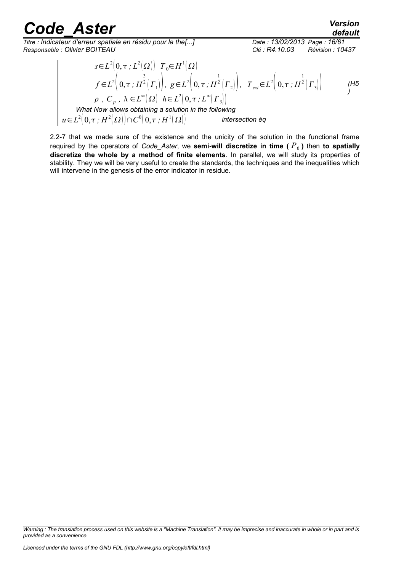*default*

*Titre : Indicateur d'erreur spatiale en résidu pour la the[...] Responsable : Olivier BOITEAU Clé : R4.10.03 Révision : 10437*

$$
s \in L^{2}\left(0, \tau ; L^{2}(\Omega)\right) T_{0} \in H^{1}(\Omega)
$$
\n
$$
f \in L^{2}\left(0, \tau ; H^{\frac{3}{2}}\left(\Gamma_{1}\right)\right), \ g \in L^{2}\left(0, \tau ; H^{\frac{1}{2}}\left(\Gamma_{2}\right)\right), \ T_{ext} \in L^{2}\left(0, \tau ; H^{\frac{1}{2}}\left(\Gamma_{3}\right)\right)
$$
\n
$$
\rho, C_{p}, \ \lambda \in L^{\infty}(\Omega) \ \ h \in L^{2}\left(0, \tau ; L^{\infty}\left(\Gamma_{3}\right)\right)
$$
\nWhat Now allows obtaining a solution in the following

 $u \in L^2[0,\tau;H^2(\Omega)] \cap C^0[0,\tau;H^1]$ *intersection éq*

2.2-7 that we made sure of the existence and the unicity of the solution in the functional frame required by the operators of *Code\_Aster*, we semi-will discretize in time (  $P_{\rm 0}$  ) then to spatially **discretize the whole by a method of finite elements**. In parallel, we will study its properties of stability. They we will be very useful to create the standards, the techniques and the inequalities which will intervene in the genesis of the error indicator in residue.

*Warning : The translation process used on this website is a "Machine Translation". It may be imprecise and inaccurate in whole or in part and is provided as a convenience.*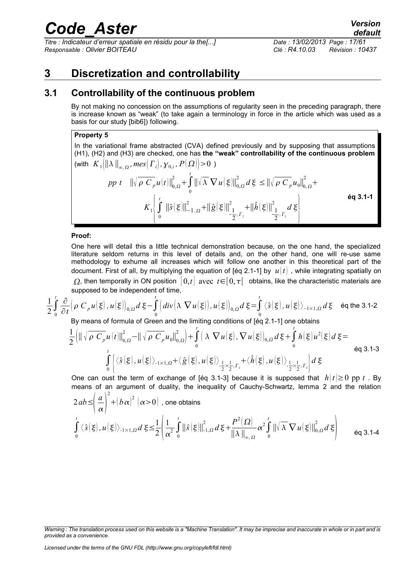*Titre : Indicateur d'erreur spatiale en résidu pour la the[...] Date : 13/02/2013 Page : 17/61 Responsable : Olivier BOITEAU Clé : R4.10.03 Révision : 10437*

### <span id="page-16-1"></span>**3 Discretization and controllability**

### **3.1 Controllability of the continuous problem**

<span id="page-16-0"></span>By not making no concession on the assumptions of regularity seen in the preceding paragraph, there is increase known as "weak" (to take again a terminology in force in the article which was used as a basis for our study [bib6]) following.

#### **Property 5**

In the variational frame abstracted (CVA) defined previously and by supposing that assumptions (H1), (H2) and (H3) are checked, one has **the "weak" controllability of the continuous problem**

(with 
$$
K_1(||\lambda||_{\infty,\Omega}, mes(\Gamma_i), \gamma_{0,i}, P(\Omega)) > 0
$$
)  
\n $pp t ||\sqrt{\rho C_p} u(t)||_{0,\Omega}^2 + \int_0^t ||\sqrt{\lambda} \nabla u(\xi)||_{0,\Omega}^2 d\xi \le ||\sqrt{\rho C_p} u_0||_{0,\Omega}^2 + K_1 \left[ \int_0^t ||\hat{s}(\xi)||_{-1,\Omega}^2 + ||\hat{g}(\xi)||_{-\frac{1}{2},\Gamma_2}^2 + ||\hat{h}(\xi)||_{-\frac{1}{2},\Gamma_3}^2 d\xi \right]$  6q 3.1-1

#### **Proof:**

One here will detail this a little technical demonstration because, on the one hand, the specialized literature seldom returns in this level of details and, on the other hand, one will re-use same methodology to exhume all increases which will follow one another in this theoretical part of the document. First of all, by multiplying the equation of [éq 2.1-1] by  $u(t)$ , while integrating spatially on  $\Omega$ , then temporally in ON position  $\begin{bmatrix} 0,t \end{bmatrix}$  avec  $t \in [0,\tau]$  obtains, like the characteristic materials are

supposed to be independent of time,

$$
\frac{1}{2}\int_{0}^{t} \frac{\partial}{\partial t} \left(\rho C_{p} u(\xi), u(\xi)\right)_{0,\Omega} d\xi - \int_{0}^{t} \left(div\left(\lambda \nabla u(\xi)\right), u(\xi)\right)_{0,\Omega} d\xi = \int_{0}^{t} \left\langle \hat{s}(\xi), u(\xi)\right\rangle_{-1 \times 1, \Omega} d\xi \quad \text{éq the 3.1-2}
$$

By means of formula of Green and the limiting conditions of [éq 2.1-1] one obtains

$$
\frac{1}{2} \Big( \|\sqrt{\rho C_p} u(t)\|_{0,\Omega}^2 - \|\sqrt{\rho C_p} u_0\|_{0,\Omega}^2 \Big) + \int_0^t \Big( \lambda \nabla u(\xi), \nabla u(\xi) \Big)_{0,\Omega} d\xi + \int_0^t h(\xi) u^2(\xi) d\xi =
$$
  

$$
\int_0^t \Big\{ \langle \hat{s}(\xi), u(\xi) \rangle_{-1 \times 1, \Omega} + \langle \hat{g}(\xi), u(\xi) \rangle_{-\frac{1}{2} \times \frac{1}{2}, \Gamma_2} + \langle \hat{h}(\xi), u(\xi) \rangle_{-\frac{1}{2} \times \frac{1}{2}, \Gamma_3} \Big\} d\xi
$$

One can oust the term of exchange of [éq 3.1-3] because it is supposed that  $h(t) \geq 0$  pp t. By means of an argument of duality, the inequality of Cauchy-Schwartz, lemma 2 and the relation  $2ab \le \frac{a}{\alpha}$  $\overline{\alpha}$ 2  $+\left(b\,\alpha\right)^{2}\,\left(\alpha\!>\!0\right)$  , one obtains  $\int\limits_{0}$ *t*  $\langle \hat{s}(\xi), u(\xi) \rangle_{1 \times 1, \Omega} d \xi \leq \frac{1}{2}$  $2 \mid \alpha$ 1  $rac{1}{\alpha^2}$  $\int_0^1$ *t*  $\|\hat{s}(\xi)\|_{-1,\Omega}^2 d \xi +$  $P^2(\varOmega)$ ∥∥∞*,*  $\alpha^2$  $\int\limits_0$ *t*  $\left\|\sqrt{\lambda} \nabla u(\xi)\right\|_{0,\Omega}^2 d\xi\right\}$ éq 3.1-4

*Warning : The translation process used on this website is a "Machine Translation". It may be imprecise and inaccurate in whole or in part and is provided as a convenience.*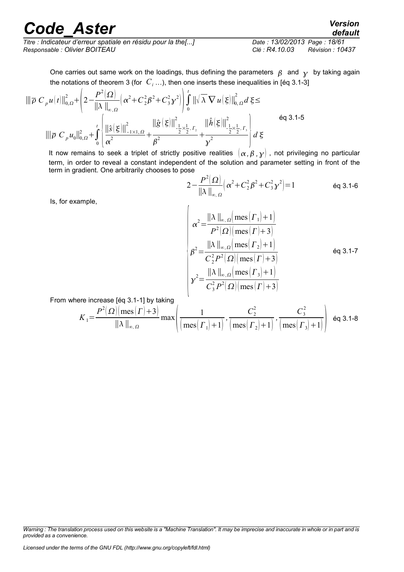*Titre : Indicateur d'erreur spatiale en résidu pour la the[...] Date : 13/02/2013 Page : 18/61 Responsable : Olivier BOITEAU Clé : R4.10.03 Révision : 10437*

One carries out same work on the loadings, thus defining the parameters  $\beta$  and  $\gamma$  by taking again

the notations of theorem 3 (for 
$$
C_i
$$
...), then one inserts these inequalities in [eq 3.1-3]  
\n
$$
\|\overline{\rho} C_p u(t)\|_{0,\Omega}^2 + \left(2 - \frac{P^2(\Omega)}{\|\lambda\|_{\infty,\Omega}} \left(\alpha^2 + C_2^2 \beta^2 + C_3^2 \gamma^2\right)\right) \int_0^t \|\sqrt{\lambda} \nabla u(\xi)\|_{0,\Omega}^2 d\xi \le
$$
\n
$$
\|\overline{\rho} C_p u_0\|_{0,\Omega}^2 + \int_0^t \left|\frac{\|\hat{S}(\xi)\|_{-1\times1,\Omega}^2}{\alpha^2} + \frac{\|\hat{S}(\xi)\|_{-\frac{1}{2}\times\frac{1}{2},\Gamma_2}^2}{\beta^2} + \frac{\|\hat{h}(\xi)\|_{-\frac{1}{2}\times\frac{1}{2},\Gamma_3}^2}{\gamma^2}\right) d\xi
$$

It now remains to seek a triplet of strictly positive realities  $(\alpha, \beta, \gamma)$ , not privileging no particular term, in order to reveal a constant independent of the solution and parameter setting in front of the term in gradient. One arbitrarily chooses to pose

 $\chi^2$ 

$$
2 - \frac{P^2(\Omega)}{\|\lambda\|_{\infty,\Omega}} \Big( \alpha^2 + C_2^2 \beta^2 + C_3^2 \gamma^2 \Big) = 1
$$
 \t\t\t\text{Eq 3.1-6}

Is, for example,

$$
\begin{cases}\n\alpha^2 = \frac{\|\lambda\|_{\infty,\Omega} \left(\text{mes}(r_1) + 1\right)}{P^2(\Omega) \left(\text{mes}(r) + 3\right)} \\
\beta^2 = \frac{\|\lambda\|_{\infty,\Omega} \left(\text{mes}(r_2) + 1\right)}{C_2^2 P^2(\Omega) \left(\text{mes}(r) + 3\right)} \\
\gamma^2 = \frac{\|\lambda\|_{\infty,\Omega} \left(\text{mes}(r_3) + 1\right)}{C_3^2 P^2(\Omega) \left(\text{mes}(r) + 3\right)}\n\end{cases} \n\text{eq 3.1-7}
$$

From where increase [éq 3.1-1] by taking

$$
K_1 = \frac{P^2(\Omega)(\text{mes}(r) + 3)}{\|\lambda\|_{\infty,\Omega}} \max\left(\frac{1}{(\text{mes}(r_1) + 1)}, \frac{C_2^2}{(\text{mes}(r_2) + 1)}, \frac{C_3^2}{(\text{mes}(r_3) + 1)}\right) \text{ eq 3.1-8}
$$

*default*

*Warning : The translation process used on this website is a "Machine Translation". It may be imprecise and inaccurate in whole or in part and is provided as a convenience.*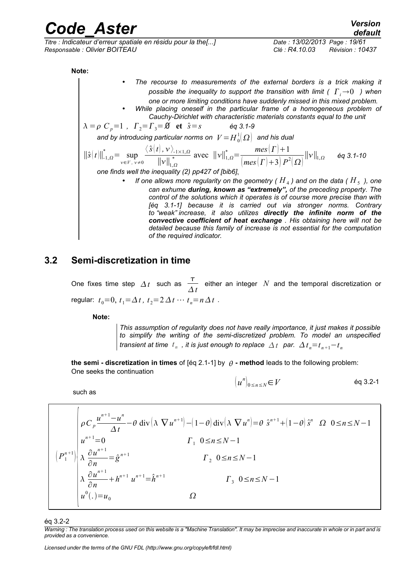*Titre : Indicateur d'erreur spatiale en résidu pour la the[...] Date : 13/02/2013 Page : 19/61 Responsable : Olivier BOITEAU Clé : R4.10.03 Révision : 10437*

**Note:**

• *The recourse to measurements of the external borders is a trick making it possible the inequality to support the transition with limit (* $\Gamma_i \rightarrow 0$ ) when *one or more limiting conditions have suddenly missed in this mixed problem.*  • *While placing oneself in the particular frame of a homogeneous problem of Cauchy-Dirichlet with characteristic materials constants equal to the unit*

$$
\lambda = \rho C_p = 1 , \quad \Gamma_2 = \Gamma_3 = \emptyset \quad \text{et} \quad \hat{s} = s \qquad \text{eq 3.1-9}
$$

and by introducing particular norms on  $\;V$   $=$   $H^{\, 1}_{\, 0}(\varOmega)\;$  and his dual

$$
\|\hat{s}(t)\|_{1,\Omega}^* = \sup_{v \in V, v \neq 0} \frac{\langle \hat{s}(t), v \rangle_{1 \times 1, \Omega}}{\|v\|_{1,\Omega}^*} \text{ avec } \|v\|_{1,\Omega}^* = \frac{mes(\Gamma) + 1}{(mes(\Gamma) + 3)P^2(\Omega)} \|v\|_{1,\Omega} \quad \text{ éq 3.1-10}
$$

*one finds well the inequality (2) pp427 of [bib6].*

• If one allows more regularity on the geometry (  $H$  <sub>4</sub> ) and on the data (  $H$  <sub>5</sub> ), one *can exhume during, known as "extremely", of the preceding property. The control of the solutions which it operates is of course more precise than with [éq 3.1-1] because it is carried out via stronger norms. Contrary to "weak" increase, it also utilizes directly the infinite norm of the convective coefficient of heat exchange . His obtaining here will not be detailed because this family of increase is not essential for the computation of the required indicator.* 

### **3.2 Semi-discretization in time**

<span id="page-18-0"></span>One fixes time step  $\Delta t$  such as  $\frac{7}{4}$ *t* either an integer *N* and the temporal discretization or regular:  $t_0=0$ ,  $t_1 = \Delta t$ ,  $t_2=2 \Delta t \cdots t_n=n \Delta t$ .

**Note:**

*This assumption of regularity does not have really importance, it just makes it possible to simplify the writing of the semi-discretized problem. To model an unspecified transient at time*  $|t_n|$  *, it is just enough to replace*  $|\triangle t|$  *par.*  $|\triangle t_n\!=\!t_{n+1}\!-\!t_n$ 

**the semi - discretization in times** of [éq 2.1-1] by  $\theta$  - method leads to the following problem: One seeks the continuation

$$
(u^n)_{0 \le n \le N} \in V
$$

such as

$$
\left\{\n\begin{array}{c}\n\left[\rho C_p \frac{u^{n+1} - u^n}{\Delta t} - \theta \operatorname{div} \left(\lambda \nabla u^{n+1}\right) - \left(1 - \theta\right) \operatorname{div} \left(\lambda \nabla u^n\right) = \theta \hat{s}^{n+1} + \left(1 - \theta\right) \hat{s}^n \quad \Omega \quad 0 \le n \le N-1 \\
u^{n+1} = 0 \qquad & \Gamma_1 \quad 0 \le n \le N-1 \\
\left(\frac{P_1^{n+1}}{\lambda} \frac{\partial u^{n+1}}{\partial n} = \hat{g}^{n+1} \qquad & \Gamma_2 \quad 0 \le n \le N-1 \\
\lambda \frac{\partial u^{n+1}}{\partial n} + h^{n+1} u^{n+1} = \hat{h}^{n+1} \qquad & \Gamma_3 \quad 0 \le n \le N-1 \\
u^0(.) = u_0 \qquad & \Omega\n\end{array}\n\right\}
$$

#### éq 3.2-2

*Warning : The translation process used on this website is a "Machine Translation". It may be imprecise and inaccurate in whole or in part and is provided as a convenience.*

*Licensed under the terms of the GNU FDL (http://www.gnu.org/copyleft/fdl.html)*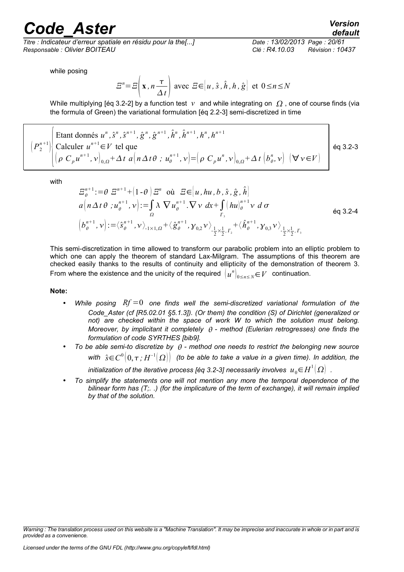*Titre : Indicateur d'erreur spatiale en résidu pour la the[...] Date : 13/02/2013 Page : 20/61 Responsable : Olivier BOITEAU Clé : R4.10.03 Révision : 10437*

while posing

$$
E^{n} = E\left(\mathbf{x}, n\frac{\tau}{\Delta t}\right) \text{ avec } E \in [u, \hat{s}, \hat{h}, h, \hat{g}] \text{ et } 0 \le n \le N
$$

While multiplying [éq 3.2-2] by a function test  $v$  and while integrating on  $\Omega$ , one of course finds (via the formula of Green) the variational formulation [éq 2.2-3] semi-discretized in time

$$
\left| \begin{array}{c} \left| \left( P_2^{n+1} \right) \right| \text{Etant données } u^n, \hat{s}^n, \hat{s}^{n+1}, \hat{g}^n, \hat{g}^{n+1}, \hat{h}^n, \hat{h}^{n+1}, h^n, h^{n+1} \right| \\ \left( P_2^{n+1} \right) \left| \text{Calculate } u^{n+1} \in V \text{ tel que} \\ \left( \rho \ C_p u^{n+1}, v \right)_{0,\Omega} + \Delta t \ a \left( n \Delta t \theta \ ; \ u_{\theta}^{n+1}, v \right) = \left( \rho \ C_p u^n, v \right)_{0,\Omega} + \Delta t \left( b_{\theta}^n, v \right) \ (\forall v \in V) \end{array} \right| \right| \right|
$$

with

$$
\begin{aligned}\n\Xi_{\theta}^{n+1} &:= \theta \ \Xi^{n+1} + (1 - \theta) \Xi^{n} \quad \text{ou} \quad \Xi \in [u, hu, b, \hat{s}, \hat{g}, \hat{h}] \\
a \big( n \Delta t \theta \big) &:= \int_{\Omega} \lambda \nabla u_{\theta}^{n+1} \cdot \nabla v \, dx + \int_{\Gamma_{3}} (hu)_{\theta}^{n+1} v \, d\sigma \\
\big( b_{\theta}^{n+1}, v \big) &:= \big\langle \hat{s}_{\theta}^{n+1}, v \big\rangle_{-1 \times 1, \Omega} + \big\langle \hat{g}_{\theta}^{n+1}, y_{0,2} v \big\rangle_{-\frac{1}{2} \times \frac{1}{2}, \Gamma_{2}} + \big\langle \hat{h}_{\theta}^{n+1}, y_{0,3} v \big\rangle_{-\frac{1}{2} \times \frac{1}{2}, \Gamma_{3}} \\
\end{aligned} \n\tag{Eq 3.2-4}
$$

This semi-discretization in time allowed to transform our parabolic problem into an elliptic problem to which one can apply the theorem of standard Lax-Milgram. The assumptions of this theorem are checked easily thanks to the results of continuity and ellipticity of the demonstration of theorem 3. From where the existence and the unicity of the required  $(u^n)_{0 \leq n \leq N} \in V$  continuation.

#### **Note:**

- *While posing Rf* =0 *one finds well the semi-discretized variational formulation of the Code\_Aster (cf [R5.02.01 §5.1.3]). (Or them) the condition (S) of Dirichlet (generalized or not) are checked within the space of work W to which the solution must belong. Moreover, by implicitant it completely - method (Eulerian retrogresses) one finds the formulation of code SYRTHES [bib9].*
- *To be able semi-to discretize by method one needs to restrict the belonging new source* with  $\hat{s}{\in}C^0\big(0,\tau$  ;  $H^{-1}(\varOmega)\big)$  (to be able to take a value in a given time). In addition, the *initialization of the iterative process [éq 3.2-3] necessarily involves*  $\ u_{\rm 0}{\in}H^1(\varOmega)$  *.*
- *To simplify the statements one will not mention any more the temporal dependence of the bilinear form has (T;. .) (for the implicature of the term of exchange), it will remain implied by that of the solution.*

*Licensed under the terms of the GNU FDL (http://www.gnu.org/copyleft/fdl.html)*

*default*

*Warning : The translation process used on this website is a "Machine Translation". It may be imprecise and inaccurate in whole or in part and is provided as a convenience.*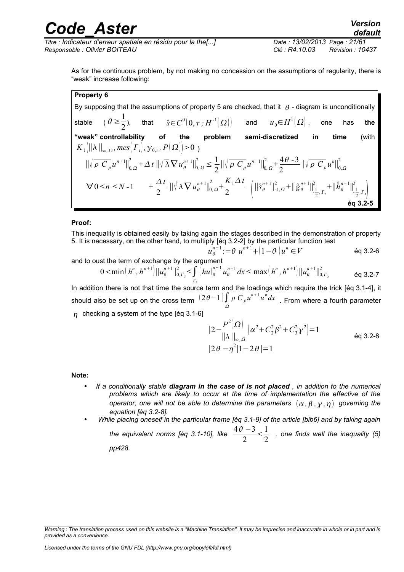*Titre : Indicateur d'erreur spatiale en résidu pour la the[...] Date : 13/02/2013 Page : 21/61 Responsable : Olivier BOITEAU Clé : R4.10.03 Révision : 10437*

As for the continuous problem, by not making no concession on the assumptions of regularity, there is "weak" increase following:

**Property 6**

By supposing that the assumptions of property 5 are checked, that it  $\theta$  - diagram is unconditionally stable  $(\theta \geq \frac{1}{2})$  $\frac{1}{2}$ ), that  $\hat{s} ∈ C^0(0, τ; H^{-1}(\Omega))$  and  $u_0 ∈ H^1(\Omega)$ , one has **the "weak" controllability of the problem semi-discretized in time** (with  $K_\mathrm{1}\bigl[\bigl\|\lambda\,\bigr\|_{_\infty,\,\Omega}$  , mes $\bigl(\varGamma_i\bigr|$  ,  $\gamma_{\mathrm{0},i}$  ,  $P\bigl(\varOmega\bigr)\bigl|{>}0$   $}\$  $\left\|\sqrt{\rho C_p} u^{n+1}\right\|_{0,\Omega}^2 + \Delta t \left\|\sqrt{\lambda} \nabla u_{\theta}^{n+1}\right\|_{0,\Omega}^2 \leq \frac{1}{2}$  $\frac{1}{2}$  || $\sqrt{\rho C_p} u^{n+1}$ || $\frac{2}{0, \Omega}$  +  $\frac{4 \theta - 3}{2}$  $\frac{4 \theta - 3}{2} \left\| \sqrt{\rho} \frac{C}{\rho} u^n \right\|_{0,\Omega}^2$  $\forall 0 \leq n \leq N-1$  +  $\frac{\Delta t}{2}$  $\frac{\Delta t}{2}$   $\left\|\sqrt{\lambda}\nabla u_{\theta}^{n+1}\right\|_{0,\Omega}^{2} + \frac{K_{1}\Delta t}{2}$  $\frac{1}{2} \sum_{i=1}^n \left( \left\| \hat{s}_{\theta}^{n+1} \right\|_{-1,\Omega}^2 + \left\| \hat{g}_{\theta}^{n+1} \right\|_{-\frac{1}{2}}^2 \right)$  $\frac{1}{2}$ ,  $\Gamma$ <sub>2</sub>  $\frac{2}{1}$  +  $\|\hat{h}^n_{\theta}\|$  $\left|\frac{n+1}{2}\right|_{-\frac{1}{2}}^{2}$  $\frac{1}{2}$ ,  $\Gamma_3$ 2  $\begin{array}{c} \hline \end{array}$ **éq 3.2-5**

#### **Proof:**

This inequality is obtained easily by taking again the stages described in the demonstration of property 5. It is necessary, on the other hand, to multiply [éq 3.2-2] by the particular function test

$$
u_{\theta}^{n+1} := \theta \ u^{n+1} + (1 - \theta) u^{n} \in V \qquad \text{Eq 3.2-6}
$$

and to oust the term of exchange by the argument  $0 \le \min\left(h^n, h^{n+1}\right) \|\mu_{\theta}^{n+1}\|_{0,\Gamma_3}^2 \le \int_{0}^{n+1} |\mu_{\theta}^{n+1} u_{\theta}^{n+1}| dx \le \max\left(h^n, h^{n+1}\right) \|\mu_{\theta}^{n+1}\|_{0,\Gamma_3}^2$ éq 3.2-7

 $\Gamma_{3}$ In addition there is not that time the source term and the loadings which require the trick [éq 3.1-4], it should also be set up on the cross term  $(2\,\theta-1)\!\int \rho \, {\cal C}_{\,p} u^{n+1} u^n dx \,\,$  . From where a fourth parameter Ω

 $\eta$  checking a system of the type [éq 3.1-6]

$$
|2 - \frac{P^2(\Omega)}{\|\lambda\|_{\infty,\Omega}} \left( \alpha^2 + C_2^2 \beta^2 + C_3^2 \gamma^2 \right) = 1
$$
  
 
$$
|2\theta - \eta^2|1 - 2\theta| = 1
$$
 eq 3.2-8

**Note:**

- *If a conditionally stable diagram in the case of is not placed , in addition to the numerical problems which are likely to occur at the time of implementation the effective of the operator, one will not be able to determine the parameters*  $(\alpha, \beta, \gamma, \eta)$  *governing the equation [éq 3.2-8].*
- *While placing oneself in the particular frame [éq 3.1-9] of the article [bib6] and by taking again the equivalent norms [éq 3.1-10], like*  $\frac{4\theta - 3}{6}$ 2  $\frac{1}{2}$  $\frac{1}{2}$  , one finds well the inequality (5) *pp428.*

*Warning : The translation process used on this website is a "Machine Translation". It may be imprecise and inaccurate in whole or in part and is provided as a convenience.*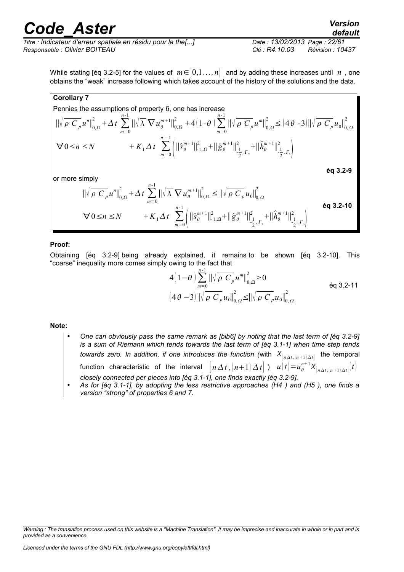**Corollary 7**

*Titre : Indicateur d'erreur spatiale en résidu pour la the[...] Date : 13/02/2013 Page : 22/61 Responsable : Olivier BOITEAU Clé : R4.10.03 Révision : 10437*

**éq 3.2-9**

While stating [éq 3.2-5] for the values of  $m \in [0,1,1,1]$  and by adding these increases until *n*, one obtains the "weak" increase following which takes account of the history of the solutions and the data.

Dennies the assumptions of property 6, one has increase  
\n
$$
\|\sqrt{\rho C_p}u^n\|_{0,\Omega}^2 + \Delta t \sum_{m=0}^{n-1} \|\sqrt{\lambda V}u_{\theta}^{m+1}\|_{0,\Omega}^2 + 4(1-\theta) \sum_{m=0}^{n-1} \|\sqrt{\rho C_p}u^m\|_{0,\Omega}^2 \leq (4\theta - 3) \|\sqrt{\rho C_p}u_0\|_{0,\Omega}^2
$$
\n
$$
\forall 0 \leq n \leq N \qquad + K_1 \Delta t \sum_{m=0}^{n-1} \left( \|\hat{s}_{\theta}^{m+1}\|_{-1,\Omega}^2 + \|\hat{g}_{\theta}^{m+1}\|_{-\frac{1}{2},\Gamma_2}^2 + \|\hat{h}_{\theta}^{m+1}\|_{-\frac{1}{2},\Gamma_3}^2 \right)
$$

or more simply

$$
\|\sqrt{\rho C_p} u^n\|_{0,\Omega}^2 + \Delta t \sum_{m=0}^{n-1} \|\sqrt{\lambda} \nabla u_{\theta}^{m+1}\|_{0,\Omega}^2 \le \|\sqrt{\rho C_p} u_0\|_{0,\Omega}^2
$$
  
\n
$$
\forall 0 \le n \le N \qquad +K_1 \Delta t \sum_{m=0}^{n-1} \left( \|\hat{s}_{\theta}^{m+1}\|_{1,\Omega}^2 + \|\hat{g}_{\theta}^{m+1}\|_{-\frac{1}{2},\Gamma_2}^2 + \|\hat{h}_{\theta}^{m+1}\|_{-\frac{1}{2},\Gamma_3}^2 \right)
$$

#### **Proof:**

Obtaining [éq 3.2-9] being already explained, it remains to be shown [éq 3.2-10]. This "coarse" inequality more comes simply owing to the fact that

$$
4(1-\theta) \sum_{m=0}^{n-1} ||\sqrt{\rho} C_p u^m||_{0,\Omega}^2 \ge 0
$$
  
\n
$$
(4\theta - 3) ||\sqrt{\rho} C_p u_0||_{0,\Omega}^2 \le ||\sqrt{\rho} C_p u_0||_{0,\Omega}^2
$$
 \t\t\t\t $\theta$ 

#### **Note:**

- *One can obviously pass the same remark as [bib6] by noting that the last term of [éq 3.2-9] is a sum of Riemann which tends towards the last term of [éq 3.1-1] when time step tends towards zero. In addition, if one introduces the function (with*  $X_{[n\Delta t, (n+1)\Delta t]}$  *the temporal* function characteristic of the interval  $\frac{n+1}{\theta} \chi_{\left[n\Delta t,(n+1)\Delta t\right]}(t)$ *closely connected per pieces into [éq 3.1-1], one finds exactly [éq 3.2-9].*
- *As for [éq 3.1-1], by adopting the less restrictive approaches (H4 ) and (H5 ), one finds a version "strong" of properties 6 and 7.*

*Warning : The translation process used on this website is a "Machine Translation". It may be imprecise and inaccurate in whole or in part and is provided as a convenience.*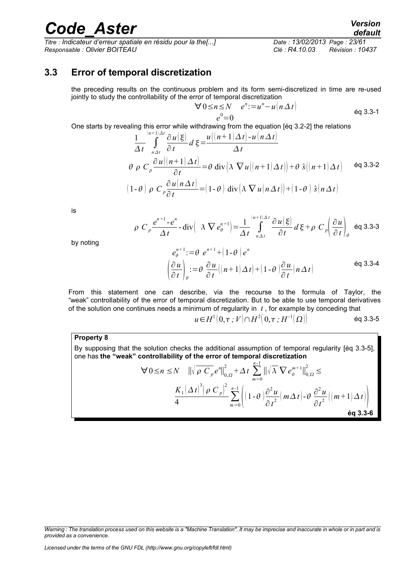*Titre : Indicateur d'erreur spatiale en résidu pour la the[...] Date : 13/02/2013 Page : 23/61 Responsable : Olivier BOITEAU Clé : R4.10.03 Révision : 10437*

### **3.3 Error of temporal discretization**

<span id="page-22-0"></span>the preceding results on the continuous problem and its form semi-discretized in time are re-used jointly to study the controllability of the error of temporal discretization

$$
\forall 0 \le n \le N \quad e^n := u^n - u(n \Delta t)
$$
  
 
$$
e^0 = 0
$$
 \t\t eq 3.3-1

One starts by revealing this error while withdrawing from the equation [éq 3.2-2] the relations

$$
\frac{1}{\Delta t} \int_{n\Delta t}^{(n+1)\Delta t} \frac{\partial u(\xi)}{\partial t} d\xi = \frac{u((n+1)\Delta t) - u(n\Delta t)}{\Delta t}
$$
\n
$$
\theta \rho C_p \frac{\partial u((n+1)\Delta t)}{\partial t} = \theta \operatorname{div} \left( \lambda \nabla u((n+1)\Delta t) \right) + \theta \hat{s}((n+1)\Delta t) \qquad \text{eq 3.3-2}
$$
\n
$$
(1-\theta) \rho C_p \frac{\partial u(n\Delta t)}{\partial t} = (1-\theta) \operatorname{div} \left( \lambda \nabla u(n\Delta t) \right) + (1-\theta) \hat{s}(n\Delta t)
$$

is

$$
\rho \ C_p \frac{e^{n+1} - e^n}{\Delta t} - \text{div} \Big( \lambda \ \nabla \ e_{\theta}^{n+1} \Big) = \frac{1}{\Delta t} \int_{n\Delta t}^{(n+1)\Delta t} \frac{\partial u(\xi)}{\partial t} d\xi + \rho \ C_p \Big( \frac{\partial u}{\partial t} \Big)_{\theta} \text{ eq 3.3-3}
$$

by noting

$$
e_{\theta}^{n+1} := \theta e^{n+1} + (1 - \theta) e^{n}
$$
  
\n
$$
\left(\frac{\partial u}{\partial t}\right)_{\theta} := \theta \frac{\partial u}{\partial t} \left( (n+1) \Delta t \right) + (1 - \theta) \frac{\partial u}{\partial t} \left( n \Delta t \right)
$$
 eq 3.3-4

From this statement one can describe, via the recourse to the formula of Taylor, the "weak" controllability of the error of temporal discretization. But to be able to use temporal derivatives of the solution one continues needs a minimum of regularity in *t* , for example by conceding that

$$
u \in H^1(0, \tau; V) \cap H^2(0, \tau; H^{-1}(\Omega))
$$
 eq 3.3-5

#### **Property 8**

By supposing that the solution checks the additional assumption of temporal regularity [éq 3.3-5], one has **the "weak" controllability of the error of temporal discretization**

$$
\nabla 0 \le n \le N \quad \left\| \sqrt{\rho} \frac{\rho}{\rho} e^n \right\|_{0,\Omega}^2 + \Delta t \sum_{m=0}^{n-1} \left\| \sqrt{\lambda} \nabla e_{\theta}^{m+1} \right\|_{0,\Omega}^2 \le
$$
\n
$$
\frac{K_1(\Delta t)^3 \left( \rho C_p \right)^2}{4} \sum_{m=0}^{n-1} \left( \left( 1 - \theta \right) \frac{\partial^2 u}{\partial t^2} \left( m \Delta t \right) - \theta \frac{\partial^2 u}{\partial t^2} \left( \left( m + 1 \right) \Delta t \right) \right)
$$
\n
$$
\text{Eq 3.3-6}
$$

*Warning : The translation process used on this website is a "Machine Translation". It may be imprecise and inaccurate in whole or in part and is provided as a convenience.*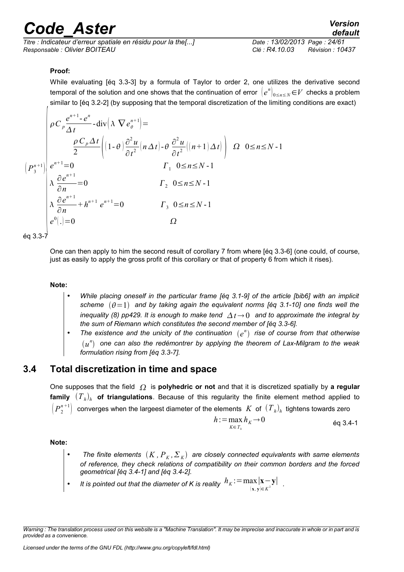*Titre : Indicateur d'erreur spatiale en résidu pour la the[...] Date : 13/02/2013 Page : 24/61 Responsable : Olivier BOITEAU Clé : R4.10.03 Révision : 10437*

*default*

#### **Proof:**

While evaluating [éq 3.3-3] by a formula of Taylor to order 2, one utilizes the derivative second temporal of the solution and one shows that the continuation of error  $\,\big(e^n\big)_{0\leq n\leq N}\!\in\!V\,$  checks a problem similar to [éq 3.2-2] (by supposing that the temporal discretization of the limiting conditions are exact)

$$
\rho C_p \frac{e^{n+1} - e^n}{\Delta t} - \text{div}(\lambda \nabla e^{n+1}) =
$$
\n
$$
\frac{\rho C_p \Delta t}{2} \left( (1 - \theta) \frac{\partial^2 u}{\partial t^2} (n \Delta t) - \theta \frac{\partial^2 u}{\partial t^2} ((n+1) \Delta t) \right) \quad \Omega \quad 0 \le n \le N - 1
$$
\n
$$
\begin{aligned}\n &\left( P_3^{n+1} \right) \left( e^{n+1} = 0 \\
 &\lambda \frac{\partial e^{n+1}}{\partial n} = 0 \\
 &\lambda \frac{\partial e^{n+1}}{\partial n} + h^{n+1} e^{n+1} = 0 \\
 &\lambda \frac{\partial^2 e^{n+1}}{\partial n} + h^{n+1} e^{n+1} = 0 \\
 &\lambda \frac{\partial^2 e^{n+1}}{\partial n} + h^{n+1} e^{n+1} = 0 \\
 &\lambda \frac{\partial^2 e^{n+1}}{\partial n} = 0 \\
 &\lambda \frac{\partial^2 e^{n+1}}{\partial n} = 0 \\
 &\lambda \frac{\partial^2 e^{n+1}}{\partial n} = 0 \\
 &\lambda \frac{\partial^2 e^{n+1}}{\partial n} = 0 \\
 &\lambda \frac{\partial^2 e^{n+1}}{\partial n} = 0 \\
 &\lambda \frac{\partial^2 e^{n+1}}{\partial n} = 0 \\
 &\lambda \frac{\partial^2 e^{n+1}}{\partial n} = 0 \\
 &\lambda \frac{\partial^2 e^{n+1}}{\partial n} = 0 \\
 &\lambda \frac{\partial^2 e^{n+1}}{\partial n} = 0 \\
 &\lambda \frac{\partial^2 e^{n+1}}{\partial n} = 0 \\
 &\lambda \frac{\partial^2 e^{n+1}}{\partial n} = 0 \\
 &\lambda \frac{\partial^2 e^{n+1}}{\partial n} = 0 \\
 &\lambda \frac{\partial^2 e^{n+1}}{\partial n} = 0 \\
 &\lambda \frac{\partial^2 e^{n+1}}{\partial n} = 0 \\
 &\lambda \frac{\partial^2 e^{n+1}}{\partial n} = 0 \\
 &\lambda \frac{\partial^2 e^{n+1}}{\partial n} = 0 \\
 &\lambda \frac{\partial^2 e^{n+1}}{\partial n} = 0 \\
 &\lambda \frac{\partial^2 e^{n+1}}{\partial n} = 0 \\
 &\lambda \frac{\partial^2 e^{n+1}}{\
$$

éq 3.3-7

One can then apply to him the second result of corollary 7 from where [éq 3.3-6] (one could, of course, just as easily to apply the gross profit of this corollary or that of property 6 from which it rises).

#### **Note:**

- *While placing oneself in the particular frame [éq 3.1-9] of the article [bib6] with an implicit scheme*  $(\theta = 1)$  and by taking again the equivalent norms [eq 3.1-10] one finds well the *inequality (8) pp429. It is enough to make tend*  $\Delta t \rightarrow 0$  and to approximate the integral by *the sum of Riemann which constitutes the second member of [éq 3.3-6].*
- The existence and the unicity of the continuation  $(e^n)$  rise of course from that otherwise  $(u^n)$  one can also the redémontrer by applying the theorem of Lax-Milgram to the weak *formulation rising from [éq 3.3-7].*

#### **3.4 Total discretization in time and space**

<span id="page-23-0"></span>One supposes that the field  $\Omega$  is **polyhedric or not** and that it is discretized spatially by a regular family  $(T_{h})_{h}$  of triangulations. Because of this regularity the finite element method applied to  $\left(P_{\,}^{n+1}\right)\;$  converges when the largeest diameter of the elements  $\;K\;$  of  $\;(\overline{T}_h)_h\;$  tightens towards zero

$$
h := \max_{K \in T_h} h_K \to 0 \qquad \text{Eq 3.4-1}
$$

**Note:**

- The finite elements  $(K$  ,  ${P}_{K}$  ,  ${\Sigma}_{K}$  are closely connected equivalents with same elements *of reference, they check relations of compatibility on their common borders and the forced geometrical [éq 3.4-1] and [éq 3.4-2].*
- It is pointed out that the diameter of K is reality  $h_K$ :=max $|\mathbf{x}-\mathbf{y}|$  $\begin{array}{ccc} (x, y) \in K^2 & \text{if } X \setminus K^2 \end{array}$

*Warning : The translation process used on this website is a "Machine Translation". It may be imprecise and inaccurate in whole or in part and is provided as a convenience.*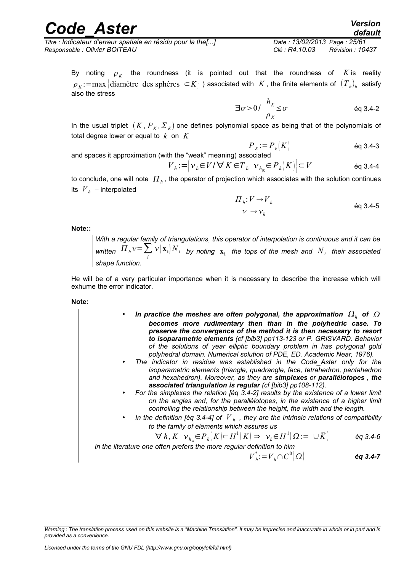*Titre : Indicateur d'erreur spatiale en résidu pour la the[...] Date : 13/02/2013 Page : 25/61 Responsable : Olivier BOITEAU Clé : R4.10.03 Révision : 10437*

By noting  $\rho_K$  the roundness (it is pointed out that the roundness of  $K$  is reality  $\rho_{_K}$ :=max  $|$ diamètre  $|$ des sphères  $|<$  *K* $|$   $>$  associated with  $|K|$  , the finite elements of  $|({T}_h)_{_h}|$  satisfy also the stress

$$
\exists \sigma > 0 / \frac{h_K}{\rho_K} \le \sigma \qquad \qquad \text{Eq 3.4-2}
$$

In the usual triplet  $(K$  ,  ${P}_K$  ,  ${\Sigma}_K)$  one defines polynomial space as being that of the polynomials of total degree lower or equal to *k* on *K*

$$
P_K := P_k(K) \tag{6q 3.4-3}
$$

and spaces it approximation (with the "weak" meaning) associated

$$
\boldsymbol{V}_h := \left[ \boldsymbol{\nu}_h \in \boldsymbol{V} / \boldsymbol{\nabla} \boldsymbol{K} \in \boldsymbol{T}_h \ \ \boldsymbol{\nu}_{h_{\mid K}} \in \boldsymbol{P}_k[\boldsymbol{K}] \right] \subset \boldsymbol{V} \tag{6q 3.4-4}
$$

to conclude, one will note  $\left\|I_{_h}\right\|$ , the operator of projection which associates with the solution continues its  $\left| {V}_{h} \right|$  – interpolated

$$
\Pi_h: V \to V_h
$$
\n
$$
v \to v_h
$$
\n
$$
\Theta \text{3.4-5}
$$

**Note::**

*With a regular family of triangulations, this operator of interpolation is continuous and it can be*  $\lim_{i \to \infty} \prod_i \sum_i \nu(\mathbf{x_i}) N_i$  by noting  $\mathbf{x_i}$  the tops of the mesh and  $N_i$  their associated *shape function.*

He will be of a very particular importance when it is necessary to describe the increase which will exhume the error indicator.

**Note:**

- In practice the meshes are often polygonal, the approximation  $\; \Omega_{_{h}} \;$  of  $\; \Omega$ *becomes more rudimentary then than in the polyhedric case. To preserve the convergence of the method it is then necessary to resort to isoparametric elements (cf [bib3] pp113-123 or P. GRISVARD. Behavior of the solutions of year elliptic boundary problem in has polygonal gold polyhedral domain. Numerical solution of PDE, ED. Academic Near, 1976).*
- *The indicator in residue was established in the Code\_Aster only for the isoparametric elements (triangle, quadrangle, face, tetrahedron, pentahedron and hexahedron). Moreover, as they are simplexes or parallélotopes , the associated triangulation is regular (cf [bib3] pp108-112).*
- *For the simplexes the relation [éq 3.4-2] results by the existence of a lower limit on the angles and, for the parallélotopes, in the existence of a higher limit controlling the relationship between the height, the width and the length.*
- In the definition [éq 3.4-4] of  $|V|_h$ , they are the intrinsic relations of compatibility *to the family of elements which assures us*

$$
\forall h, K \quad \nu_{h_{|K}} \in P_k(K) \subset H^1(K) \Rightarrow \nu_h \in H^1(\Omega) = \cup \overline{K}
$$

*In the literature one often prefers the more regular definition to him*

$$
V_h^* := V_h \cap C^0(\Omega) \qquad \qquad \text{Eq 3.4-7}
$$

*Warning : The translation process used on this website is a "Machine Translation". It may be imprecise and inaccurate in whole or in part and is provided as a convenience.*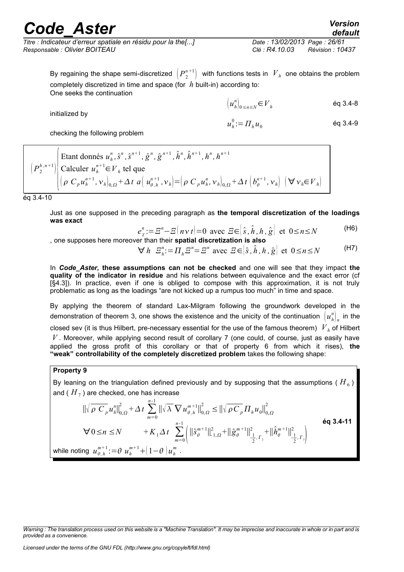*Titre : Indicateur d'erreur spatiale en résidu pour la the[...] Date : 13/02/2013 Page : 26/61 Responsable : Olivier BOITEAU Clé : R4.10.03 Révision : 10437*

By regaining the shape semi-discretized  $\left(P_2^{n+1}\right)$  with functions tests in  $\;{V}_h\;$  one obtains the problem completely discretized in time and space (for *h* built-in) according to: One seeks the continuation

initialized by

$$
\left(u_{h}^{n}\right)_{0\leq n\leq N}\in V_{h}\qquad \qquad \text{eq 3.4-8}
$$

$$
u_h^0 := \Pi_h u_0 \qquad \qquad \text{eq 3.4-9}
$$

checking the following problem

|  | Etant donnés $u^n_h$ , $\hat{s}^n$ , $\hat{s}^{n+1}$ , $\hat{g}^n$ , $\hat{g}^{n+1}$ , $\hat{h}^n$ , $\hat{h}^{n+1}$ , $h^n$ , $h^{n+1}$                                                                                                                                   |
|--|----------------------------------------------------------------------------------------------------------------------------------------------------------------------------------------------------------------------------------------------------------------------------|
|  | $\left  \left( P_2^{h,n+1} \right) \right $ Calculer $u_h^{n+1} \in V_h$ tel que                                                                                                                                                                                           |
|  | $\left  \left( \rho \ C_{p} u_{h}^{n+1}, v_{h} \right)_{0,\Omega} + \Delta t \ a \left( u_{\theta,h}^{n+1}, v_{h} \right) = \left( \rho \ C_{p} u_{h}^{n}, v_{h} \right)_{0,\Omega} + \Delta t \left( b_{\theta}^{n+1}, v_{h} \right) \ (\forall v_{h} \in V_{h}) \right $ |

éq 3.4-10

Just as one supposed in the preceding paragraph as **the temporal discretization of the loadings was exact**

$$
e_x^n := E^n - E\left(n\vee t\right) = 0 \text{ avec } E \in \left[\hat{s}, \hat{h}, h, \hat{g}\right] \text{ et } 0 \le n \le N \tag{H6}
$$

, one supposes here moreover than their **spatial discretization is also**

 $\forall h$   $E_h^n := \prod_h E^n = E^n$  avec  $E \in [\hat{s}, \hat{h}, h, \hat{g}]$  et  $0 \le n \le N$ (H7)

In *Code\_Aster***, these assumptions can not be checked** and one will see that they impact **the quality of the indicator in residue** and his relations between equivalence and the exact error (cf [§4.3]). In practice, even if one is obliged to compose with this approximation, it is not truly problematic as long as the loadings "are not kicked up a rumpus too much" in time and space.

By applying the theorem of standard Lax-Milgram following the groundwork developed in the demonstration of theorem 3, one shows the existence and the unicity of the continuation  $\,\left[u^{\,n}_{h}\right]_{n}$  in the closed sev (it is thus Hilbert, pre-necessary essential for the use of the famous theorem) *V<sup>h</sup>* of Hilbert *V* . Moreover, while applying second result of corollary 7 (one could, of course, just as easily have applied the gross profit of this corollary or that of property 6 from which it rises), **the "weak" controllability of the completely discretized problem** takes the following shape:

#### **Property 9**

whil

By leaning on the triangulation defined previously and by supposing that the assumptions ( $H$ <sub>6</sub>) and (  $\overline{H}_{\,7}$  ) are checked, one has increase

$$
\|\sqrt{\rho C_p} u_n^n\|_{0,\Omega}^2 + \Delta t \sum_{m=0}^{n-1} \|\sqrt{\lambda} \nabla u_{\theta,h}^{m+1}\|_{0,\Omega}^2 \le \|\sqrt{\rho C_p} \Pi_h u_0\|_{0,\Omega}^2
$$
  
\n
$$
\forall 0 \le n \le N \qquad + K_1 \Delta t \sum_{m=0}^{n-1} \left( \|\hat{s}_{\theta}^{m+1}\|_{1,\Omega}^2 + \|\hat{g}_{\theta}^{m+1}\|_{\frac{1}{2},\Gamma_2}^2 + \|\hat{h}_{\theta}^{m+1}\|_{\frac{1}{2},\Gamma_3}^2 \right)
$$
  
\n
$$
\text{e noting } u_{\theta,h}^{m+1} := \theta u_h^{m+1} + (1-\theta) u_h^m.
$$

*Warning : The translation process used on this website is a "Machine Translation". It may be imprecise and inaccurate in whole or in part and is provided as a convenience.*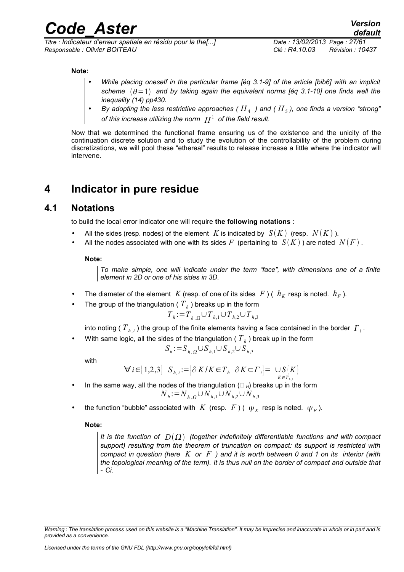*Titre : Indicateur d'erreur spatiale en résidu pour la the[...] Date : 13/02/2013 Page : 27/61 Responsable : Olivier BOITEAU Clé : R4.10.03 Révision : 10437*

#### **Note:**

- *While placing oneself in the particular frame [éq 3.1-9] of the article [bib6] with an implicit scheme*  $(\theta = 1)$  and by taking again the equivalent norms [eq 3.1-10] one finds well the *inequality (14) pp430.*
- *By adopting the less restrictive approaches ( H* <sup>4</sup> *) and ( H* <sup>5</sup> *), one finds a version "strong"* of this increase utilizing the norm  $\ H^1$  of the field result.

Now that we determined the functional frame ensuring us of the existence and the unicity of the continuation discrete solution and to study the evolution of the controllability of the problem during discretizations, we will pool these "ethereal" results to release increase a little where the indicator will intervene.

### <span id="page-26-1"></span>**4 Indicator in pure residue**

#### **4.1 Notations**

<span id="page-26-0"></span>to build the local error indicator one will require **the following notations** :

- All the sides (resp. nodes) of the element *K* is indicated by  $S(K)$  (resp.  $N(K)$ ).
- All the nodes associated with one with its sides F (pertaining to  $S(K)$ ) are noted  $N(F)$ .

#### **Note:**

*To make simple, one will indicate under the term "face", with dimensions one of a finite element in 2D or one of his sides in 3D.*

- The diameter of the element  $K$  (resp. of one of its sides  $F$ ) (  $h_K$  resp is noted.  $h_F$  ).
- The group of the triangulation ( *T<sup>h</sup>* ) breaks up in the form

$$
T_{h} := T_{h,Q} \cup T_{h,1} \cup T_{h,2} \cup T_{h,3}
$$

into noting (  $\overline{T}_{h,i}$  ) the group of the finite elements having a face contained in the border  $\overline{T}_i$  .

• With same logic, all the sides of the triangulation ( *T <sup>h</sup>* ) break up in the form

$$
S_h := S_{h,\Omega} \cup S_{h,1} \cup S_{h,2} \cup S_{h,3}
$$

with

$$
\forall i \in [1,2,3] \ S_{h,i} := [\partial K/K \in T_h \ \partial K \subset \Gamma_i] = \bigcup_{K \in T_{h,i}} [K]
$$

- In the same way, all the nodes of the triangulation  $(\Box_H)$  breaks up in the form  $N_h$ :  $=N$ <sub>*h*, $\Omega$ </sub>∪ $N$ <sub>*h*,1</sub>∪ $N$ <sub>*h*,2</sub>∪ $N$ <sub>*h*,3</sub>
- the function "bubble" associated with  $K$  (resp.  $F$ ) (  $\psi_K$  resp is noted.  $\psi_F$ ).

#### **Note:**

*It is the function of*  $D(\Omega)$  *(together indefinitely differentiable functions and with compact support) resulting from the theorem of truncation on compact: its support is restricted with compact in question (here K or F ) and it is worth between 0 and 1 on its interior (with the topological meaning of the term). It is thus null on the border of compact and outside that - Ci.*

*Warning : The translation process used on this website is a "Machine Translation". It may be imprecise and inaccurate in whole or in part and is provided as a convenience.*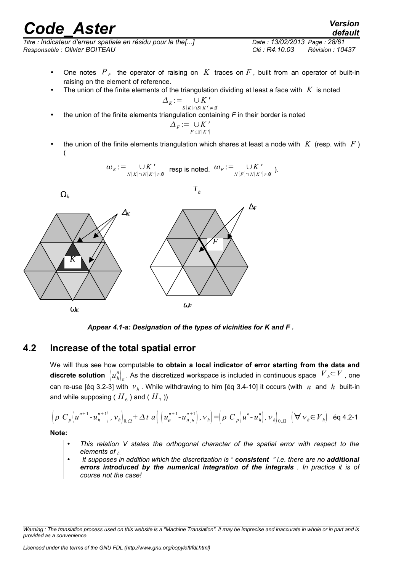*Titre : Indicateur d'erreur spatiale en résidu pour la the[...] Date : 13/02/2013 Page : 28/61 Responsable : Olivier BOITEAU Clé : R4.10.03 Révision : 10437*

- One notes  $P<sub>F</sub>$  the operator of raising on  $K$  traces on  $F$ , built from an operator of built-in raising on the element of reference.
- The union of the finite elements of the triangulation dividing at least a face with  $K$  is noted

$$
\Delta_K\!:=\!\bigcup_{S(K)\cap S(K')\neq\emptyset}\!\!\!\!\!\!K'
$$

• the union of the finite elements triangulation containing *F* in their border is noted

$$
\Delta_F := \bigcup_{F \in S[K']} K'
$$

• the union of the finite elements triangulation which shares at least a node with  $K$  (resp. with  $F$ ) (



*Appear 4.1-a: Designation of the types of vicinities for K and F .*

### **4.2 Increase of the total spatial error**

<span id="page-27-0"></span>We will thus see how computable **to obtain a local indicator of error starting from the data and discrete solution**  $\left(u_n^{\eta}\right)_n$ . As the discretized workspace is included in continuous space  $\,\,V_{\,\,h}{\subset}V$  , one can re-use [éq 3.2-3] with  $v_h$ . While withdrawing to him [éq 3.4-10] it occurs (with *n* and *h* built-in and while supposing (  $\overline{H}_6$  ) and (  $\overline{H}_7$  ))

$$
\left(\rho \ C_p\left(u^{n+1}-u^{n+1}_h\right),\nu_h\right)_{0,\Omega}+\Delta t \ a\left(\left(u^{n+1}_\theta-u^{n+1}_{\theta,h}\right),\nu_h\right)=\left(\rho \ C_p\left(u^n-u_h^n\right),\nu_h\right)_{0,\Omega} \ \left(\forall \nu_h\in V_h\right) \ \text{Eq 4.2-1}
$$

**Note:**

- *This relation V states the orthogonal character of the spatial error with respect to the elements of h.*
- *It supposes in addition which the discretization is " consistent " i.e. there are no additional errors introduced by the numerical integration of the integrals . In practice it is of course not the case!*

*default*

*Warning : The translation process used on this website is a "Machine Translation". It may be imprecise and inaccurate in whole or in part and is provided as a convenience.*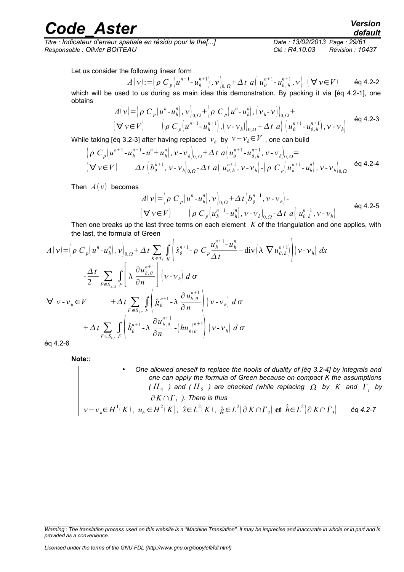*Titre : Indicateur d'erreur spatiale en résidu pour la the[...] Date : 13/02/2013 Page : 29/61 Responsable : Olivier BOITEAU Clé : R4.10.03 Révision : 10437*

Let us consider the following linear form

Let us consider the following linear form:

\n
$$
A[\nu] := \left(\rho C_p \left(u^{n+1} - u_h^{n+1}\right), \nu\right)_{0,\Omega} + \Delta t \, a\left(u^{n+1}_\theta - u^{n+1}_{\theta,h}, \nu\right) \, \left(\nabla \nu \in V\right) \qquad \text{éq 4.2-2}
$$
\nwhich will be used to us during as main idea this demonstration. By packing it via [Eq 4.2-1], one obtains

$$
A(\nu) = \left(\rho C_p \left(u^n - u_h^n\right), \nu\right)_{0,\Omega} + \left(\rho C_p \left(u^n - u_h^n\right), \left(\nu_h - \nu\right)\right)_{0,\Omega} + \left(\nabla \nu \in V\right) \qquad \left(\rho C_p \left(u^{n+1} - u_h^{n+1}\right), \left(\nu - \nu_h\right)\right)_{0,\Omega} + \Delta t \ a \left(\left(u^{n+1}_\theta - u^{n+1}_\theta\right), \nu - \nu_h\right) \qquad \text{Eq 4.2-3}
$$

While taking [éq 3.2-3] after having replaced *v<sup>h</sup>* by *v*−*vh*∈*V* , one can build

$$
\left(\rho \ C_p \left(u^{n+1} - u_h^{n+1} - u^n + u_h^n\right), \, v - v_h\right)_{0,\,\Omega} + \Delta t \ a \left(u^{n+1} - u_{\theta,h}^{n+1}, \, v - v_h\right)_{0,\,\Omega} = \\
\left(\nabla v \in V\right) \qquad \Delta t \left(b^{n+1} - v_h\right)_{0,\,\Omega} - \Delta t \ a \left(u^{n+1} - v_h\right) - \left(\rho \ C_p \left(u^{n+1} - u_h^n\right), \, v - v_h\right)_{0,\,\Omega}\n\right) \qquad \text{Eq 4.2-4}
$$

Then  $A(v)$  becomes

$$
A(\nu) = \left(\rho C_p \left(u^n - u_n^n\right), \nu\right)_{0,\Omega} + \Delta t \left(b_\theta^{n+1}, \nu - \nu_h\right) - \left(\nabla \nu \in V\right) \qquad \left(\rho C_p \left(u_h^{n+1} - u_h^n\right), \nu - \nu_h\right)_{0,\Omega} - \Delta t \quad a\left(u_{\theta,h}^{n+1}, \nu - \nu_h\right) \qquad \text{eq 4.2-5}
$$

Then one breaks up the last three terms on each element *K* of the triangulation and one applies, with the last, the formula of Green

$$
A(v) = \left(\rho C_p \left(u^n - u_n^n\right), v\right)_{0,\Omega} + \Delta t \sum_{K \in T_h} \int_{K} \left(\hat{s}_{\theta}^{n+1} - \rho C_p \frac{u_h^{n+1} - u_h^n}{\Delta t} + \text{div}\left(\lambda \nabla u_{\theta,h}^{n+1}\right)\right) \left(v - v_h\right) dx
$$
  

$$
- \frac{\Delta t}{2} \sum_{F \in S_{h,\Omega}} \int_{F} \left[\lambda \frac{\partial u_{h,\theta}^{n+1}}{\partial n}\right] \left(v - v_h\right) d\sigma
$$
  

$$
\nabla v - v_h \in V \qquad + \Delta t \sum_{F \in S_{h,2}} \int_{F} \left(\hat{g}_{\theta}^{n+1} - \lambda \frac{\partial u_{h,\theta}^{n+1}}{\partial n}\right) \left(v - v_h\right) d\sigma
$$
  

$$
+ \Delta t \sum_{F \in S_{h,3}} \int_{F} \left(\hat{h}_{\theta}^{n+1} - \lambda \frac{\partial u_{h,\theta}^{n+1}}{\partial n} - \left(hu_h\right)_{\theta}^{n+1}\right) \left(v - v_h\right) d\sigma
$$
  
60.4.2-6

éq 4.2-6

**Note::**

• One allowed oneself to replace the hooks of duality of [eq 3.2-4] by integrals and one can apply the formula of Green because on compact K the assumptions 
$$
(H_4^-)
$$
 and  $(H_5^-)$  are checked (while replacing  $\Omega$  by K and  $\Gamma_i$  by  $\partial K \cap \Gamma_i^-$ ). There is thus  $\nu - \nu_h \in H^1(K)$ ,  $u_h \in H^2(K)$ ,  $\hat{s} \in L^2(K)$ ,  $\hat{g} \in L^2(\partial K \cap \Gamma_2)$  et  $\hat{h} \in L^2(\partial K \cap \Gamma_3)$  éq 4.2-7

*Licensed under the terms of the GNU FDL (http://www.gnu.org/copyleft/fdl.html)*

*Warning : The translation process used on this website is a "Machine Translation". It may be imprecise and inaccurate in whole or in part and is provided as a convenience.*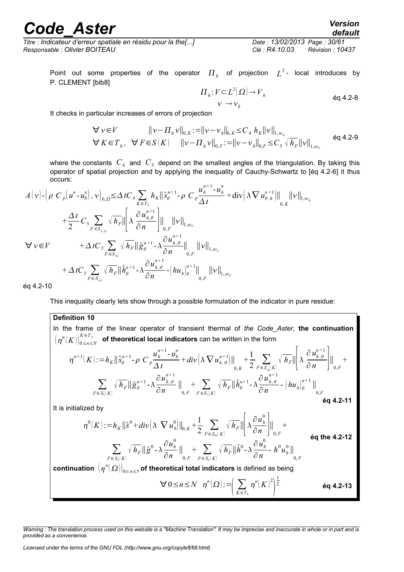*Titre : Indicateur d'erreur spatiale en résidu pour la the[...] Date : 13/02/2013 Page : 30/61 Responsable : Olivier BOITEAU Clé : R4.10.03 Révision : 10437*

#### Point out some properties of the operator  $\overline{H}_h$  of projection  $L^2$ - local introduces by P. CLEMENT [bib8]

$$
\Pi_h: V \subset L^2(\Omega) \to V_h
$$
  
\n
$$
v \to v_h
$$
 eq 4.2-8

It checks in particular increases of errors of projection

$$
\forall v \in V \qquad \|\nu - \Pi_h v\|_{0,K} := \|\nu - \nu_h\|_{0,K} \le C_4 \, h_K \|\nu\|_{1,\,\omega_K}
$$
\n
$$
\forall K \in T_h, \quad \forall F \in S(K) \qquad \|\nu - \Pi_h v\|_{0,F} := \|\nu - \nu_h\|_{0,F} \le C_5 \sqrt{h_F} \|\nu\|_{1,\,\omega_F} \qquad \text{Eq 4.2-9}
$$

where the constants  $\,C_4\,$  and  $\,C_5\,$  depend on the smallest angles of the triangulation. By taking this operator of spatial projection and by applying the inequality of Cauchy-Schwartz to [éq 4.2-6] it thus occurs:

$$
A(\nu) - \left(\rho C_p \left(u^n - u_h^n\right), \nu\right)_{0,\Omega} \leq \Delta t C_4 \sum_{K \in T_h} h_K \|\hat{s}_{\theta}^{n+1} - \rho C_p \frac{u_h^{n+1} - u_h^n}{\Delta t} + \text{div}\left(\lambda \nabla u_{\theta,h}^{n+1}\right)\|_{0,K} \|\nu\|_{1,\omega_K}
$$
  
+ 
$$
\frac{\Delta t}{2} C_5 \sum_{F \in S_{h,\Omega}} \sqrt{h_F} \|\left[\lambda \frac{\partial u_{h,\theta}^{n+1}}{\partial n}\right] \|_{0,F} \|\nu\|_{1,\omega_F}
$$
  

$$
\nabla \nu \in V \qquad + \Delta t C_5 \sum_{F \in S_{h,2}} \sqrt{h_F} \|\hat{g}_{\theta}^{n+1} - \lambda \frac{\partial u_{h,\theta}^{n+1}}{\partial n} \|_{0,F} \|\nu\|_{1,\omega_F}
$$
  
+ 
$$
\Delta t C_5 \sum_{F \in S_{h,3}} \sqrt{h_F} \|\hat{h}_{\theta}^{n+1} - \lambda \frac{\partial u_{h,\theta}^{n+1}}{\partial n} - \left(h u_h\right)_{\theta}^{n+1} \|_{0,F} \|\nu\|_{1,\omega_F}
$$
  
60.4 2-10

éq 4.2-10

This inequality clearly lets show through a possible formulation of the indicator in pure residue:

#### **Definition 10**

In the frame of the linear operator of transient thermal of *the Code\_Aster*, **the continuation**  $\big(\eta^n(K)\big)_{0\leq n\leq N}^{K\in T_h}$  of theoretical local indicators can be written in the form  $\eta^{n+1}(K) := h_K || \hat{s}_{\theta}^{n+1}$ - $\rho C_p$  $u_h^{n+1}$  -  $u_h^n$  $\frac{u_h - u_h}{\Delta t} + div \left( \lambda \nabla u_{h,\theta}^{n+1} \right) \Big|_0^1$ 0, *K*  $+\frac{1}{2}\sum_{F\in S_{\varOmega}\left|K\right|}\sqrt{\left|h_{F}\right|}\right|\left|\lambda\right|$  $\partial u^{n+1}_{h,\theta}$  $\left\lVert \frac{\partial \mathbf{h}}{\partial n} \right\rVert_{0,F}$ + ∑  $F ∈ S_2|K|$  $\sqrt{h_{F}}$ ∥ $\hat{\textbf{g}}_{\theta}^{n}$  $\frac{n+1}{\theta}$  -  $\lambda \frac{\partial u_{h,\theta}^{n+1}}{2}$ ∂*n* ∥  $+\sum_{0,F}$  $F \in S_3[K]$  $\sqrt{h_F}$ || $\hat{h}^{n+1}_{\theta}$  -  $\lambda \frac{\partial u^{n+1}_{h, \theta}}{\partial x}$  $\frac{\partial u_{h,\theta}}{\partial n}$  -  $\left(hu_h\right)_{\theta}^{n+1}$ 0,*F* **éq 4.2-11**

It is initialized by

$$
\eta^{0}(K) := h_{K} \|\hat{s}^{0} + div \left(\lambda \nabla u_{h}^{0}\right)\|_{0,K} + \frac{1}{2} \sum_{F \in S_{\Omega}(K)} \sqrt{h_{F}} \|\left|\lambda \frac{\partial u_{h}^{0}}{\partial n}\right\|_{0,F} +
$$
\n
$$
\sum_{F \in S_{2}(K)} \sqrt{h_{F}} \|\hat{g}^{0} - \lambda \frac{\partial u_{h}^{0}}{\partial n}\|_{0,F} + \sum_{F \in S_{3}(K)} \sqrt{h_{F}} \|\hat{h}^{0} - \lambda \frac{\partial u_{h}^{0}}{\partial n} - h^{0} u_{h}^{0}\|_{0,F}
$$
\nthen  $\left(\frac{n}{2}\right)^{1}$  of the series of total integers is defined so being

**continuation**  $\big(\eta^{\,n}\!(\varOmega)\big)_{0\leq\,n\leq\Lambda}$  of theoretical total indicators is defined as being

$$
\forall 0 \leq n \leq N \quad \eta^{n}(\Omega) := \left(\sum_{K \in T_{h}} \eta^{n}(K)^{2}\right)^{\frac{1}{2}}
$$
\n6q 4.2-13

*default*

*Warning : The translation process used on this website is a "Machine Translation". It may be imprecise and inaccurate in whole or in part and is provided as a convenience.*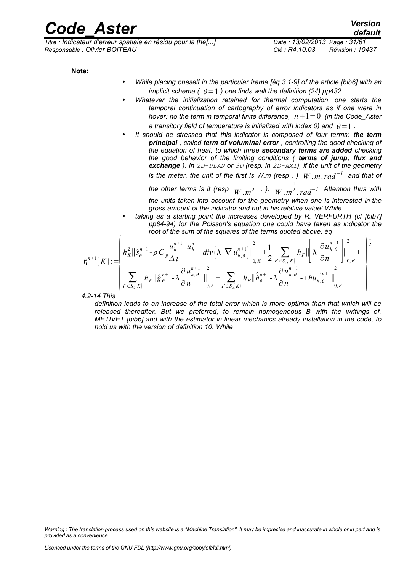*Titre : Indicateur d'erreur spatiale en résidu pour la the[...] Date : 13/02/2013 Page : 31/61 Responsable : Olivier BOITEAU Clé : R4.10.03 Révision : 10437*

*default*

**Note:**

- *While placing oneself in the particular frame [éq 3.1-9] of the article [bib6] with an implicit scheme (*  $\theta = 1$  ) one finds well the definition (24) pp432.
- *Whatever the initialization retained for thermal computation, one starts the temporal continuation of cartography of error indicators as if one were in hover: no the term in temporal finite difference,*  $n+1=0$  *(in the Code Aster a transitory field of temperature is initialized with index 0) and*  $\theta = 1$ *.*
- *It should be stressed that this indicator is composed of four terms: the term principal , called term of voluminal error , controlling the good checking of the equation of heat, to which three secondary terms are added checking the good behavior of the limiting conditions ( terms of jump, flux and exchange ). In 2D-PLAN or 3D (resp. in 2D-AXI), if the unit of the geometry is the meter, the unit of the first is W.m (resp . ) W* .*m*.*rad* <sup>−</sup>*<sup>1</sup> and that of*

*the other terms is it (resp*  $\overline{W}$  *.* $\overline{m}^{\frac{1}{2}}$  $\cdot$  *).*  $\overline{W}$  *.* $\overline{m}^{\frac{1}{2}}$ 2 .*rad*<sup>−</sup>*1 Attention thus with the units taken into account for the geometry when one is interested in the*

*gross amount of the indicator and not in his relative value! While*  • *taking as a starting point the increases developed by R. VERFURTH (cf [bib7] pp84-94) for the Poisson's equation one could have taken as indicator the root of the sum of the squares of the terms quoted above. éq*

$$
\tilde{\eta}^{n+1}(K) := \begin{bmatrix} h_K^2 \|\hat{s}_{\theta}^{n+1} - \rho C_p \frac{u_h^{n+1} - u_h^n}{\Delta t} + div \left(\lambda \nabla u_{h,\theta}^{n+1}\right) \Big|_{0,K}^2 + \frac{1}{2} \sum_{F \in S_n(K)} h_F \left\|\left(\lambda \frac{\partial u_{h,\theta}^{n+1}}{\partial n}\right) \right\|_{0,F}^2 + \frac{1}{2} \sum_{\theta \in S_n(K)} h_F \left\|\left(\lambda \frac{\partial u_{h,\theta}^{n+1}}{\partial n}\right) \right\|_{0,F}^2 + \frac{1}{2} \sum_{\theta \in S_n(K)} h_F \|\hat{g}_{\theta}^{n+1} - \lambda \frac{\partial u_{h,\theta}^{n+1}}{\partial n} - \left(hu_h\right)_{\theta}^{n+1}\right\|_{0,F}^2 + \frac{1}{2} \sum_{\theta \in S_n(K)} h_F \|\hat{g}_{\theta}^{n+1} - \lambda \frac{\partial u_{h,\theta}^{n+1}}{\partial n} - \left(hu_h\right)_{\theta}^{n+1}\|_{0,F}^2 \end{bmatrix}.
$$

*4.2-14 This*

*definition leads to an increase of the total error which is more optimal than that which will be released thereafter. But we preferred, to remain homogeneous B with the writings of. METIVET [bib6] and with the estimator in linear mechanics already installation in the code, to hold us with the version of definition 10. While*

*Warning : The translation process used on this website is a "Machine Translation". It may be imprecise and inaccurate in whole or in part and is provided as a convenience.*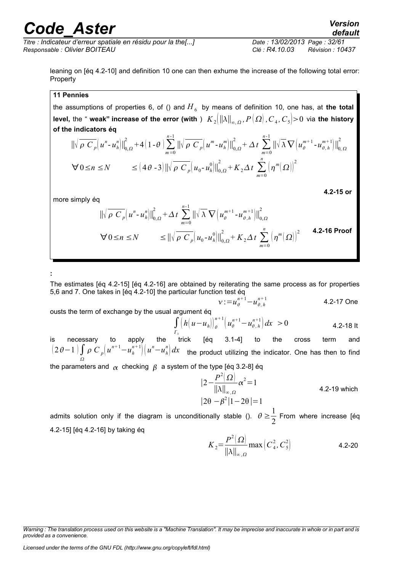*Titre : Indicateur d'erreur spatiale en résidu pour la the[...] Date : 13/02/2013 Page : 32/61 Responsable : Olivier BOITEAU Clé : R4.10.03 Révision : 10437*

## *default*

**4.2-15 or**

leaning on [éq 4.2-10] and definition 10 one can then exhume the increase of the following total error: Property

#### **11 Pennies**

the assumptions of properties 6, of () and  $\overline{H}_6^{}$  by means of definition 10, one has, at **the total level,** the " **weak" increase of the error (with** )  $\ K_2 \big\vert\|\lambda\|_{_{\infty,\,\Omega}}, P\big(\varOmega\big)$  ,  $C_4$ ,  $C_5\big\vert\!\!>\!0$  via the history **of the indicators éq**

$$
\|\sqrt{\rho C_p}\left(u^n - u_n^n\right)\|_{0,\Omega}^2 + 4\left(1 - \theta\right) \sum_{m=0}^{n-1} \|\sqrt{\rho C_p}\left(u^m - u_n^m\right)\|_{0,\Omega}^2 + \Delta t \sum_{m=0}^{n-1} \|\sqrt{\lambda} \nabla \left(u_{\theta}^{m+1} - u_{\theta,h}^{m+1}\right)\|_{0,\Omega}^2
$$
  

$$
\forall 0 \le n \le N \qquad \le (4\theta - 3) \|\sqrt{\rho C_p}\left(u_0 - u_n^0\right)\|_{0,\Omega}^2 + K_2 \Delta t \sum_{m=0}^n \left(\eta^m(\Omega)\right)^2
$$

more simply éq

**:** 

$$
\|\sqrt{\rho C_p} \left( u^n - u_n^n \right) \|_{0,\Omega}^2 + \Delta t \sum_{m=0}^{n-1} \|\sqrt{\lambda} \nabla \left( u_{\theta}^{m+1} - u_{\theta,h}^{m+1} \right) \|_{0,\Omega}^2
$$
  

$$
\forall 0 \le n \le N \qquad \le \|\sqrt{\rho C_p} \left( u_0 - u_n^0 \right) \|_{0,\Omega}^2 + K_2 \Delta t \sum_{m=0}^n \left( \eta^m (\Omega) \right)^2 \qquad \text{4.2-16 Proof}
$$

The estimates [éq 4.2-15] [éq 4.2-16] are obtained by reiterating the same process as for properties 5,6 and 7. One takes in [éq 4.2-10] the particular function test éq

$$
v := u_{\theta}^{n+1} - u_{\theta, h}^{n+1}
$$
 4.2-17 One

ousts the term of exchange by the usual argument éq

$$
\int_{\Gamma_1} \left( h(u - u_h) \right)^{n+1} \left( u_0^{n+1} - u_{\theta, h}^{n+1} \right) dx > 0
$$
 4.2-18 It

 $\Gamma_{3}$ is necessary to apply the trick [éq 3.1-4] to the cross term and  $(2\theta-1)\int$ Ω  $\rho$   $C$ <sub>*p*</sub> $\left(u^{n+1}-u^{n+1}_h\right)\left(u^n-u^{n}_h\right)dx$  the product utilizing the indicator. One has then to find

the parameters and  $\alpha$  checking  $\beta$  a system of the type [éq 3.2-8] éq

$$
|2 - \frac{P^2(\Omega)}{||\lambda||_{\infty,\Omega}} \alpha^2 = 1
$$
  
4.2-19 which  

$$
|2\theta - \beta^2|1 - 2\theta| = 1
$$

admits solution only if the diagram is unconditionally stable ().  $\theta \geq \frac{1}{2}$  $\frac{1}{2}$  From where increase [éq 4.2-15] [éq 4.2-16] by taking éq

$$
K_2 = \frac{P^2(\Omega)}{\|\lambda\|_{\infty,\Omega}} \max\left(C_4^2, C_5^2\right)
$$
 4.2-20

*Warning : The translation process used on this website is a "Machine Translation". It may be imprecise and inaccurate in whole or in part and is provided as a convenience.*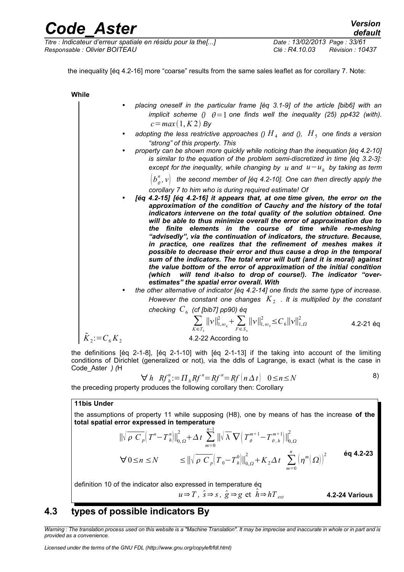*Titre : Indicateur d'erreur spatiale en résidu pour la the[...] Date : 13/02/2013 Page : 33/61 Responsable : Olivier BOITEAU Clé : R4.10.03 Révision : 10437*

*default*

4.2-21 éq

**While**

- *placing oneself in the particular frame [éq 3.1-9] of the article [bib6] with an implicit scheme ()*  $\theta = 1$  *one finds well the inequality (25) pp432 (with).*  $c = max(1, K2)$  *By* 
	- adopting the less restrictive approaches ()  $H_4$  and (),  $H_5$  one finds a version *"strong" of this property. This*
- *property can be shown more quickly while noticing than the inequation [éq 4.2-10] is similar to the equation of the problem semi-discretized in time [éq 3.2-3]: except for the inequality, while changing by*  $u$  *and*  $u - u_h$  *by taking as term*

 $\left( b_{\scriptscriptstyle{\theta}}^{\scriptscriptstyle{n}},v\right)$  the second member of [éq 4.2-10]. One can then directly apply the *corollary 7 to him who is during required estimate! Of* 

- *[éq 4.2-15] [éq 4.2-16] it appears that, at one time given, the error on the approximation of the condition of Cauchy and the history of the total indicators intervene on the total quality of the solution obtained. One will be able to thus minimize overall the error of approximation due to the finite elements in the course of time while re-meshing "advisedly", via the continuation of indicators, the structure. Because, in practice, one realizes that the refinement of meshes makes it possible to decrease their error and thus cause a drop in the temporal sum of the indicators. The total error will butt (and it is moral) against the value bottom of the error of approximation of the initial condition (which will tend it-also to drop of course!). The indicator "overestimates" the spatial error overall. With*
- *the other alternative of indicator [éq 4.2-14] one finds the same type of increase.* However the constant one changes  $\ K_{2}$  . It is multiplied by the constant *checking C*<sup>6</sup> *(cf [bib7] pp90) éq*

$$
\sum_{K \in T_h}^{\infty} ||v||_{1,\omega_K}^2 + \sum_{F \in S_h}^{\infty} ||v||_{1,\omega_F}^2 \le C_6 ||v||_{1,\Omega}^2
$$

 $\tilde{K}_2$ := $C_6 K_2$ 

the definitions [éq 2-1-8], [éq 2-1-10] with [éq 2-1-13] if the taking into account of the limiting conditions of Dirichlet (generalized or not), via the ddls of Lagrange, is exact (what is the case in Code\_Aster *) (*H

4.2-22 According to

$$
\forall h \ Rf_h^n := \prod_h Rf^n = Rf^n = Rf\left(n \Delta t\right) \quad 0 \le n \le N \tag{8}
$$

the preceding property produces the following corollary then: Corollary

#### **11bis Under**

the assumptions of property 11 while supposing (H8), one by means of has the increase **of the total spatial error expressed in temperature**

$$
\|\sqrt{\rho C_p} \Big( T^n - T_h^n \Big) \|_{0,\Omega}^2 + \Delta t \sum_{m=0}^{n-1} \|\sqrt{\lambda} \nabla \Big( T_{\theta}^{m+1} - T_{\theta,h}^{m+1} \Big) \|_{0,\Omega}^2
$$
  

$$
\forall 0 \le n \le N \qquad \le |\|\sqrt{\rho C_p} \Big( T_0 - T_h^0 \Big) \|_{0,\Omega}^2 + K_2 \Delta t \sum_{m=0}^n \Big( \eta^m \Big( \Omega \Big) \Big)^2 \qquad \text{6q 4.2-23}
$$

<span id="page-32-0"></span>definition 10 of the indicator also expressed in temperature éq *u*⇒*T*,  $\hat{s}$  ⇒ *s*,  $\hat{g}$  ⇒ *g* et  $\hat{h}$  ⇒  $hT_{ext}$  **4.2-24 Various** 

### **4.3 types of possible indicators By**

*Warning : The translation process used on this website is a "Machine Translation". It may be imprecise and inaccurate in whole or in part and is provided as a convenience.*

*Licensed under the terms of the GNU FDL (http://www.gnu.org/copyleft/fdl.html)*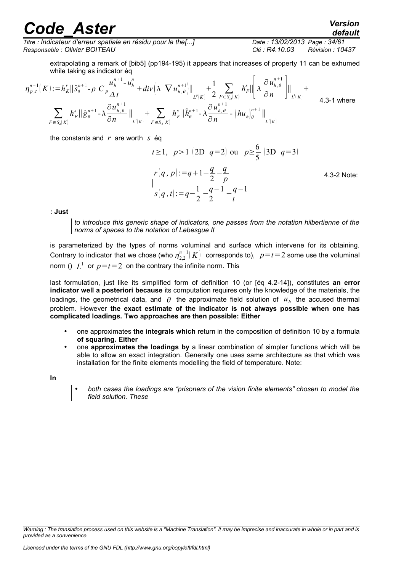*Titre : Indicateur d'erreur spatiale en résidu pour la the[...] Date : 13/02/2013 Page : 34/61 Responsable : Olivier BOITEAU Clé : R4.10.03 Révision : 10437*

extrapolating a remark of [bib5] (pp194-195) it appears that increases of property 11 can be exhumed while taking as indicator éq

$$
\eta_{p,t}^{n+1}(K) := h_K^r \|\hat{s}_{\theta}^{n+1} - \rho C_p \frac{u_h^{n+1} - u_h^n}{\Delta t} + div \left( \lambda \nabla u_{h,\theta}^{n+1} \right) \Big\|_{L^p(K)} + \frac{1}{2} \sum_{F \in S_0(K)} h_F^s \Big\| \left( \lambda \frac{\partial u_{h,\theta}^{n+1}}{\partial n} \right) \Big\|_{L^r(K)} + \sum_{F \in S_2(K)} h_F^s \|\hat{g}_{\theta}^{n+1} - \lambda \frac{\partial u_{h,\theta}^{n+1}}{\partial n} \Big\|_{L^r(K)} + \sum_{F \in S_3(K)} h_F^s \|\hat{h}_{\theta}^{n+1} - \lambda \frac{\partial u_{h,\theta}^{n+1}}{\partial n} - \left( h u_h \right)_{\theta}^{n+1} \Big\|_{L^r(K)} + \frac{4.3-1 \text{ where } \theta \in \Theta_0(K)}{2}
$$

the constants and *r* are worth *s* éq

$$
t \ge 1
$$
,  $p > 1$  (2D  $q=2$ ) ou  $p \ge \frac{6}{5}$  (3D  $q=3$ )  
\n $r(q, p) := q + 1 - \frac{q}{2} - \frac{q}{p}$   
\n $s(q, t) := q - \frac{1}{2} - \frac{q-1}{2} - \frac{q-1}{t}$  4.3-2 Note:

**: Just**

*to introduce this generic shape of indicators, one passes from the notation hilbertienne of the norms of spaces to the notation of Lebesgue It*

is parameterized by the types of norms voluminal and surface which intervene for its obtaining. Contrary to indicator that we chose (who  $\eta_{2,2}^{n+1}(K)$  corresponds to),  $p = t = 2$  some use the voluminal norm ()  $L^1$  or  $p = t = 2$  on the contrary the infinite norm. This

last formulation, just like its simplified form of definition 10 (or [éq 4.2-14]), constitutes **an error indicator well a posteriori because** its computation requires only the knowledge of the materials, the loadings, the geometrical data, and  $\theta$  the approximate field solution of  $u_h$  the accused thermal problem. However **the exact estimate of the indicator is not always possible when one has complicated loadings. Two approaches are then possible: Either**

- one approximates **the integrals which** return in the composition of definition 10 by a formula **of squaring. Either**
- one **approximates the loadings by** a linear combination of simpler functions which will be able to allow an exact integration. Generally one uses same architecture as that which was installation for the finite elements modelling the field of temperature. Note:

**In**

• *both cases the loadings are "prisoners of the vision finite elements" chosen to model the field solution. These*

*default*

*Warning : The translation process used on this website is a "Machine Translation". It may be imprecise and inaccurate in whole or in part and is provided as a convenience.*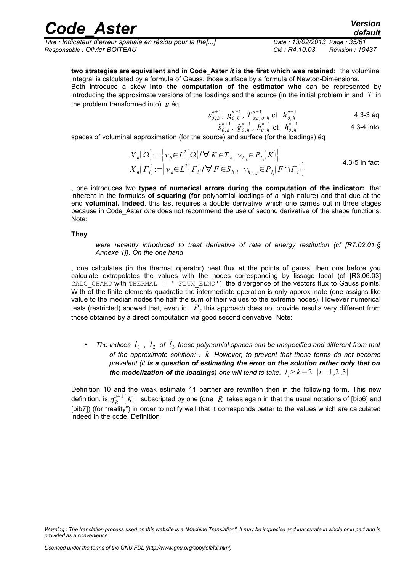| <b>Code Aster</b>                                            | <b>Version</b><br>default          |
|--------------------------------------------------------------|------------------------------------|
| Titre : Indicateur d'erreur spatiale en résidu pour la the[] | Date: 13/02/2013 Page: 35/61       |
| Responsable : Olivier BOITEAU                                | Clé : R4.10.03<br>Révision : 10437 |

**two strategies are equivalent and in Code\_Aster** *it* **is the first which was retained:** the voluminal integral is calculated by a formula of Gauss, those surface by a formula of Newton-Dimensions. Both introduce a skew **into the computation of the estimator who** can be represented by introducing the approximate versions of the loadings and the source (in the initial problem in and *T* in

the problem transformed into) *u* éq

$$
s_{\theta, h}^{n+1}, g_{\theta, h}^{n+1}, T_{ext, \theta, h}^{n+1} \text{ et } h_{\theta, h}^{n+1}
$$
 4.3-3 éq

$$
{}_{\theta,h}^{n+1}, \ \hat{h}_{\theta,h}^{n+1} \text{ et } h_{\theta,h}^{n+1} \qquad \qquad 4.3-4 \text{ into}
$$

 $\hat{s}^{n+1}_{\theta, h}$ ,  $\hat{g}^{n+1}_{\theta, h}$ spaces of voluminal approximation (for the source) and surface (for the loadings) éq

$$
X_h(\Omega) := \Big[ \nu_h \in L^2(\Omega) / \nabla K \in T_h \quad \nu_{h|K} \in P_{L_1}(K) \Big]
$$
  
\n
$$
X_h(\Gamma_i) := \Big[ \nu_h \in L^2(\Gamma_i) / \nabla F \in S_{h,i} \quad \nu_{h|_{K \cap L_i}} \in P_{L_i}(F \cap \Gamma_i) \Big]
$$
  
\n4.3-5 ln fact

, one introduces two **types of numerical errors during the computation of the indicator:** that inherent in the formulas **of squaring (for** polynomial loadings of a high nature) and that due at the end **voluminal. Indeed**, this last requires a double derivative which one carries out in three stages because in Code\_Aster *one* does not recommend the use of second derivative of the shape functions. Note:

#### **They**

*were recently introduced to treat derivative of rate of energy restitution (cf [R7.02.01 § Annexe 1]). On the one hand*

, one calculates (in the thermal operator) heat flux at the points of gauss, then one before you calculate extrapolates the values with the nodes corresponding by lissage local (cf [R3.06.03] CALC CHAMP with THERMAL =  $'$  FLUX ELNO') the divergence of the vectors flux to Gauss points. With of the finite elements quadratic the intermediate operation is only approximate (one assigns like value to the median nodes the half the sum of their values to the extreme nodes). However numerical tests (restricted) showed that, even in,  $\,P_{\,2}$  this approach does not provide results very different from those obtained by a direct computation via good second derivative. Note:

• The indices  $l_1$  ,  $l_2$  of  $l_3$  these polynomial spaces can be unspecified and different from that *of the approximate solution: . k However, to prevent that these terms do not become prevalent (it is a question of estimating the error on the solution rather only that on the modelization of the loadings) one will tend to take.*  $l_i \geq k-2 \;\; |i=1,2,3|$ 

Definition 10 and the weak estimate 11 partner are rewritten then in the following form. This new definition, is  $\eta_R^{n+1}(K)$  subscripted by one (one  $\ R$  takes again in that the usual notations of [bib6] and [bib7]) (for "reality") in order to notify well that it corresponds better to the values which are calculated indeed in the code. Definition

*Warning : The translation process used on this website is a "Machine Translation". It may be imprecise and inaccurate in whole or in part and is provided as a convenience.*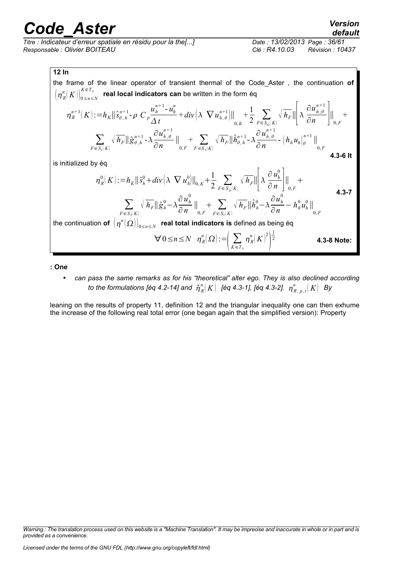*Titre : Indicateur d'erreur spatiale en résidu pour la the[...] Date : 13/02/2013 Page : 36/61 Responsable : Olivier BOITEAU Clé : R4.10.03 Révision : 10437*

### *default*

the frame of the linear operator of transient thermal of the Code\_Aster *,* the continuation **of**  $n_R^n$  $\vert$ 0≤*n*≤*N*  $K ∈ T$ <sub>*h*</sub> **real local indicators can** be written in the form éq

$$
\eta_R^{n+1}(K) := h_K \|\hat{s}_{\theta,h}^{n+1} - \rho C_p \frac{u_h^{n+1} - u_h^n}{\Delta t} + div \left( \lambda \nabla u_{h,\theta}^{n+1} \right) \|_{0,K} + \frac{1}{2} \sum_{F \in S_0(K)} \sqrt{h_F} \| \lambda \frac{\partial u_{h,\theta}^{n+1}}{\partial n} \right) \|_{0,F} +
$$
  

$$
\sum_{F \in S_2(K)} \sqrt{h_F} \| \hat{g}_{\theta,h}^{n+1} - \lambda \frac{\partial u_{h,\theta}^{n+1}}{\partial n} \|_{0,F} + \sum_{F \in S_3(K)} \sqrt{h_F} \| \hat{h}_{\theta,h}^{n+1} - \lambda \frac{\partial u_{h,\theta}^{n+1}}{\partial n} - \left( h_h u_h \right)_{\theta}^{n+1} \|_{0,F}
$$
4.3-6 It

is initialized by éq

$$
\eta_R^0(K) := h_K \|\hat{s}_h^0 + div \left(\lambda \nabla u_h^0\right)\|_{0,K} + \frac{1}{2} \sum_{F \in S_n(K)} \sqrt{h_F} \|\left[\lambda \frac{\partial u_h^0}{\partial n}\right]\|_{0,F} +
$$
\n
$$
\sum_{F \in S_n(K)} \sqrt{h_F} \|\hat{g}_h^0 - \lambda \frac{\partial u_h^0}{\partial n}\|_{0,F} + \sum_{F \in S_n(K)} \sqrt{h_F} \|\hat{h}_h^0 - \lambda \frac{\partial u_h^0}{\partial n} - h_h^0 u_h^0\|_{0,F}
$$
\n
$$
\text{A.3-7}
$$
\n
$$
\text{A.3-7}
$$

the continuation **of**  $\left(\eta^{n}(\varOmega)\right)_{0\leq n\leq N}$  **real total indicators is** defined as being éq

$$
\forall 0 \leq n \leq N \quad \eta_R^n(\Omega) := \left(\sum_{K \in T_k} \eta_R^n(K)^2\right)^{\frac{1}{2}} \tag{4.3-8 \text{ Note:}}
$$

**: One**

• *can pass the same remarks as for his "theoretical" alter ego. They is also declined according*  $t$ o the formulations [éq 4.2-14] and  $\;\widetilde{\eta}_R^n\!(K)\;$  [éq 4.3-1], [éq 4.3-2].  $\;\eta_{R,\,p,\,t}^n\!(K)\;$  By

leaning on the results of property 11, definition 12 and the triangular inequality one can then exhume the increase of the following real total error (one began again that the simplified version): Property

*Warning : The translation process used on this website is a "Machine Translation". It may be imprecise and inaccurate in whole or in part and is provided as a convenience.*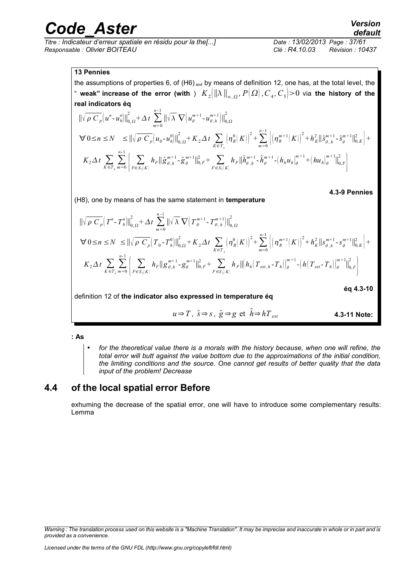*Titre : Indicateur d'erreur spatiale en résidu pour la the[...] Date : 13/02/2013 Page : 37/61 Responsable : Olivier BOITEAU Clé : R4.10.03 Révision : 10437*

#### **13 Pennies**

the assumptions of properties 6, of (H6) and by means of definition 12, one has, at the total level, the  $^*$  weak" increase of the error (with )  $K_2\big|\|\lambda\,\|_{_{\infty,\Omega}},P(\varOmega)$  ,  $C_4$ ,  $C_5\big|\text{>0}$  via the history of the **real indicators éq**

$$
\begin{split}\n\|\sqrt{\rho \ C_p} \Big( u^n - u_n^n \Big) \Big\|_{0,\,\Omega}^2 + \Delta \, t \, \sum_{m=0}^{n-1} \|\sqrt{\lambda} \ \nabla \Big( u_{\theta}^{m+1} - u_{\theta,h}^{m+1} \Big) \Big\|_{0,\,\Omega}^2 \\
\forall \, 0 \leq n \leq N \quad & \leq \|\sqrt{\rho \ C_p} \Big( u_0 - u_n^0 \Big) \Big\|_{0,\,\Omega}^2 + K_2 \Delta \, t \, \sum_{K \in \mathcal{T}_h} \Big( \eta_R^0 \Big( K \Big) \Big)^2 + \sum_{m=0}^{n-1} \Big( \Big( \eta_R^{m+1} \Big( K \Big) \Big)^2 + h_K^2 \|\tilde{s}_{\theta,h}^{m+1} - \tilde{s}_{\theta}^{m+1} \|^2_{0,K} \Big) + \\
K_2 \Delta \, t \, \sum_{K \in \mathcal{T}_h} \sum_{m=0}^{n-1} \Bigg( \sum_{F \in S_2[K]} h_F \|\tilde{\mathcal{B}}_{\theta,h}^{m+1} - \tilde{\mathcal{B}}_{\theta}^{m+1} \|^2_{0,F} + \sum_{F \in S_3[K]} h_F \|\hat{h}_{\theta,h}^{m+1} - \hat{h}_{\theta}^{m+1} - \Big( h_h u_h \Big)_{\theta}^{m+1} + \Big( h u_h \Big)_{\theta}^{m+1} \Big\|_{0,F}^2 \Bigg) \end{split}
$$

(H8), one by means of has the same statement in **temperature**

$$
\|\sqrt{\rho C_p} \left(T^n - T_h^n\right)\|_{0,\Omega}^2 + \Delta t \sum_{m=0}^{n-1} \|\sqrt{\lambda} \nabla \left(T_\theta^{m+1} - T_{\theta,h}^{m+1}\right)\|_{0,\Omega}^2
$$
  
\n
$$
\forall 0 \le n \le N \le \|\sqrt{\rho C_p} \left(T_0 - T_h^0\right)\|_{0,\Omega}^2 + K_2 \Delta t \sum_{K \in T_h} \left(\eta_R^0(K)\right)^2 + \sum_{m=0}^{n-1} \left(\left(\eta_R^{m+1}(K)\right)^2 + h_K^2 \|\mathbf{s}_{\theta,h}^{m+1} - \mathbf{s}_{\theta}^{m+1}\|_{0,K}^2\right) + K_2 \Delta t \sum_{K \in T_h} \sum_{m=0}^{n-1} \left(\sum_{F \in S_2(K)} h_F \|\mathbf{g}_{\theta,h}^{m+1} - \mathbf{g}_{\theta}^{m+1}\|_{0,F}^2 + \sum_{F \in S_3(K)} h_F \|\left(h_h \left(T_{ext,h} - T_h\right)\right)_{\theta}^{m+1} - \left(h \left(T_{ext} - T_h\right)\right)_{\theta}^{m+1}\|_{0,F}^2\right)
$$
  
\n
$$
\text{6q 4.3-10}
$$

definition 12 of **the indicator also expressed in temperature éq**

$$
u \Rightarrow T
$$
,  $\hat{s} \Rightarrow s$ ,  $\hat{g} \Rightarrow g$  et  $\hat{h} \Rightarrow hT_{ext}$  **4.3-11 Note:**

**: As**

• *for the theoretical value there is a morals with the history because, when one will refine, the total error will butt against the value bottom due to the approximations of the initial condition, the limiting conditions and the source. One cannot get results of better quality that the data input of the problem! Decrease* 

### **4.4 of the local spatial error Before**

<span id="page-36-0"></span>exhuming the decrease of the spatial error, one will have to introduce some complementary results: Lemma

**4.3-9 Pennies**

*Warning : The translation process used on this website is a "Machine Translation". It may be imprecise and inaccurate in whole or in part and is provided as a convenience.*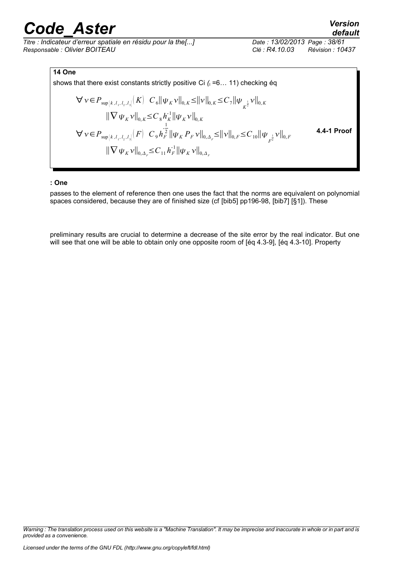*Titre : Indicateur d'erreur spatiale en résidu pour la the[...] Date : 13/02/2013 Page : 38/61 Responsable : Olivier BOITEAU Clé : R4.10.03 Révision : 10437*

**14 One**

shows that there exist constants strictly positive Ci ( $= 6... 11$ ) checking éq

$$
\forall v \in P_{\sup[k, l_1, l_2, l_3]}(K) \quad C_6 \|\psi_K v\|_{0,K} \leq ||v||_{0,K} \leq C_7 \|\psi_{K^{\frac{1}{2}}} v\|_{0,K}
$$
\n
$$
\|\nabla \psi_K v\|_{0,K} \leq C_8 h_K^{-1} \|\psi_K v\|_{0,K}
$$
\n
$$
\forall v \in P_{\sup[k, l_1, l_2, l_3]}(F) \quad C_9 h_F^{-1} \|\psi_K P_F v\|_{0,\Delta_F} \leq ||v||_{0,F} \leq C_{10} \|\psi_{F^{\frac{1}{2}}} v\|_{0,F}
$$
\n4.4-1 Proof\n
$$
\|\nabla \psi_K v\|_{0,\Delta_F} \leq C_{11} h_F^{-1} \|\psi_K v\|_{0,\Delta_F}
$$

#### **: One**

passes to the element of reference then one uses the fact that the norms are equivalent on polynomial spaces considered, because they are of finished size (cf [bib5] pp196-98, [bib7] [§1]). These

preliminary results are crucial to determine a decrease of the site error by the real indicator. But one will see that one will be able to obtain only one opposite room of [éq 4.3-9], [éq 4.3-10]. Property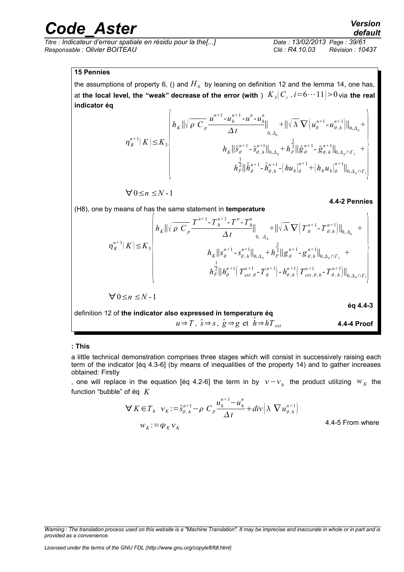*Titre : Indicateur d'erreur spatiale en résidu pour la the[...] Date : 13/02/2013 Page : 39/61 Responsable : Olivier BOITEAU Clé : R4.10.03 Révision : 10437*

### *default*

#### **15 Pennies**

the assumptions of property 6, () and  $\overline{H}_6\;$  by leaning on definition 12 and the lemma 14, one has, at the local level, the "weak" decrease of the error (with)  $K_{3}\big|C_{i}$  ,  $i{=}6{\cdots}11\big){>}0$  via the real **indicator éq**  $\overline{1}$ 

$$
\eta_R^{n+1}(K) \leq K_3 \left\{ h_K \|\sqrt{\rho C_p} \frac{u^{n+1} - u^{n+1} - u^n - u^n_{h}}{\Delta t} \|_{0, \Delta_K} + \|\sqrt{\lambda} \nabla (u^{n+1} - u^{n+1}) \|_{0, \Delta_K} + \frac{1}{h_K \|\hat{S}_{\theta}^{n+1} - \hat{S}_{\theta, h}^{n+1}\|_{0, \Delta_K} + h_F^{\frac{1}{2}} \|\hat{g}_{\theta}^{n+1} - \hat{g}_{\theta, h}^{n+1}\|_{0, \Delta_K \cap \Gamma_2} + \frac{1}{h_F^{\frac{1}{2}} \|\hat{h}_{\theta}^{n+1} - \hat{h}_{\theta, h}^{n+1} - (h u_h)_{\theta}^{n+1} + (h_h u_h)_{\theta}^{n+1} \|_{0, \Delta_K \cap \Gamma_3} \right\}
$$

 $∀$  0 ≤*n* ≤ *N* - 1

**4.4-2 Pennies**

(H8), one by means of has the same statement in **temperature**

*R n*+ 1 *K* ≤*K*<sup>3</sup> { *hK*∥ *C <sup>p</sup> T n*+ 1 -*T <sup>h</sup> n*+ 1 -*T n* -*T<sup>h</sup> n t* ∥ 0, *<sup>K</sup>* +∥ ∇ *T n*+ 1 -*T , <sup>h</sup> n*+ 1 ∥0, *<sup>K</sup>* + *hK*∥*s n*+ 1 -*s , h n*+1 ∥0,*<sup>K</sup>* +*h<sup>F</sup>* 1 2 ∥*g n*+ 1 - *g , <sup>h</sup> n*+ 1 ∥0,*K*∩<sup>2</sup> + *hF* 1 2 ∥*h n* +1 *Text , n* +1 -*T n*+ 1 - *h ,h n* +1 *Text , ,h n* +1 -*T , <sup>h</sup> n*+ 1 ∥0,*K*∩<sup>3</sup> } ∀0≤*n* ≤*N* -1 **éq 4.4-3** definition 12 of **the indicator also expressed in temperature éq** *u*⇒*T , s*⇒ *s, g* ⇒*g* et *h*⇒*hT ext* **4.4-4 Proof**

#### **: This**

a little technical demonstration comprises three stages which will consist in successively raising each term of the indicator [éq 4.3-6] (by means of inequalities of the property 14) and to gather increases obtained: Firstly

, one will replace in the equation [éq 4.2-6] the term in by  $v-v_h$  the product utilizing  $w_K$  the function "bubble" of éq *K*

$$
\forall K \in T_h \quad \nu_K := \hat{s}_{\theta, h}^{n+1} - \rho \ C_p \frac{u_h^{n+1} - u_h^n}{\Delta t} + div \Big( \lambda \ \nabla u_{\theta, h}^{n+1} \Big) \n w_K := \psi_K v_K
$$
\n4.4-5 From where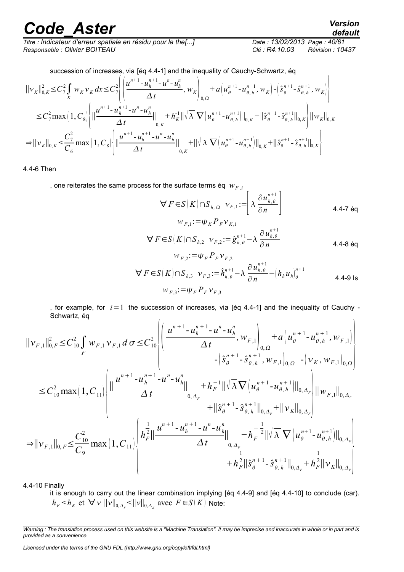*Titre : Indicateur d'erreur spatiale en résidu pour la the[...] Date : 13/02/2013 Page : 40/61 Responsable : Olivier BOITEAU Clé : R4.10.03 Révision : 10437*

succession of increases, via [éq 4.4-1] and the inequality of Cauchy-Schwartz, éq  $||v_K||_{0,K}^2 \le C_7^2$ ∫  $w_K v_K dx \le C_7^2$  $\vert \vert$  $u^{n+1} - u_h^{n+1} - u^n - u_h^n$  $\left[\left(w_{K}\right)^{m}+a\left(u_{\theta}^{n+1}-u_{\theta,h}^{n+1},w_{K}\right)-\left(\hat{S}_{\theta}^{n}\right)\right]$  $\hat{s}_{\theta,h}^{n+1}$  -  $\hat{s}_{\theta,h}^{n+1}$ 

$$
\|v_{K}\|_{0,K}^{2} \leq C_{7}^{2} \int_{K} w_{K} v_{K} dx \leq C_{7}^{2} \left\| \frac{u^{n-1} u_{h}^{n-1} u^{n-1} u_{h}^{n}}{\Delta t} w_{K} \right\|_{0,\Omega} + a \left\{ u_{\theta}^{n+1} - u_{\theta,h}^{n+1}, w_{K} \right\} - \left\{ \hat{s}_{\theta}^{n+1} - \hat{s}_{\theta,h}^{n+1}, w_{K} \right\} \right\}
$$
  
\n
$$
\leq C_{7}^{2} \max \left\{ 1, C_{8} \right\} \left\{ \left\| \frac{u^{n+1} - u_{h}^{n+1} - u^{n}}{\Delta t} \right\|_{0,K} + h_{K}^{-1} \|\sqrt{\lambda} \nabla \left( u_{\theta}^{n+1} - u_{\theta,h}^{n+1} \right) \|_{0,K} + \|\hat{s}_{\theta}^{n+1} - \hat{s}_{\theta,h}^{n+1} \|_{0,K} \right\} \|\boldsymbol{w}_{K} \|_{0,K}
$$
  
\n
$$
\Rightarrow \|\boldsymbol{v}_{K}\|_{0,K} \leq \frac{C_{7}^{2}}{C_{6}} \max \left\{ 1, C_{8} \right\} \left\{ \left\| \frac{u^{n+1} - u_{h}^{n+1} - u^{n} - u_{h}^{n}}{\Delta t} \right\|_{0,K} + \|\sqrt{\lambda} \nabla \left( u_{\theta}^{n+1} - u_{\theta,h}^{n+1} \right) \|_{0,K} + \|\hat{s}_{\theta}^{n+1} - \hat{s}_{\theta,h}^{n+1} \|_{0,K} \right\}
$$

#### 4.4-6 Then

, one reiterates the same process for the surface terms éq  $W_{F,i}$ 

$$
\forall F \in S(K) \cap S_{h,\Omega} \quad \nu_{F,1} := \left[ \lambda \frac{\partial u_{h,\theta}^{n+1}}{\partial n} \right]
$$
  

$$
w_{F,1} := \psi_K P_F v_{K,1}
$$
 (4.4-7 eq)

$$
\forall F \in S(K) \cap S_{h,2} \quad \nu_{F,2} := \hat{g}_{h,\theta}^{n+1} - \lambda \frac{\partial u_{h,\theta}^{n+1}}{\partial n}
$$
4.4-8 eq

$$
w_{F,2} := \psi_F P_F v_{F,2}
$$
  
\n
$$
\forall F \in S(K) \cap S_{h,3} \quad v_{F,3} := \hat{h}_{h,\theta}^{n+1} - \lambda \frac{\partial u_{h,\theta}^{n+1}}{\partial n} - (h_h u_h)_{\theta}^{n+1}
$$
  
\n
$$
w_{F,3} := \psi_F P_F v_{F,3}
$$
 (4.4-9)

, for example, for  $i=1$  the succession of increases, via [éq 4.4-1] and the inequality of Cauchy -Schwartz, éq

$$
\|v_{F,1}\|_{0,F}^{2} \leq C_{10}^{2} \int_{F} w_{F,1} v_{F,1} d\sigma \leq C_{10}^{2} \left\| \frac{u^{n+1} - u_{h}^{n+1} - u^{n} - u_{h}^{n}}{\Delta t}, w_{F,1} \right\|_{0,\Omega} + a \left( u_{\theta}^{n+1} - u_{\theta,h}^{n+1}, w_{F,1} \right) \right\|_{-\left( \hat{S}_{\theta}^{n+1} - \hat{S}_{\theta,h}^{n+1}, w_{F,1} \right)_{0,\Omega} - \left( v_{K}, w_{F,1} \right)_{0,\Omega} \right\|_{-\left( \hat{S}_{\theta}^{n+1} - \hat{S}_{\theta,h}^{n+1}, w_{F,1} \right)_{0,\Omega} - \left( v_{K}, w_{F,1} \right)_{0,\Omega} \right\|_{\infty} \n\leq C_{10}^{2} \max \left( 1, C_{11} \right) \left\| u^{n+1} - u_{h}^{n+1} - u^{n} - u_{h}^{n} \right\|_{0,\Delta_{F}} + h_{F}^{-1} \|\sqrt{\lambda} \nabla \left( u_{\theta}^{n+1} - u_{\theta,h}^{n+1} \right) \bigg\|_{0,\Delta_{F}} \right\| w_{F,1} \bigg\|_{0,\Delta_{F}} \n+ \|\hat{S}_{\theta}^{n+1} - \hat{S}_{\theta,h}^{n+1} \bigg\|_{0,\Delta_{F}} + \|v_{K} \bigg\|_{0,\Delta_{F}} \right\| w_{F,1} \bigg\|_{0,\Delta_{F}} \n\Rightarrow \|v_{F,1}\|_{0,F} \leq \frac{C_{10}^{2}}{C_{9}} \max \left( 1, C_{11} \right) \left\| h_{F}^{\frac{1}{2}} \right\| u^{n+1} - u_{h}^{n+1} - u^{n} - u_{h}^{n} \right\|_{-\Delta_{F}} + h_{F}^{-\frac{1}{2}} \|\sqrt{\lambda} \nabla \left( u_{\theta}^{n+1} - u_{\theta,h}^{n+1} \right) \bigg\|_{0,\Delta_{F}} \n+ h_{F}^{\frac{1}{2}} \|\hat{S}_{\theta}^{n+1} - \hat{S}_{\theta,h}^{
$$

4.4-10 Finally

it is enough to carry out the linear combination implying [éq 4.4-9] and [éq 4.4-10] to conclude (car). *h*<sub>*F*</sub> ≤*h*<sub>*K*</sub> et  $\forall$  *v*  $||v||_{0, \Delta_F}$  ≤  $||v||_{0, \Delta_K}$  avec  $F \in S(K)$  Note:

*Licensed under the terms of the GNU FDL (http://www.gnu.org/copyleft/fdl.html)*

*Warning : The translation process used on this website is a "Machine Translation". It may be imprecise and inaccurate in whole or in part and is provided as a convenience.*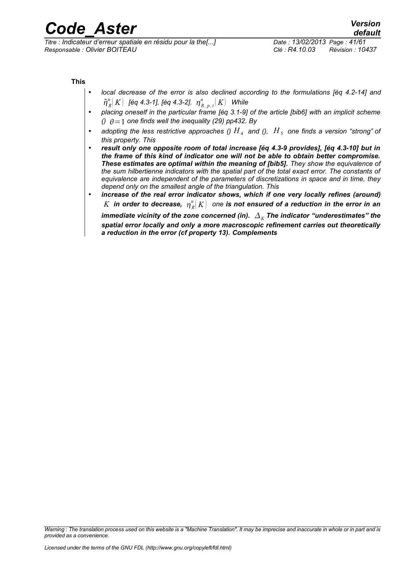*Titre : Indicateur d'erreur spatiale en résidu pour la the[...] Date : 13/02/2013 Page : 41/61 Responsable : Olivier BOITEAU Clé : R4.10.03 Révision : 10437*

**This**

- *local decrease of the error is also declined according to the formulations [éq 4.2-14] and*  $\tilde{\pmb{\eta}}_{\scriptscriptstyle R}^n[K]$  [éq 4.3-1], [éq 4.3-2].  $\pmb{\eta}_{\scriptscriptstyle R,\, p,\, t}^n[K]$  While
- *placing oneself in the particular frame [éq 3.1-9] of the article [bib6] with an implicit scheme ()*  $\theta = 1$  one finds well the inequality (29) pp432. By
- adopting the less restrictive approaches ()  $H<sub>4</sub>$  and (),  $H<sub>5</sub>$  one finds a version "strong" of *this property. This*
- *result only one opposite room of total increase [éq 4.3-9 provides], [éq 4.3-10] but in the frame of this kind of indicator one will not be able to obtain better compromise. These estimates are optimal within the meaning of [bib5]. They show the equivalence of the sum hilbertienne indicators with the spatial part of the total exact error. The constants of equivalence are independent of the parameters of discretizations in space and in time, they depend only on the smallest angle of the triangulation. This*
- *increase of the real error indicator shows, which if one very locally refines (around)*  $K$  *in order to decrease,*  $\left.\eta^{\mathit{n}}_{\mathit{R}}\right| K\right)$  *one is not ensured of a reduction in the error in an immediate vicinity of the zone concerned (in).*  $\,\mathbb{\Delta}_K\,$ *The indicator "underestimates" the*

*spatial error locally and only a more macroscopic refinement carries out theoretically a reduction in the error (cf property 13). Complements*

*Warning : The translation process used on this website is a "Machine Translation". It may be imprecise and inaccurate in whole or in part and is provided as a convenience.*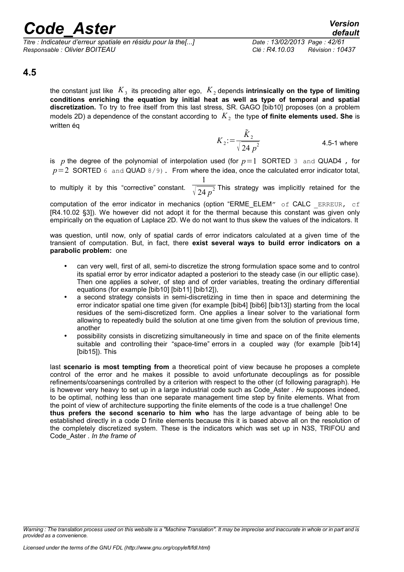*Titre : Indicateur d'erreur spatiale en résidu pour la the[...] Date : 13/02/2013 Page : 42/61 Responsable : Olivier BOITEAU Clé : R4.10.03 Révision : 10437*

### **4.5**

<span id="page-41-0"></span>the constant just like  $|K_{3}|$  its preceding alter ego,  $|K_{2}|$ depends **intrinsically on the type of limiting conditions enriching the equation by initial heat as well as type of temporal and spatial discretization.** To try to free itself from this last stress, SR. GAGO [bib10] proposes (on a problem models 2D) a dependence of the constant according to  $|K_{2}|$  the type **of finite elements used. She** is written éq

$$
K_2 := \frac{\tilde{K}_2}{\sqrt{24 \ p^2}}
$$
 4.5-1 where

is *p* the degree of the polynomial of interpolation used (for  $p=1$  SORTED 3 and QUAD4, for  $p=2$  SORTED 6 and QUAD 8/9). From where the idea, once the calculated error indicator total,

to multiply it by this "corrective" constant. 1  $\sqrt{24\,p^2}$  This strategy was implicitly retained for the

computation of the error indicator in mechanics (option "ERME\_ELEM" of CALC ERREUR, cf [R4.10.02 §3]). We however did not adopt it for the thermal because this constant was given only empirically on the equation of Laplace 2D. We do not want to thus skew the values of the indicators. It

was question, until now, only of spatial cards of error indicators calculated at a given time of the transient of computation. But, in fact, there **exist several ways to build error indicators on a parabolic problem:** one

- can very well, first of all, semi-to discretize the strong formulation space some and to control its spatial error by error indicator adapted a posteriori to the steady case (in our elliptic case). Then one applies a solver, of step and of order variables, treating the ordinary differential equations (for example [bib10] [bib11] [bib12]),
- a second strategy consists in semi-discretizing in time then in space and determining the error indicator spatial one time given (for example [bib4] [bib6] [bib13]) starting from the local residues of the semi-discretized form. One applies a linear solver to the variational form allowing to repeatedly build the solution at one time given from the solution of previous time, another
- possibility consists in discretizing simultaneously in time and space on of the finite elements suitable and controlling their "space-time" errors in a coupled way (for example [bib14] [bib15]). This

last **scenario is most tempting from** a theoretical point of view because he proposes a complete control of the error and he makes it possible to avoid unfortunate decouplings as for possible refinements/coarsenings controlled by a criterion with respect to the other (cf following paragraph). He is however very heavy to set up in a large industrial code such as Code\_Aster *. He* supposes indeed, to be optimal, nothing less than one separate management time step by finite elements. What from the point of view of architecture supporting the finite elements of the code is a true challenge! One **thus prefers the second scenario to him who** has the large advantage of being able to be established directly in a code D finite elements because this it is based above all on the resolution of the completely discretized system. These is the indicators which was set up in N3S, TRIFOU and Code\_Aster *. In the frame of*

*Warning : The translation process used on this website is a "Machine Translation". It may be imprecise and inaccurate in whole or in part and is provided as a convenience.*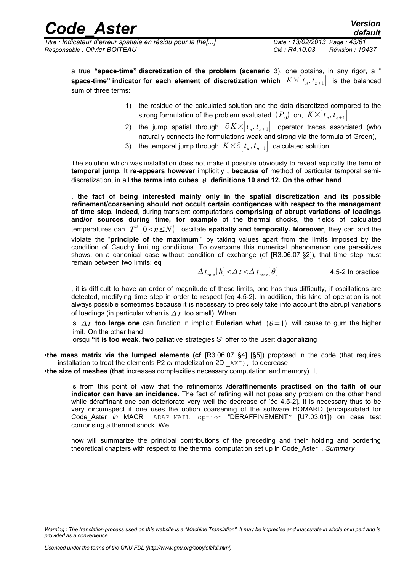*Titre : Indicateur d'erreur spatiale en résidu pour la the[...] Date : 13/02/2013 Page : 43/61 Responsable : Olivier BOITEAU Clé : R4.10.03 Révision : 10437*

*default*

a true **"space-time" discretization of the problem (scenario** 3), one obtains, in any rigor, a "  ${\bf s}$  pace-time" indicator for each element of discretization which  $\left. K\times \right| t_{_n},t_{_{n+1}}\right|$  is the balanced sum of three terms:

- 1) the residue of the calculated solution and the data discretized compared to the strong formulation of the problem evaluated  $(P_{\,0})\,$  on,  $\,K\!\times\![\,t_{_{n}},t_{_{n+1}}]\,$
- 2) the jump spatial through  $\partial K \times ]t_{_n}, t_{_{n+1}}[$  operator traces associated (who naturally connects the formulations weak and strong via the formula of Green),
- 3) the temporal jump through  $K \times \partial \big| t_n, t_{n+1} \big|$  calculated solution.

The solution which was installation does not make it possible obviously to reveal explicitly the term **of temporal jump.** It **re-appears however** implicitly **, because of** method of particular temporal semidiscretization, in all the terms into cubes  $\theta$  definitions 10 and 12. On the other hand

**, the fact of being interested mainly only in the spatial discretization and its possible refinement/coarsening should not occult certain contigences with respect to the management of time step. Indeed**, during transient computations **comprising of abrupt variations of loadings and/or sources during time, for example** of the thermal shocks, the fields of calculated temperatures can  $\;T^{n}\left(0\!<\!n\!\leq\!N\right)\;$  oscillate **spatially and temporally. Moreover**, they can and the violate the "**principle of the maximum** " by taking values apart from the limits imposed by the condition of Cauchy limiting conditions. To overcome this numerical phenomenon one parasitizes shows, on a canonical case without condition of exchange (cf [R3.06.07 §2]), that time step must remain between two limits: éq

$$
\Delta t_{\min}(h) < \Delta t < \Delta t_{\max}(\theta)
$$
 4.5-2 In practice

, it is difficult to have an order of magnitude of these limits, one has thus difficulty, if oscillations are detected, modifying time step in order to respect [éq 4.5-2]. In addition, this kind of operation is not always possible sometimes because it is necessary to precisely take into account the abrupt variations of loadings (in particular when is  $\Delta t$  too small). When

is  $\Delta t$  too large one can function in implicit **Eulerian what**  $(\theta = 1)$  will cause to gum the higher limit. On the other hand

lorsqu **"it is too weak, two** palliative strategies S" offer to the user: diagonalizing

•**the mass matrix via the lumped elements (cf** [R3.06.07 §4] [§5]) proposed in the code (that requires installation to treat the elements P2 *or* modelization 2D \_AXI), to decrease

•**the size of meshes (that** increases complexities necessary computation and memory). It

is from this point of view that the refinements **/déraffinements practised on the faith of our indicator can have an incidence.** The fact of refining will not pose any problem on the other hand while déraffinant one can deteriorate very well the decrease of [éq 4.5-2]. It is necessary thus to be very circumspect if one uses the option coarsening of the software HOMARD (encapsulated for Code\_Aster *in* MACR \_ADAP\_MAIL option "DERAFFINEMENT" [U7.03.01]) on case test comprising a thermal shock. We

now will summarize the principal contributions of the preceding and their holding and bordering theoretical chapters with respect to the thermal computation set up in Code\_Aster *. Summary*

*Warning : The translation process used on this website is a "Machine Translation". It may be imprecise and inaccurate in whole or in part and is provided as a convenience.*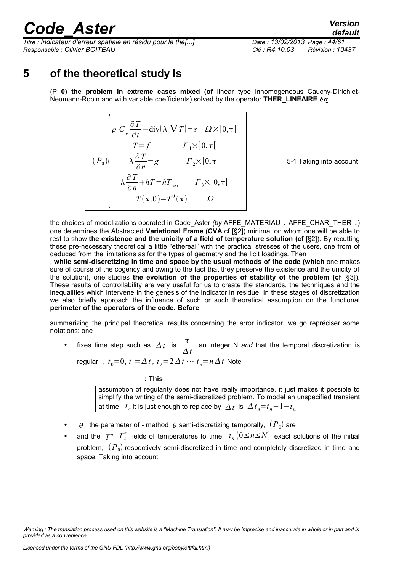*Titre : Indicateur d'erreur spatiale en résidu pour la the[...] Date : 13/02/2013 Page : 44/61 Responsable : Olivier BOITEAU Clé : R4.10.03 Révision : 10437*

### **5 of the theoretical study Is**

<span id="page-43-0"></span>(P **0) the problem in extreme cases mixed (of** linear type inhomogeneous Cauchy-Dirichlet-Neumann-Robin and with variable coefficients) solved by the operator **THER\_LINEAIRE éq**

$$
(P_0)\begin{pmatrix} \rho C_p \frac{\partial T}{\partial t} - \text{div}(\lambda \nabla T) = s & \Omega \times ]0, \tau[\\ T = f & \Gamma_1 \times ]0, \tau[\\ \lambda \frac{\partial T}{\partial n} = g & \Gamma_2 \times ]0, \tau[\\ \lambda \frac{\partial T}{\partial n} + hT = hT_{ext} & \Gamma_3 \times ]0, \tau[\\ T(\mathbf{x}, 0) = T^0(\mathbf{x}) & \Omega \end{pmatrix}
$$

5-1 Taking into account

the choices of modelizations operated in Code Aster *(by* AFFE\_MATERIAU, AFFE\_CHAR\_THER ...) one determines the Abstracted **Variational Frame (CVA** cf [§2]) minimal on whom one will be able to rest to show **the existence and the unicity of a field of temperature solution (cf** [§2]). By recutting these pre-necessary theoretical a little "ethereal" with the practical stresses of the users, one from of deduced from the limitations as for the types of geometry and the licit loadings. Then

, **while semi-discretizing in time and space by the usual methods of the code (which** one makes sure of course of the cogency and owing to the fact that they preserve the existence and the unicity of the solution), one studies **the evolution of the properties of stability of the problem (cf** [§3]). These results of controllability are very useful for us to create the standards, the techniques and the inequalities which intervene in the genesis of the indicator in residue. In these stages of discretization we also briefly approach the influence of such or such theoretical assumption on the functional **perimeter of the operators of the code. Before**

summarizing the principal theoretical results concerning the error indicator, we go repréciser some notations: one

• fixes time step such as  $\Delta t$  is  $\frac{\tau}{4}$  $\frac{1}{\Delta t}$  an integer N *and* that the temporal discretization is regular: ,  $t_0=0$ ,  $t_1 = \Delta t$ ,  $t_2 = 2 \Delta t \cdots t_n = n \Delta t$  Note

#### **: This**

assumption of regularity does not have really importance, it just makes it possible to simplify the writing of the semi-discretized problem. To model an unspecified transient at time,  $t_n$  it is just enough to replace by  $\Delta t$  is  $\Delta t_n = t_n + 1 - t_n$ .

- $\theta$  the parameter of method  $\theta$  semi-discretizing temporally,  $(P_0)$  are
- and the  $T^n$   $T_h^n$  fields of temperatures to time,  $t_n$   $(0 \le n \le N)$  exact solutions of the initial problem,  $(P_0)$  respectively semi-discretized in time and completely discretized in time and space. Taking into account

*Warning : The translation process used on this website is a "Machine Translation". It may be imprecise and inaccurate in whole or in part and is provided as a convenience.*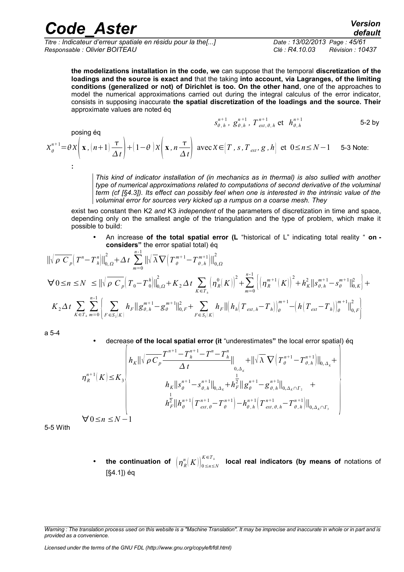*Titre : Indicateur d'erreur spatiale en résidu pour la the[...] Date : 13/02/2013 Page : 45/61 Responsable : Olivier BOITEAU Clé : R4.10.03 Révision : 10437*

**the modelizations installation in the code, we** can suppose that the temporal **discretization of the loadings and the source is exact and** that the taking **into account, via Lagranges, of the limiting conditions (generalized or not) of Dirichlet is too. On the other hand**, one of the approaches to model the numerical approximations carried out during the integral calculus of the error indicator, consists in supposing inaccurate **the spatial discretization of the loadings and the source. Their** approximate values are noted éq

$$
s_{\theta, h}^{n+1}, g_{\theta, h}^{n+1}, T_{ext, \theta, h}^{n+1} \text{ et } h_{\theta, h}^{n+1}
$$
 5-2 by

posing éq

**:** 

 $X_{\theta}^{n+1} = \theta X \left( \mathbf{x}, (n+1) \frac{\tau}{\Delta} \right)$  $\frac{\tau}{\Delta t}$  +  $(1-\theta)$   $\chi$   $\left(x, n\frac{\tau}{\Delta}\right)$  $\frac{d}{dt}$  avec  $X \in [T, s, T_{ext}, g, h]$  et  $0 \le n \le N-1$  5-3 Note:

> *This kind of indicator installation of (in mechanics as in thermal) is also sullied with another type of numerical approximations related to computations of second derivative of the voluminal term (cf [§4.3]). Its effect can possibly feel when one is interested in the intrinsic value of the voluminal error for sources very kicked up a rumpus on a coarse mesh. They*

exist two constant then K2 *and* K3 *independent* of the parameters of discretization in time and space, depending only on the smallest angle of the triangulation and the type of problem, which make it possible to build:

• An increase **of the total spatial error (L** "historical of L" indicating total reality " **on considers"** the error spatial total) éq

$$
\|\sqrt{\rho C_p}\left(T^n - T_n^n\right)\|_{0,\Omega}^2 + \Delta t \sum_{m=0}^{n-1} \|\sqrt{\lambda} \nabla \left(T_{\theta}^{m+1} - T_{\theta,h}^{m+1}\right)\|_{0,\Omega}^2
$$
  

$$
\nabla 0 \le n \le N \le \|\sqrt{\rho C_p}\left(T_0 - T_0^n\right)\|_{0,\Omega}^2 + K_2 \Delta t \sum_{K \in T_h} \left(\eta_{R}^0(K)\right)^2 + \sum_{m=0}^{n-1} \left\{\left(\eta_{R}^{m+1}(K)\right)^2 + h_K^2\|S_{\theta,h}^{m+1} - S_{\theta}^{m+1}\|_{0,K}^2\right\} + K_2 \Delta t \sum_{K \in T_h} \sum_{m=0}^{n-1} \left\{\sum_{F \in S_2(K)} h_F \|\mathbf{g}_{\theta,h}^{m+1} - \mathbf{g}_{\theta}^{m+1}\|_{0,F}^2 + \sum_{F \in S_3(K)} h_F \|\left(h_h\left(T_{ext,h} - T_h\right)\right)_{\theta}^{m+1} - \left(h\left(T_{ext}-T_h\right)\right)_{\theta}^{m+1}\|_{0,F}^2\right\}
$$

a 5-4

• decrease **of the local spatial error (it** "underestimates**"** the local error spatial) éq

$$
\eta_{R}^{n+1}(K) \leq K_{3} \left\{\n\begin{aligned}\n& h_{K} \|\sqrt{\rho} \, C_{p} \frac{T^{n+1} - T^{n+1} - T^{n} - T^{n}_{h}}{\Delta t} \| & + \|\sqrt{\lambda} \, \nabla \left(T^{n+1}_{\theta} - T^{n+1}_{\theta, h}\right) \|_{0, \Delta_{K}} \\
& h_{K} \|s_{\theta}^{n+1} - s_{\theta, h}^{n+1}\|_{0, \Delta_{K}} + h_{F}^{\frac{1}{2}} \|g_{\theta}^{n+1} - g_{\theta, h}^{n+1}\|_{0, \Delta_{K} \cap \Gamma_{2}} \\
& h_{F}^{\frac{1}{2}} \|h_{\theta}^{n+1} \left(T^{n+1}_{ext, \theta} - T^{n+1}_{\theta}\right) - h_{\theta, h}^{n+1} \left(T^{n+1}_{ext, \theta, h} - T^{n+1}_{\theta, h}\right) \|_{0, \Delta_{K} \cap \Gamma_{3}} \\
& \forall 0 \leq n \leq N - 1\n\end{aligned}\n\right\}
$$

5-5 With

• the continuation of  $\left(\eta_R^n\middle|K\right)\right)_{0\leq n\leq N}^{K\in T_h}$ **local real indicators (by means of** notations of [§4.1]) éq

*Warning : The translation process used on this website is a "Machine Translation". It may be imprecise and inaccurate in whole or in part and is provided as a convenience.*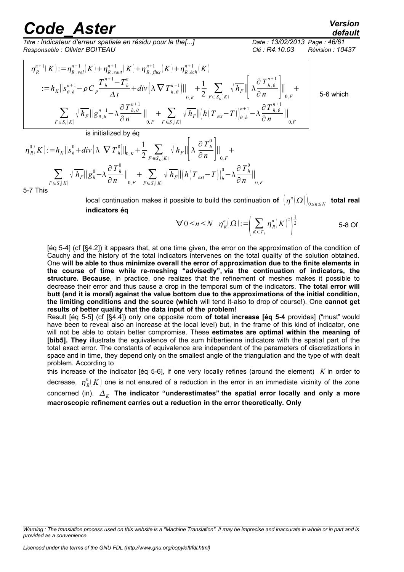$:= h_K ||s_{\theta,h}^{n+1} - \rho C_p \frac{T_h^{n+1} - T_h^n}{\Delta t}$ 

*Titre : Indicateur d'erreur spatiale en résidu pour la the[...] Date : 13/02/2013 Page : 46/61 Responsable : Olivier BOITEAU Clé : R4.10.03 Révision : 10437*

 $\eta^{n+1}_R(K)$  : =  $\eta^{n+1}_{R,vol}(K)$  +  $\eta^{n+1}_{R,suat}(K)$  +  $\eta^{n+1}_{R,flux}(K)$  +  $\eta^{n+1}_{R,ech}(K)$ 

5-6 which

$$
\sum_{F \in S_2(K)} \sqrt{h_F} \|g_{\theta,h}^{n+1} - \lambda \frac{\partial T_{h,\theta}^{n+1}}{\partial n} \|_{0,F} + \sum_{F \in S_3(K)} \sqrt{h_F} \|h(T_{ext}-T)\|_{\theta,h}^{n+1} - \lambda \frac{\partial T_{h,\theta}^{n+1}}{\partial n}
$$
  
is initialized by éq

 $\frac{d}{dt}$  +  $div\left[\lambda \nabla T^{n+1}_{h,\theta}\right]$ 

0, *K*

$$
\eta_R^0(K) := h_K ||s_h^0 + div \left(\lambda \nabla T_h^0\right)||_{0,K} + \frac{1}{2} \sum_{F \in S_{\Omega}(K)} \sqrt{h_F} || \lambda \frac{\partial T_h^0}{\partial n} ||_{0,F} + \sum_{F \in S_2(K)} \sqrt{h_F} ||g_h^0 - \lambda \frac{\partial T_h^0}{\partial n} ||_{0,F} + \sum_{F \in S_3(K)} \sqrt{h_F} ||h \left(T_{ext} - T\right)||_h^0 - \lambda \frac{\partial T_h^0}{\partial n} ||_{0,F}
$$

5-7 This

local continuation makes it possible to build the continuation **of**  $\left(\eta^{n}(\varOmega)\right)_{0\leq n\leq N}$  **total real indicators éq**

 $+\frac{1}{2} \sum_{F \in S_{\Omega}[K]} \sqrt{h_F} \left\| \frac{\partial T_{h,\theta}^{n+1}}{\partial n} \right\|$ 

$$
\forall 0 \leq n \leq N \quad \eta_R^n(\Omega) := \left(\sum_{K \in T_k} \eta_R^n(K)^2\right)^{\frac{1}{2}} \tag{5-8}
$$

 $\frac{n}{\partial n}$ |||

∂ *n*

0, *F*  $^{+}$ 

∥ 0,*F*

[éq 5-4] (cf [§4.2]) it appears that, at one time given, the error on the approximation of the condition of Cauchy and the history of the total indicators intervenes on the total quality of the solution obtained. One **will be able to thus minimize overall the error of approximation due to the finite elements in the course of time while re-meshing "advisedly", via the continuation of indicators, the structure. Because**, in practice, one realizes that the refinement of meshes makes it possible to decrease their error and thus cause a drop in the temporal sum of the indicators. **The total error will butt (and it is moral) against the value bottom due to the approximations of the initial condition, the limiting conditions and the source (which** will tend it-also to drop of course!). One **cannot get results of better quality that the data input of the problem!** 

Result [éq 5-5] (cf [§4.4]) only one opposite room **of total increase [éq 5-4** provides] ("must" would have been to reveal also an increase at the local level) but, in the frame of this kind of indicator, one will not be able to obtain better compromise. These **estimates are optimal within the meaning of [bib5]. They** illustrate the equivalence of the sum hilbertienne indicators with the spatial part of the total exact error. The constants of equivalence are independent of the parameters of discretizations in space and in time, they depend only on the smallest angle of the triangulation and the type of with dealt problem. According to

this increase of the indicator [éq 5-6], if one very locally refines (around the element) *K* in order to decrease,  $\;{\pmb{\eta}}_R^n\vert\,K\big)$  one is not ensured of a reduction in the error in an immediate vicinity of the zone concerned (in).  $\varDelta_K$  T<mark>he indicator "underestimates" the spatial error locally and only a more</mark> **macroscopic refinement carries out a reduction in the error theoretically. Only**

*default*

*Warning : The translation process used on this website is a "Machine Translation". It may be imprecise and inaccurate in whole or in part and is provided as a convenience.*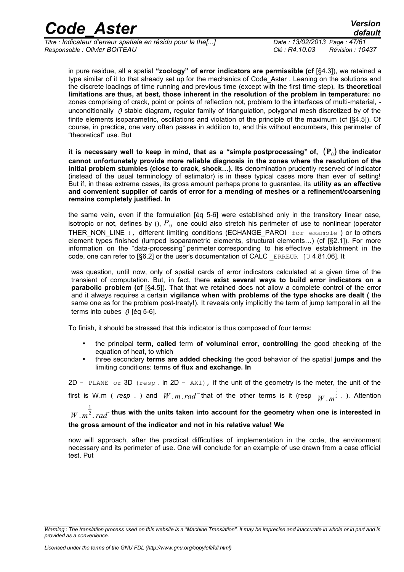*Titre : Indicateur d'erreur spatiale en résidu pour la the[...] Date : 13/02/2013 Page : 47/61 Responsable : Olivier BOITEAU Clé : R4.10.03 Révision : 10437*

in pure residue, all a spatial **"zoology" of error indicators are permissible (cf** [§4.3]), we retained a type similar of it to that already set up for the mechanics of Code\_Aster *.* Leaning on the solutions and the discrete loadings of time running and previous time (except with the first time step), its **theoretical limitations are thus, at best, those inherent in the resolution of the problem in temperature: no** zones comprising of crack, point or points of reflection not, problem to the interfaces of multi-material, unconditionally  $\theta$  stable diagram, regular family of triangulation, polygonal mesh discretized by of the finite elements isoparametric, oscillations and violation of the principle of the maximum (cf [§4.5]). Of course, in practice, one very often passes in addition to, and this without encumbers, this perimeter of "theoretical" use. But

**it is necessary well to keep in mind, that as a "simple postprocessing" of, P<sup>0</sup> the indicator cannot unfortunately provide more reliable diagnosis in the zones where the resolution of the initial problem stumbles (close to crack, shock…). Its** denomination prudently reserved of indicator (instead of the usual terminology of estimator) is in these typical cases more than ever of setting! But if, in these extreme cases, its gross amount perhaps prone to guarantee, its **utility as an effective and convenient supplier of cards of error for a mending of meshes or a refinement/coarsening remains completely justified. In**

the same vein, even if the formulation [éq 5-6] were established only in the transitory linear case, isotropic or not, defines by (),  $\overline{P}_0$  one could also stretch his perimeter of use to nonlinear (operator THER\_NON\_LINE ), different limiting conditions (ECHANGE\_PAROI for example ) or to others element types finished (lumped isoparametric elements, structural elements…) (cf [§2.1]). For more information on the "data-processing" perimeter corresponding to his effective establishment in the code, one can refer to [§6.2] or the user's documentation of CALC ERREUR [U 4.81.06]. It

was question, until now, only of spatial cards of error indicators calculated at a given time of the transient of computation. But, in fact, there **exist several ways to build error indicators on a parabolic problem (cf** [§4.5]). That that we retained does not allow a complete control of the error and it always requires a certain **vigilance when with problems of the type shocks are dealt (** the same one as for the problem post-treaty!). It reveals only implicitly the term of jump temporal in all the terms into cubes  $\theta$  [éq 5-6].

To finish, it should be stressed that this indicator is thus composed of four terms:

- the principal **term, called** term **of voluminal error, controlling** the good checking of the equation of heat, to which
- three secondary **terms are added checking** the good behavior of the spatial **jumps and** the limiting conditions: terms **of flux and exchange. In**

2D - PLANE or 3D (resp. in 2D -  $AXI$ ), if the unit of the geometry is the meter, the unit of the first is W.m ( *resp* . ) and *W* .*m*.*rad*<sup>−</sup>that of the other terms is it (resp  $W.m^{\frac{1}{2}}$ . ). Attention 1

*W* .*m* 2 .*rad*<sup>−</sup>**thus with the units taken into account for the geometry when one is interested in** *<sup>1</sup>*

#### **the gross amount of the indicator and not in his relative value! We**

now will approach, after the practical difficulties of implementation in the code, the environment necessary and its perimeter of use. One will conclude for an example of use drawn from a case official test. Put

*Warning : The translation process used on this website is a "Machine Translation". It may be imprecise and inaccurate in whole or in part and is provided as a convenience.*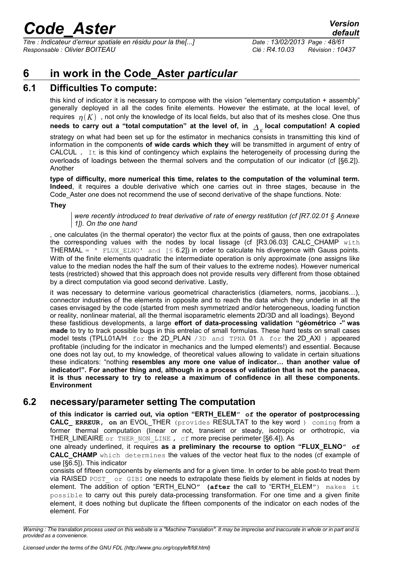*Titre : Indicateur d'erreur spatiale en résidu pour la the[...] Date : 13/02/2013 Page : 48/61 Responsable : Olivier BOITEAU Clé : R4.10.03 Révision : 10437*

### <span id="page-47-2"></span>**6 in work in the Code\_Aster** *particular*

### **6.1 Difficulties To compute:**

<span id="page-47-1"></span>this kind of indicator it is necessary to compose with the vision "elementary computation + assembly" generally deployed in all the codes finite elements. However the estimate, at the local level, of requires  $n(K)$ , not only the knowledge of its local fields, but also that of its meshes close. One thus needs to carry out a "total computation" at the level of, in  $\;{\;}_{\mathcal{A}}$  local computation! A copied strategy on what had been set up for the estimator in mechanics consists in transmitting this kind of information in the components **of wide cards which they** will be transmitted in argument of entry of CALCUL . It is this kind of contingency which explains the heterogeneity of processing during the overloads of loadings between the thermal solvers and the computation of our indicator (cf [§6.2]). Another

**type of difficulty, more numerical this time, relates to the computation of the voluminal term. Indeed**, it requires a double derivative which one carries out in three stages, because in the Code\_Aster *one* does not recommend the use of second derivative of the shape functions. Note:

**They**

*were recently introduced to treat derivative of rate of energy restitution (cf [R7.02.01 § Annexe 1]). On the one hand*

, one calculates (in the thermal operator) the vector flux at the points of gauss, then one extrapolates the corresponding values with the nodes by local lissage (cf  $[R3.06.03]$  CALC CHAMP with THERMAL =  $'$  FLUX ELNO' and [§ 6.2]) in order to calculate his divergence with Gauss points. With of the finite elements quadratic the intermediate operation is only approximate (one assigns like value to the median nodes the half the sum of their values to the extreme nodes). However numerical tests (restricted) showed that this approach does not provide results very different from those obtained by a direct computation via good second derivative. Lastly,

it was necessary to determine various geometrical characteristics (diameters, norms, jacobians…), connector industries of the elements in opposite and to reach the data which they underlie in all the cases envisaged by the code (started from mesh symmetrized and/or heterogeneous, loading function or reality, nonlinear material, all the thermal isoparametric elements 2D/3D and all loadings). Beyond these fastidious developments, a large **effort of data-processing validation "géométrico -" was made** to try to track possible bugs in this entrelac of small formulas. These hard tests on small cases model tests (TPLL01A/H for the 2D PLAN /3D and TPNA 01 A for the 2D AXI ) appeared profitable (including for the indicator in mechanics and the lumped elements!) and essential. Because one does not lay out, to my knowledge, of theoretical values allowing to validate in certain situations these indicators: "nothing **resembles any more one value of indicator… than another value of indicator!". For another thing and, although in a process of validation that is not the panacea, it is thus necessary to try to release a maximum of confidence in all these components. Environment**

### **6.2 necessary/parameter setting The computation**

<span id="page-47-0"></span>**of this indicator is carried out, via option "ERTH\_ELEM" of the operator of postprocessing CALC\_ ERREUR, on** an EVOL\_THER (provides RESULTAT to the key word ) coming from a former thermal computation (linear or not, transient or steady, isotropic or orthotropic, via THER\_LINEAIRE or THER\_NON\_LINE , cf more precise perimeter [§6.4]). As

one already underlined, it requires **as a preliminary the recourse to option "FLUX\_ELNO" of CALC\_CHAMP** which determines the values of the vector heat flux to the nodes (cf example of use [§6.5]). This indicator

consists of fifteen components by elements and for a given time. In order to be able post-to treat them via RAISED POST or GIBI one needs to extrapolate these fields by element in fields at nodes by element. The addition of option "ERTH\_ELNO**" (after** the call to "ERTH\_ELEM") makes it possible to carry out this purely data-processing transformation. For one time and a given finite element, it does nothing but duplicate the fifteen components of the indicator on each nodes of the element. For

*Warning : The translation process used on this website is a "Machine Translation". It may be imprecise and inaccurate in whole or in part and is provided as a convenience.*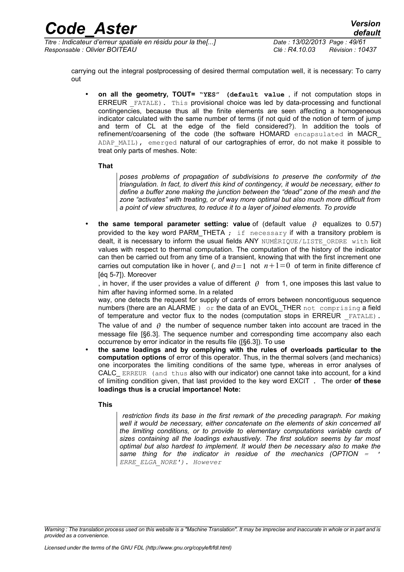*Titre : Indicateur d'erreur spatiale en résidu pour la the[...] Date : 13/02/2013 Page : 49/61 Responsable : Olivier BOITEAU Clé : R4.10.03 Révision : 10437*

carrying out the integral postprocessing of desired thermal computation well, it is necessary: To carry out

• **on all the geometry, TOUT= "YES" (default value** , if not computation stops in ERREUR FATALE). This provisional choice was led by data-processing and functional contingencies, because thus all the finite elements are seen affecting a homogeneous indicator calculated with the same number of terms (if not quid of the notion of term of jump and term of CL at the edge of the field considered?). In addition the tools of refinement/coarsening of the code (the software HOMARD encapsulated in MACR\_ ADAP MAIL), emerged natural of our cartographies of error, do not make it possible to treat only parts of meshes. Note:

#### **That**

*poses problems of propagation of subdivisions to preserve the conformity of the triangulation. In fact, to divert this kind of contingency, it would be necessary, either to define a buffer zone making the junction between the "dead" zone of the mesh and the zone "activates" with treating, or of way more optimal but also much more difficult from a point of view structures, to reduce it to a layer of joined elements. To provide*

the same temporal parameter setting: value of (default value  $\theta$  equalizes to 0.57) provided to the key word PARM\_THETA ; if necessary if with a transitory problem is dealt, it is necessary to inform the usual fields ANY NUMÉRIQUE/LISTE ORDRE with licit values with respect to thermal computation. The computation of the history of the indicator can then be carried out from any time of a transient, knowing that with the first increment one carries out computation like in hover (, and  $\theta=1$  not  $n+1=0$  of term in finite difference cf [éq 5-7]). Moreover

, in hover, if the user provides a value of different  $\theta$  from 1, one imposes this last value to him after having informed some. In a related

way, one detects the request for supply of cards of errors between noncontiguous sequence numbers (there are an ALARME) or the data of an EVOL\_THER not comprising a field of temperature and vector flux to the nodes (computation stops in ERREUR FATALE). The value of and  $\theta$  the number of sequence number taken into account are traced in the message file [§6.3]. The sequence number and corresponding time accompany also each occurrence by error indicator in the results file ([§6.3]). To use

• **the same loadings and by complying with the rules of overloads particular to the computation options** of error of this operator. Thus, in the thermal solvers (and mechanics) one incorporates the limiting conditions of the same type, whereas in error analyses of CALC ERREUR (and thus also with our indicator) one cannot take into account, for a kind of limiting condition given, that last provided to the key word EXCIT . The order **of these loadings thus is a crucial importance! Note:**

#### **This**

*restriction finds its base in the first remark of the preceding paragraph. For making well it would be necessary, either concatenate on the elements of skin concerned all the limiting conditions, or to provide to elementary computations variable cards of sizes containing all the loadings exhaustively. The first solution seems by far most optimal but also hardest to implement. It would then be necessary also to make the same thing for the indicator in residue of the mechanics (OPTION = ' ERRE\_ELGA\_NORE'). However*

*Warning : The translation process used on this website is a "Machine Translation". It may be imprecise and inaccurate in whole or in part and is provided as a convenience.*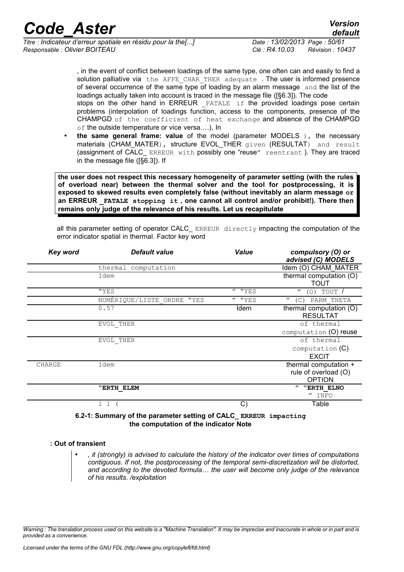*Titre : Indicateur d'erreur spatiale en résidu pour la the[...] Date : 13/02/2013 Page : 50/61 Responsable : Olivier BOITEAU Clé : R4.10.03 Révision : 10437*

*default*

, in the event of conflict between loadings of the same type, one often can and easily to find a solution palliative via the AFFE CHAR THER adequate . The user is informed presence of several occurrence of the same type of loading by an alarm message and the list of the loadings actually taken into account is traced in the message file ([§6.3]). The code stops on the other hand in ERREUR FATALE if the provided loadings pose certain problems (interpolation of loadings function, access to the components, presence of the CHAMPGD of the coefficient of heat exchange and absence of the CHAMPGD of the outside temperature or vice versa....), In

• **the same general frame: value** of the model (parameter MODELS ), the necessary materials (CHAM\_MATER), structure EVOL\_THER given (RESULTAT) and result (assignment of CALC ERREUR with possibly one "reuse" reentrant). They are traced in the message file ([§6.3]). If

**the user does not respect this necessary homogeneity of parameter setting (with the rules of overload near) between the thermal solver and the tool for postprocessing, it is exposed to skewed results even completely false (without inevitably an alarm message or an ERREUR \_FATALE stopping it , one cannot all control and/or prohibit!). There then remains only judge of the relevance of his results. Let us recapitulate**

all this parameter setting of operator CALC ERREUR directly impacting the computation of the error indicator spatial in thermal. Factor key word

| <b>Key word</b> | <b>Default value</b>          | Value                  | compulsory (O) or<br>advised (C) MODELS                        |
|-----------------|-------------------------------|------------------------|----------------------------------------------------------------|
|                 | thermal computation           |                        | Idem (O) CHAM MATER                                            |
|                 | Idem                          |                        | thermal computation (O)<br><b>TOUT</b>                         |
|                 | "YES                          | $^{\prime\prime}$ "YES | $(0)$ TOUT $/$<br>$^{\prime\prime}$                            |
|                 | NUMÉRIQUE/LISTE ORDRE<br>"YES | " "YES                 | $^{\prime\prime}$<br>(C)<br>PARM THETA                         |
|                 | 0.57                          | Idem                   | thermal computation (O)<br><b>RESULTAT</b>                     |
|                 | EVOL THER                     |                        | of thermal                                                     |
|                 |                               |                        | computation (O) reuse                                          |
|                 | EVOL THER                     |                        | of thermal                                                     |
|                 |                               |                        | computation $(C)$<br><b>EXCIT</b>                              |
| <b>CHARGE</b>   | Idem                          |                        | thermal computation +<br>rule of overload (O)<br><b>OPTION</b> |
|                 | "ERTH ELEM                    |                        | $"$ "ERTH ELNO                                                 |
|                 |                               |                        | " INFO                                                         |
|                 | $1\quad1$                     | $\mathbf{C}$           | Table                                                          |

#### **6.2-1: Summary of the parameter setting of CALC\_ ERREUR impacting the computation of the indicator Note**

#### **: Out of transient**

• *, it (strongly) is advised to calculate the history of the indicator over times of computations contiguous. If not, the postprocessing of the temporal semi-discretization will be distorted, and according to the devoted formula… the user will become only judge of the relevance of his results. /exploitation*

*Warning : The translation process used on this website is a "Machine Translation". It may be imprecise and inaccurate in whole or in part and is provided as a convenience.*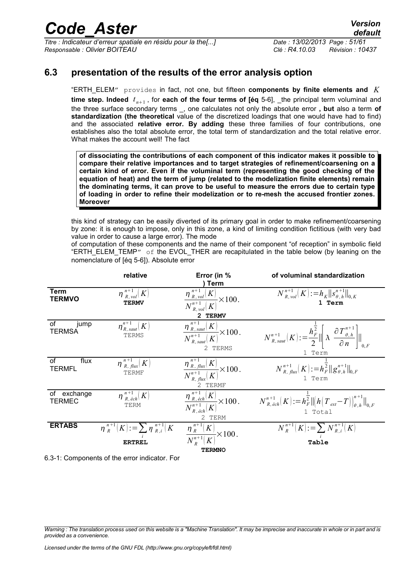*Titre : Indicateur d'erreur spatiale en résidu pour la the[...] Date : 13/02/2013 Page : 51/61 Responsable : Olivier BOITEAU Clé : R4.10.03 Révision : 10437*

### **6.3 presentation of the results of the error analysis option**

<span id="page-50-0"></span>"ERTH\_ELEM" provides in fact, not one, but fifteen **components by finite elements and** *K* **time step. Indeed**  $t_{n+1}$ , for **each of the four terms of [éq** 5-6], \_the principal term voluminal and the three surface secondary terms \_, one calculates not only the absolute error **, but** also a term **of standardization (the theoretical** value of the discretized loadings that one would have had to find) and the associated **relative error. By adding** these three families of four contributions, one establishes also the total absolute error, the total term of standardization and the total relative error. What makes the account well! The fact

**of dissociating the contributions of each component of this indicator makes it possible to compare their relative importances and to target strategies of refinement/coarsening on a certain kind of error. Even if the voluminal term (representing the good checking of the equation of heat) and the term of jump (related to the modelization finite elements) remain the dominating terms, it can prove to be useful to measure the errors due to certain type of loading in order to refine their modelization or to re-mesh the accused frontier zones. Moreover**

this kind of strategy can be easily diverted of its primary goal in order to make refinement/coarsening by zone: it is enough to impose, only in this zone, a kind of limiting condition fictitious (with very bad value in order to cause a large error). The mode

of computation of these components and the name of their component "of reception" in symbolic field "ERTH\_ELEM\_TEMP"  $\circ$  f the EVOL\_THER are recapitulated in the table below (by leaning on the nomenclature of [éq 5-6]). Absolute error

|                                 | relative                                             | Error (in %<br>Term                                                                                                                         | of voluminal standardization                                                                                                      |
|---------------------------------|------------------------------------------------------|---------------------------------------------------------------------------------------------------------------------------------------------|-----------------------------------------------------------------------------------------------------------------------------------|
| <b>Term</b><br><b>TERMVO</b>    | $\eta\frac{n+1}{R, vol}(K)$<br><b>TERMV</b>          | $\frac{\overline{\eta^{n+1}_{R,vol}(K)}}{N_{\frac{p}{2 \text{ vol}}(K)}^{n+1}}$ $\times 100$ .<br>2 TERMV                                   | $N_{R, vol}^{n+1}(K) := h_K   s_{\theta, h}^{n+1}  _{0, K}$<br>1 Term                                                             |
| of<br>jump<br><b>TERMSA</b>     | $\eta^{n+1}_{R,\,saut}(K)$<br>TERMS                  | $n+1$<br>$\frac{\eta_{R, saut}^{n+1}(K)}{N_{R, saut}^{n+1}(K)} \times 100.$<br>2 TERMS                                                      | $N_{R, saut}^{n+1}(K) := \frac{h_F^2}{2} \left\  \lambda \frac{\partial T_{\theta, h}^{n+1}}{\partial n} \right\ _{0, F}$<br>Term |
| of<br>flux<br><b>TERMFL</b>     | $n+1$<br>$\eta_{R, flux}^{n+1}(K)$<br>TERMF          | $\frac{\overline{\eta_{R,\,flux}^{n+1}}(K)}{N_{R,\,flux}^{n+1}(K)} \times 100.$<br>2 TERMF                                                  | $N_{R,\;flux}^{n+1}(K):=h_F^2  g_{\theta,h}^{n+1}  _{0,F}$<br>1 Term                                                              |
| of<br>exchange<br><b>TERMEC</b> | $\eta\, \frac{n+1}{R, \, \acute{e}ch} (K)$<br>TERM   | $\frac{\overline{\eta\,{}^{n+1}_{R,\, \acute{e}ch}(\overline{K})}}{N\,{}^{n+1}_{R,\, \acute{e}ch}(\overline{K})} \times 100 \, .$<br>2 TERM | $N_{R,\text{\'{e}ch}}^{n+1}(K) := h_F^2   \left(h\left(T_{\text{ext}}-T\right)\right)_{\theta,h}^{n+1}  _{0,F}$<br>1 Total        |
| <b>ERTABS</b>                   | $\eta^{n+1}_R[K]$ : $=\sum_{k} \eta^{n+1}_{R,i} [K]$ | $\frac{\overline{\eta_R^{n+1}(K)}}{N_n^{n+1}(K)}$ $\times$ 100.                                                                             | $N_R^{n+1}(K) := \sum_{i} N_{R,i}^{n+1}(K)$                                                                                       |
|                                 | <b>ERTREL</b>                                        |                                                                                                                                             | Table                                                                                                                             |
|                                 |                                                      | <b>TERMNO</b>                                                                                                                               |                                                                                                                                   |

6.3-1: Components of the error indicator. For

*Warning : The translation process used on this website is a "Machine Translation". It may be imprecise and inaccurate in whole or in part and is provided as a convenience.*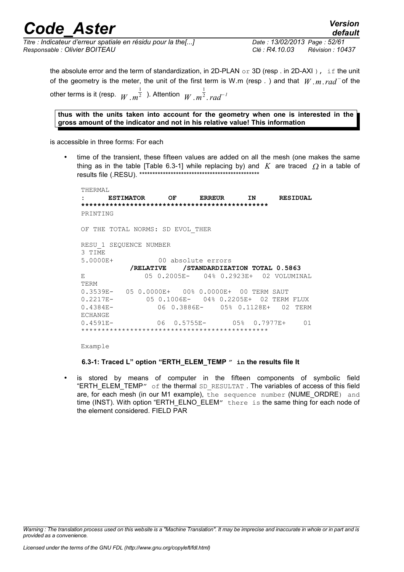*default*

*Titre : Indicateur d'erreur spatiale en résidu pour la the[...] Date : 13/02/2013 Page : 52/61 Responsable : Olivier BOITEAU Clé : R4.10.03 Révision : 10437*

the absolute error and the term of standardization, in 2D-PLAN  $\circ$  x 3D (resp. in 2D-AXI), if the unit of the geometry is the meter, the unit of the first term is W.m (resp *.* ) and that *W* .*m*.*rad* <sup>−</sup>*<sup>1</sup>* of the other terms is it (resp.  $\stackrel{\ }{W}$  ,  $\stackrel{\ }{m^2}$  ). Attention  $\stackrel{\ }{W}$  ,  $\stackrel{\ }{m^2}$ 2 .*rad*<sup>−</sup>*<sup>1</sup>*

**thus with the units taken into account for the geometry when one is interested in the gross amount of the indicator and not in his relative value! This information**

is accessible in three forms: For each

• time of the transient, these fifteen values are added on all the mesh (one makes the same thing as in the table [Table 6.3-1] while replacing by) and *K* are traced  $\Omega$  in a table of results file (.RESU). \*\*\*\*\*\*\*\*\*\*\*\*\*\*\*\*\*\*\*\*\*\*\*\*\*\*\*\*\*\*\*\*\*\*\*\*\*\*\*\*\*\*\*\*\*\*

THERMAL **: ESTIMATOR OF ERREUR IN RESIDUAL \*\*\*\*\*\*\*\*\*\*\*\*\*\*\*\*\*\*\*\*\*\*\*\*\*\*\*\*\*\*\*\*\*\*\*\*\*\*\*\*\*\*\*\*\*\*** PRINTING OF THE TOTAL NORMS: SD EVOL THER RESU\_1 SEQUENCE NUMBER 3 TIME 5.0000E+ 00 absolute errors  **/RELATIVE /STANDARDIZATION TOTAL 0.5863** E 05 0.2005E- 04% 0.2923E+ 02 VOLUMINAL TERM 0.3539E- 05 0.0000E+ 00% 0.0000E+ 00 TERM SAUT 0.2217E- 05 0.1006E- 04% 0.2205E+ 02 TERM FLUX 0.4384E- 06 0.3886E- 05% 0.1128E+ 02 TERM ECHANGE 0.4591E- 06 0.5755E- 05% 0.7977E+ 01 \*\*\*\*\*\*\*\*\*\*\*\*\*\*\*\*\*\*\*\*\*\*\*\*\*\*\*\*\*\*\*\*\*\*\*\*\*\*\*\*\*\*\*\*\*\*

Example

**6.3-1: Traced L" option "ERTH\_ELEM\_TEMP " in the results file It**

is stored by means of computer in the fifteen components of symbolic field "ERTH\_ELEM\_TEMP" of the thermal SD\_RESULTAT . The variables of access of this field are, for each mesh (in our M1 example), the sequence number (NUME ORDRE) and time (INST). With option "ERTH\_ELNO\_ELEM" there is the same thing for each node of the element considered. FIELD PAR

*Warning : The translation process used on this website is a "Machine Translation". It may be imprecise and inaccurate in whole or in part and is provided as a convenience.*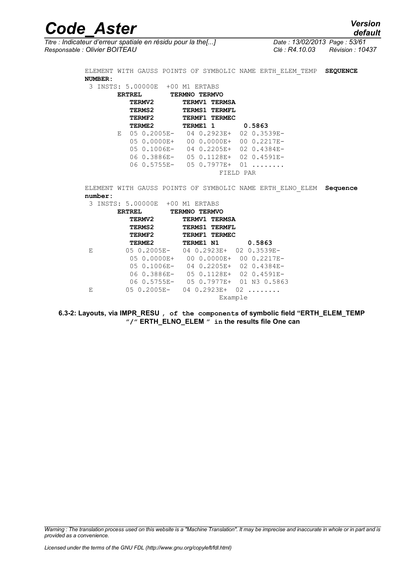*Titre : Indicateur d'erreur spatiale en résidu pour la the[...] Date : 13/02/2013 Page : 53/61 Responsable : Olivier BOITEAU Clé : R4.10.03 Révision : 10437*

ELEMENT WITH GAUSS POINTS OF SYMBOLIC NAME ERTH\_ELEM\_TEMP **SEQUENCE NUMBER:** 3 INSTS: 5.00000E +00 M1 ERTABS **ERTREL TERMNO TERMVO**<br>TERMV2 TERMV1 TER **TERMV1 TERMSA TERMS2 TERMS1 TERMFL TERMF2 TERMF1 TERMEC TERME2 TERME1 1 0.5863** E 05 0.2005E- 04 0.2923E+ 02 0.3539E- 05 0.0000E+ 00 0.0000E+ 00 0.2217E- 05 0.1006E- 04 0.2205E+ 02 0.4384E- 06 0.3886E- 05 0.1128E+ 02 0.4591E- 06 0.5755E- 05 0.7977E+ 01 ....... FIELD PAR ELEMENT WITH GAUSS POINTS OF SYMBOLIC NAME ERTH\_ELNO\_ELEM **Sequence number:** 3 INSTS: 5.00000E +00 M1 ERTABS **ERTREL TERMNO TERMVO TERMV2 TERMV1 TERMSA TERMS2 TERMS1 TERMFL TERMF2 TERMF1 TERMEC TERME2 TERME1 N1 0.5863** E 05 0.2005E- 04 0.2923E+ 02 0.3539E-

| 3 | INSTS: 5.00000E       | $+00$ M1 ERTABS |                  |                                     |
|---|-----------------------|-----------------|------------------|-------------------------------------|
|   | <b>ERTREL</b>         | TERMNO TERMVO   |                  |                                     |
|   | TERMV2                |                 | TERMV1 TERMSA    |                                     |
|   | <b>TERMS2</b>         |                 | TERMS1 TERMFL    |                                     |
|   | TERMF2                |                 | TERMF1 TERMEC    |                                     |
|   | <b>TERME2</b>         |                 | <b>TERME1 N1</b> | 0.5863                              |
| Е |                       |                 |                  | 05 0.2005E- 04 0.2923E+ 02 0.3539E- |
|   | 05 0.0000E+           |                 | 00 0.0000E+      | $000.2217E -$                       |
|   | $0.5 \quad 0.1006E -$ |                 | 04 0.2205E+      | $02 \quad 0.4384E -$                |
|   | 06 0.3886E-           |                 | 05 0.1128E+      | $02 \quad 0.4591E -$                |
|   | $060.5755E -$         |                 | 05 0.7977E+      | 01 N3 0.5863                        |
| Ε |                       |                 |                  | $0.2005E - 0.402323E + 0.202$       |
|   |                       |                 |                  | Example                             |

**6.3-2: Layouts, via IMPR\_RESU , of the components of symbolic field "ERTH\_ELEM\_TEMP "/" ERTH\_ELNO\_ELEM " in the results file One can**

*Warning : The translation process used on this website is a "Machine Translation". It may be imprecise and inaccurate in whole or in part and is provided as a convenience.*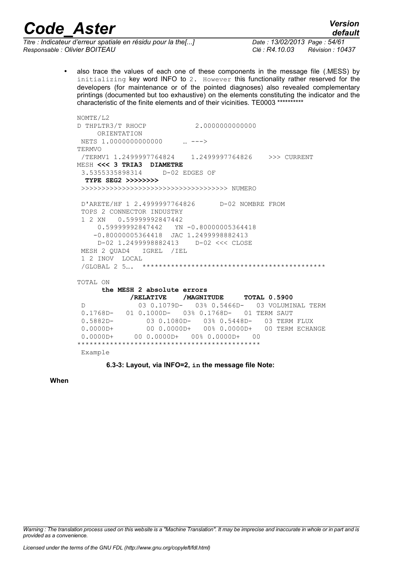*Titre : Indicateur d'erreur spatiale en résidu pour la the[...] Date : 13/02/2013 Page : 54/61 Responsable : Olivier BOITEAU Clé : R4.10.03 Révision : 10437*

*default*

• also trace the values of each one of these components in the message file (.MESS) by initializing key word INFO to 2. However this functionality rather reserved for the developers (for maintenance or of the pointed diagnoses) also revealed complementary printings (documented but too exhaustive) on the elements constituting the indicator and the characteristic of the finite elements and of their vicinities. TE0003 \*\*\*\*\*\*

```
NOMTE/L2
D THPLTR3/T RHOCP 2.0000000000000
     ORIENTATION
NETS 1.00000000000000 ... --->
TERMVO
                          /TERMV1 1.2499997764824 1.2499997764826 >>> CURRENT
MESH <<< 3 TRIA3 DIAMETRE 
 3.5355335898314 D-02 EDGES OF
  TYPE SEG2 >>>>>>>> 
 >>>>>>>>>>>>>>>>>>>>>>>>>>>>>>>>>>>> NUMERO
  D'ARETE/HF 1 2.4999997764826 D-02 NOMBRE FROM
  TOPS 2 CONNECTOR INDUSTRY 
  1 2 XN 0.59999992847442 
     0.59999992847442 YN -0.80000005364418
     -0.80000005364418 JAC 1.2499998882413
     D-02 1.2499998882413 D-02 <<< CLOSE
 MESH 2 QUAD4 IGREL /IEL 
 1 2 INOV LOCAL 
  /GLOBAL 2 5…. ********************************************* 
TOTAL ON
       the MESH 2 absolute errors 
             /RELATIVE /MAGNITUDE TOTAL 0.5900
  D 03 0.1079D- 03% 0.5466D- 03 VOLUMINAL TERM
0.1768D- 01 0.1000D- 03% 0.1768D- 01 TERM SAUT<br>0.5882D- 03 0.1080D- 03% 0.5448D- 03 TERM
              03 0.1080D- 03% 0.5448D- 03 TERM FLUX
 0.0000D+ 00 0.0000D+ 00% 0.0000D+ 00 TERM ECHANGE
 0.0000D+ 00 0.0000D+ 00% 0.0000D+ 00
*********************************************
 Example
```
**6.3-3: Layout, via INFO=2, in the message file Note:**

**When**

*Warning : The translation process used on this website is a "Machine Translation". It may be imprecise and inaccurate in whole or in part and is provided as a convenience.*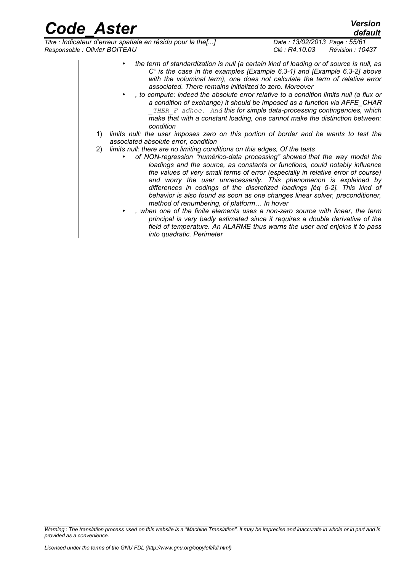*default*

*Titre : Indicateur d'erreur spatiale en résidu pour la the[...] Date : 13/02/2013 Page : 55/61 Responsable : Olivier BOITEAU Clé : R4.10.03 Révision : 10437*

- *the term of standardization is null (a certain kind of loading or of source is null, as C" is the case in the examples [Example 6.3-1] and [Example 6.3-2] above with the voluminal term), one does not calculate the term of relative error associated. There remains initialized to zero. Moreover*
- *, to compute: indeed the absolute error relative to a condition limits null (a flux or a condition of exchange) it should be imposed as a function via AFFE\_CHAR \_THER\_F adhoc. And this for simple data-processing contingencies, which make that with a constant loading, one cannot make the distinction between: condition*
- 1) *limits null: the user imposes zero on this portion of border and he wants to test the associated absolute error, condition*
- 2) *limits null: there are no limiting conditions on this edges, Of the tests* 
	- *of NON-regression "numérico-data processing" showed that the way model the loadings and the source, as constants or functions, could notably influence the values of very small terms of error (especially in relative error of course) and worry the user unnecessarily. This phenomenon is explained by differences in codings of the discretized loadings [éq 5-2]. This kind of behavior is also found as soon as one changes linear solver, preconditioner, method of renumbering, of platform… In hover*
	- *, when one of the finite elements uses a non-zero source with linear, the term principal is very badly estimated since it requires a double derivative of the field of temperature. An ALARME thus warns the user and enjoins it to pass into quadratic. Perimeter*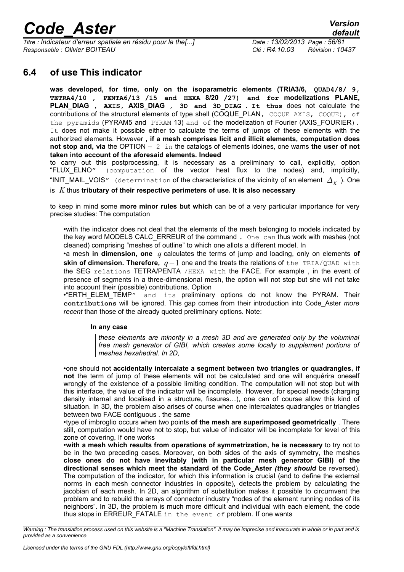*Titre : Indicateur d'erreur spatiale en résidu pour la the[...] Date : 13/02/2013 Page : 56/61 Responsable : Olivier BOITEAU Clé : R4.10.03 Révision : 10437*

### **6.4 of use This indicator**

<span id="page-55-0"></span>**was developed, for time, only on the isoparametric elements (TRIA3/6, QUAD4/8/ 9, TETRA4/10 , PENTA6/13 /15 and HEXA 8/20 /27) and for modelizations PLANE, PLAN\_DIAG , AXIS, AXIS\_DIAG , 3D and 3D\_DIAG . It thus** does not calculate the contributions of the structural elements of type shell (COQUE\_PLAN, COQUE AXIS, COQUE), of the pyramids (PYRAM5 and PYRAM 13) and of the modelization of Fourier (AXIS FOURIER). It does not make it possible either to calculate the terms of jumps of these elements with the authorized elements. However **, if a mesh comprises licit and illicit elements, computation does not stop and, via** the OPTION – 2 in the catalogs of elements idoines, one warns **the user of not taken into account of the aforesaid elements. Indeed**

to carry out this postprocessing, it is necessary as a preliminary to call, explicitly, option "FLUX\_ELNO" (computation of the vector heat flux to the nodes) and, implicitly, "INIT\_MAIL\_VOIS" (determination <mark>of the characteristics of the vicinity of an element  $\varDelta_K$  ). One</mark>

is *K* thus **tributary of their respective perimeters of use. It is also necessary**

to keep in mind some **more minor rules but which** can be of a very particular importance for very precise studies: The computation

•with the indicator does not deal that the elements of the mesh belonging to models indicated by the key word MODELS CALC ERREUR of the command . One can thus work with meshes (not cleaned) comprising "meshes of outline" to which one allots a different model. In

•a mesh **in dimension, one** *q* calculates the terms of jump and loading, only on elements **of skin of dimension. Therefore,** *q*−1 one and the treats the relations of the TRIA/QUAD with the SEG relations TETRA/PENTA /HEXA with the FACE. For example , in the event of presence of segments in a three-dimensional mesh, the option will not stop but she will not take into account their (possible) contributions. Option

•"ERTH ELEM TEMP" and its preliminary options do not know the PYRAM. Their **contributions** will be ignored. This gap comes from their introduction into Code\_Aster *more recent* than those of the already quoted preliminary options. Note:

#### **In any case**

*these elements are minority in a mesh 3D and are generated only by the voluminal free mesh generator of GIBI, which creates some locally to supplement portions of meshes hexahedral. In 2D,* 

•one should not **accidentally intercalate a segment between two triangles or quadrangles, if not** the term of jump of these elements will not be calculated and one will enquérira oneself wrongly of the existence of a possible limiting condition. The computation will not stop but with this interface, the value of the indicator will be incomplete. However, for special needs (charging density internal and localised in a structure, fissures…), one can of course allow this kind of situation. In 3D, the problem also arises of course when one intercalates quadrangles or triangles between two FACE contiguous . the same

•type of imbroglio occurs when two points **of the mesh are superimposed geometrically** . There still, computation would have not to stop, but value of indicator will be incomplete for level of this zone of covering, If one works

•**with a mesh which results from operations of symmetrization, he is necessary** to try not to be in the two preceding cases. Moreover, on both sides of the axis of symmetry, the meshes **close ones do not have inevitably (with in particular mesh generator GIBI) of the directional senses which meet the standard of the Code\_Aster** *(they should* be reversed). The computation of the indicator, for which this information is crucial (and to define the external norms in each mesh connector industries in opposite), detects the problem by calculating the jacobian of each mesh. In 2D, an algorithm of substitution makes it possible to circumvent the problem and to rebuild the arrays of connector industry "nodes of the element running nodes of its neighbors". In 3D, the problem is much more difficult and individual with each element, the code thus stops in ERREUR FATALE in the event of problem. If one wants

*Warning : The translation process used on this website is a "Machine Translation". It may be imprecise and inaccurate in whole or in part and is provided as a convenience.*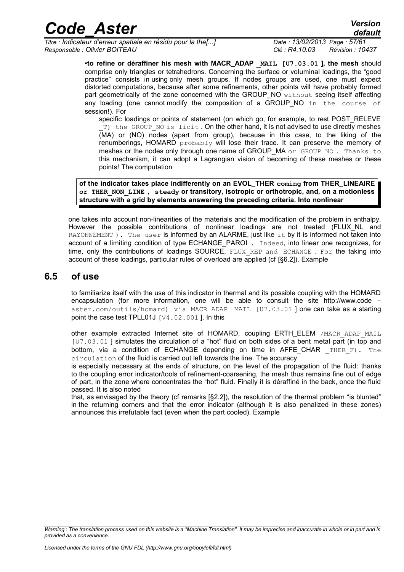*Titre : Indicateur d'erreur spatiale en résidu pour la the[...] Date : 13/02/2013 Page : 57/61 Responsable : Olivier BOITEAU Clé : R4.10.03 Révision : 10437*

•**to refine or déraffiner his mesh with MACR\_ADAP** MAIL [U7.03.01], the mesh should comprise only triangles or tetrahedrons. Concerning the surface or voluminal loadings, the "good practice" consists in using only mesh groups. If nodes groups are used, one must expect distorted computations, because after some refinements, other points will have probably formed part geometrically of the zone concerned with the GROUP NO without seeing itself affecting any loading (one cannot modify the composition of a GROUP NO in the course of session!). For

specific loadings or points of statement (on which go, for example, to rest POST\_RELEVE T) the GROUP NO is licit . On the other hand, it is not advised to use directly meshes (MA) or (NO) nodes (apart from group), because in this case, to the liking of the renumberings, HOMARD probably will lose their trace. It can preserve the memory of meshes or the nodes only through one name of GROUP MA or GROUP NO. Thanks to this mechanism, it can adopt a Lagrangian vision of becoming of these meshes or these points! The computation

**of the indicator takes place indifferently on an EVOL\_THER coming from THER\_LINEAIRE or THER\_NON\_LINE , steady or transitory, isotropic or orthotropic, and, on a motionless structure with a grid by elements answering the preceding criteria. Into nonlinear**

one takes into account non-linearities of the materials and the modification of the problem in enthalpy. However the possible contributions of nonlinear loadings are not treated (FLUX\_NL and RAYONNEMENT). The user is informed by an ALARME, just like it by it is informed not taken into account of a limiting condition of type ECHANGE\_PAROI . Indeed, into linear one recognizes, for time, only the contributions of loadings SOURCE, FLUX REP and ECHANGE. For the taking into account of these loadings, particular rules of overload are applied (cf [§6.2]). Example

#### **6.5 of use**

<span id="page-56-0"></span>to familiarize itself with the use of this indicator in thermal and its possible coupling with the HOMARD encapsulation (for more information, one will be able to consult the site http://www.code aster.com/outils/homard) via MACR ADAP MAIL [U7.03.01 ] one can take as a starting point the case test TPLL01J [V4.02.001]. In this

other example extracted Internet site of HOMARD, coupling ERTH\_ELEM /MACR\_ADAP\_MAIL [U7.03.01] simulates the circulation of a "hot" fluid on both sides of a bent metal part (in top and bottom, via a condition of ECHANGE depending on time in AFFE CHAR THER  $F$ ). The circulation of the fluid is carried out left towards the line. The accuracy

is especially necessary at the ends of structure, on the level of the propagation of the fluid: thanks to the coupling error indicator/tools of refinement-coarsening, the mesh thus remains fine out of edge of part, in the zone where concentrates the "hot" fluid. Finally it is déraffiné in the back, once the fluid passed. It is also noted

that, as envisaged by the theory (cf remarks [§2.2]), the resolution of the thermal problem "is blunted" in the returning corners and that the error indicator (although it is also penalized in these zones) announces this irrefutable fact (even when the part cooled). Example

*Warning : The translation process used on this website is a "Machine Translation". It may be imprecise and inaccurate in whole or in part and is provided as a convenience.*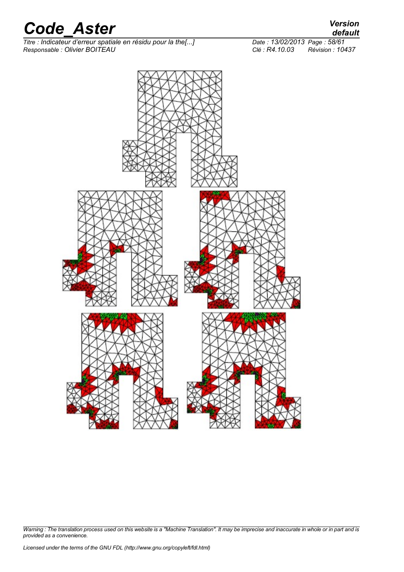*Titre : Indicateur d'erreur spatiale en résidu pour la the[...] Date : 13/02/2013 Page : 58/61 Responsable : Olivier BOITEAU Clé : R4.10.03 Révision : 10437*



*Warning : The translation process used on this website is a "Machine Translation". It may be imprecise and inaccurate in whole or in part and is provided as a convenience.*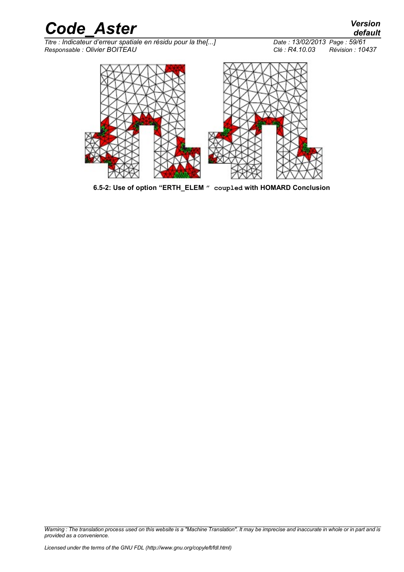*Titre : Indicateur d'erreur spatiale en résidu pour la the[...] Date : 13/02/2013 Page : 59/61 Responsable : Olivier BOITEAU Clé : R4.10.03 Révision : 10437*



**6.5-2: Use of option "ERTH\_ELEM " coupled with HOMARD Conclusion**

*Warning : The translation process used on this website is a "Machine Translation". It may be imprecise and inaccurate in whole or in part and is provided as a convenience.*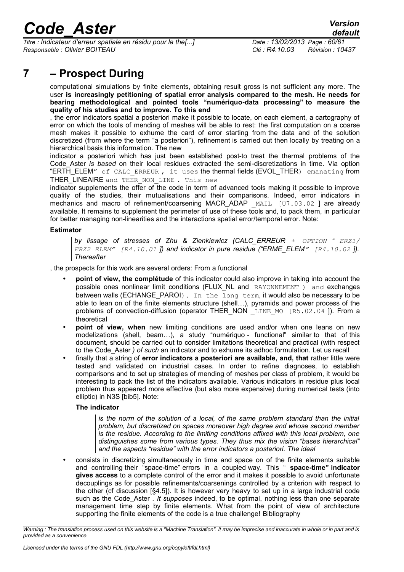*Titre : Indicateur d'erreur spatiale en résidu pour la the[...] Date : 13/02/2013 Page : 60/61 Responsable : Olivier BOITEAU Clé : R4.10.03 Révision : 10437*

### **7 – Prospect During**

<span id="page-59-0"></span>computational simulations by finite elements, obtaining result gross is not sufficient any more. The user **is increasingly petitioning of spatial error analysis compared to the mesh. He needs for bearing methodological and pointed tools "numériquo-data processing" to measure the quality of his studies and to improve. To this end**

, the error indicators spatial a posteriori make it possible to locate, on each element, a cartography of error on which the tools of mending of meshes will be able to rest: the first computation on a coarse mesh makes it possible to exhume the card of error starting from the data and of the solution discretized (from where the term "a posteriori"), refinement is carried out then locally by treating on a hierarchical basis this information. The new

indicator a posteriori which has just been established post-to treat the thermal problems of the Code\_Aster *is based* on their local residues extracted the semi-discretizations in time. Via option "ERTH\_ELEM" of CALC\_ERREUR, it uses the thermal fields (EVOL\_THER) emanating from THER\_LINEAIRE and THER NON LINE . This new

indicator supplements the offer of the code in term of advanced tools making it possible to improve quality of the studies, their mutualisations and their comparisons. Indeed, error indicators in mechanics and macro of refinement/coarsening MACR\_ADAP MAIL [U7.03.02 ] are already available. It remains to supplement the perimeter of use of these tools and, to pack them, in particular for better managing non-linearities and the interactions spatial error/temporal error. Note:

#### **Estimator**

*by lissage of stresses of Zhu & Zienkiewicz (CALC\_ERREUR + OPTION " ERZ1/ ERZ2\_ELEM" [R4.10.01 ]) and indicator in pure residue ("ERME\_ELEM" [R4.10.02 ]). Thereafter*

, the prospects for this work are several orders: From a functional

- **point of view, the complétude** of this indicator could also improve in taking into account the possible ones nonlinear limit conditions (FLUX\_NL and RAYONNEMENT ) and exchanges between walls (ECHANGE PAROI). In the long term, it would also be necessary to be able to lean on of the finite elements structure (shell…), pyramids and power process of the problems of convection-diffusion (operator THER\_NON LINE\_MO [R5.02.04 ]). From a theoretical
- **point of view, when** new limiting conditions are used and/or when one leans on new modelizations (shell, beam…), a study "numériquo - functional" similar to that of this document, should be carried out to consider limitations theoretical and practical (with respect to the Code\_Aster *) of such* an indicator and to exhume its adhoc formulation. Let us recall
- finally that a string of **error indicators a posteriori are available, and, that** rather little were tested and validated on industrial cases. In order to refine diagnoses, to establish comparisons and to set up strategies of mending of meshes per class of problem, it would be interesting to pack the list of the indicators available. Various indicators in residue plus local problem thus appeared more effective (but also more expensive) during numerical tests (into elliptic) in N3S [bib5]. Note:

#### **The indicator**

*is the norm of the solution of a local, of the same problem standard than the initial problem, but discretized on spaces moreover high degree and whose second member is the residue. According to the limiting conditions affixed with this local problem, one distinguishes some from various types. They thus mix the vision "bases hierarchical" and the aspects "residue" with the error indicators a posteriori. The ideal*

• consists in discretizing simultaneously in time and space on of the finite elements suitable and controlling their "space-time" errors in a coupled way. This " **space-time" indicator gives access** to a complete control of the error and it makes it possible to avoid unfortunate decouplings as for possible refinements/coarsenings controlled by a criterion with respect to the other (cf discussion [§4.5]). It is however very heavy to set up in a large industrial code such as the Code\_Aster *. It supposes* indeed, to be optimal, nothing less than one separate management time step by finite elements. What from the point of view of architecture supporting the finite elements of the code is a true challenge! Bibliography

*Warning : The translation process used on this website is a "Machine Translation". It may be imprecise and inaccurate in whole or in part and is provided as a convenience.*